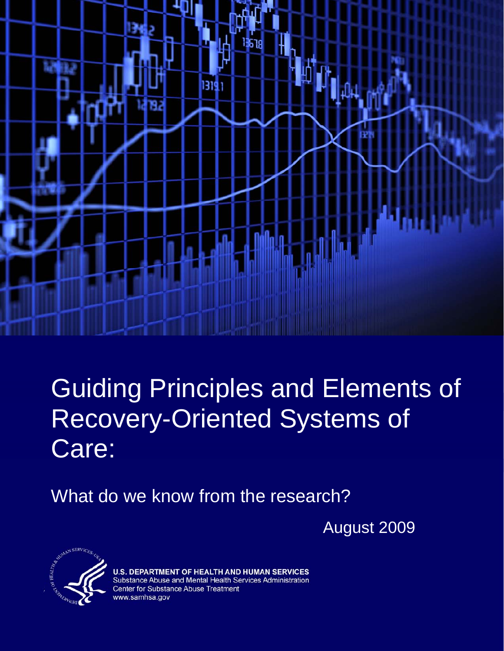

# **Guiding Principles and Elements of** Recovery-Oriented Systems of Care:

What do we know from the research?

August 2009



**U.S. DEPARTMENT OF HEALTH AND HUMAN SERVICES** Substance Abuse and Mental Health Services Administration Center for Substance Abuse Treatment www.samhsa.gov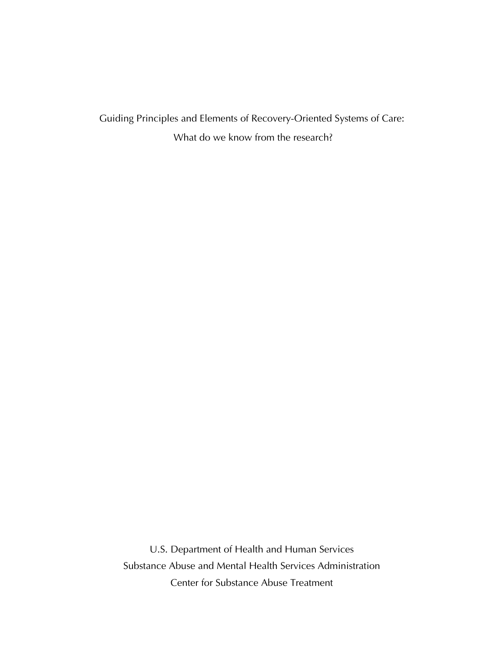Guiding Principles and Elements of Recovery-Oriented Systems of Care: What do we know from the research?

U.S. Department of Health and Human Services Substance Abuse and Mental Health Services Administration Center for Substance Abuse Treatment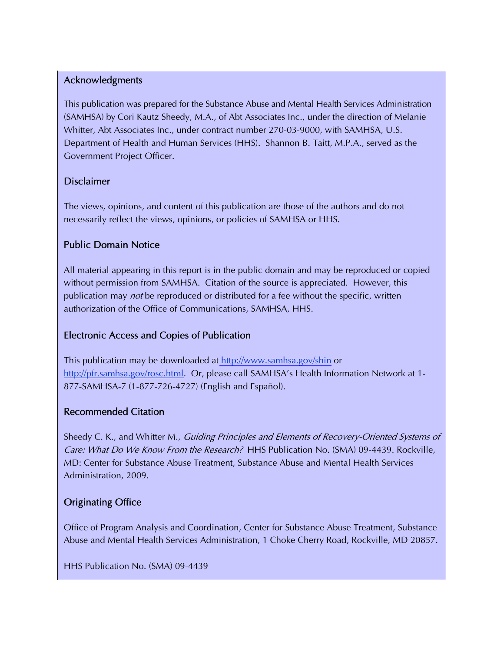### Acknowledgments

This publication was prepared for the Substance Abuse and Mental Health Services Administration (SAMHSA) by Cori Kautz Sheedy, M.A., of Abt Associates Inc., under the direction of Melanie Whitter, Abt Associates Inc., under contract number 270-03-9000, with SAMHSA, U.S. Department of Health and Human Services (HHS). Shannon B. Taitt, M.P.A., served as the Government Project Officer.

### Disclaimer

The views, opinions, and content of this publication are those of the authors and do not necessarily reflect the views, opinions, or policies of SAMHSA or HHS.

### Public Domain Notice

All material appearing in this report is in the public domain and may be reproduced or copied without permission from SAMHSA. Citation of the source is appreciated. However, this publication may *not* be reproduced or distributed for a fee without the specific, written authorization of the Office of Communications, SAMHSA, HHS.

### Electronic Access and Copies of Publication

This publication may be downloaded at<http://www.samhsa.gov/shin>or http://pfr.samhsa.gov/rosc.html. Or, please call SAMHSA's Health Information Network at 1-877-SAMHSA-7 (1-877-726-4727) (English and Español).

### Recommended Citation

Sheedy C. K., and Whitter M., Guiding Principles and Elements of Recovery-Oriented Systems of Care: What Do We Know From the Research? HHS Publication No. (SMA) 09-4439. Rockville, MD: Center for Substance Abuse Treatment, Substance Abuse and Mental Health Services Administration, 2009.

### Originating Office

Office of Program Analysis and Coordination, Center for Substance Abuse Treatment, Substance Abuse and Mental Health Services Administration, 1 Choke Cherry Road, Rockville, MD 20857.

HHS Publication No. (SMA) 09-4439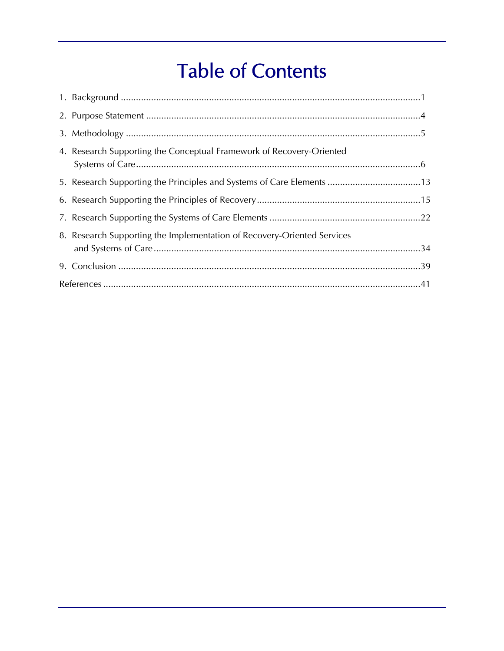## **Table of Contents**

| 4. Research Supporting the Conceptual Framework of Recovery-Oriented    |  |
|-------------------------------------------------------------------------|--|
| 5. Research Supporting the Principles and Systems of Care Elements 13   |  |
|                                                                         |  |
|                                                                         |  |
| 8. Research Supporting the Implementation of Recovery-Oriented Services |  |
|                                                                         |  |
|                                                                         |  |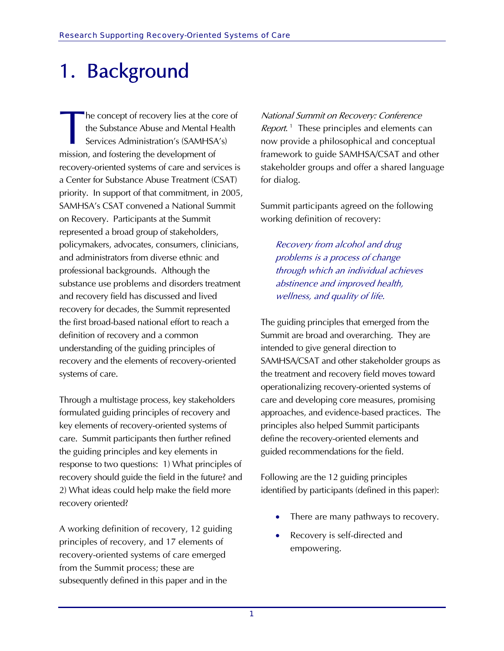# 1. Background

he concept of recovery lies at the core of the Substance Abuse and Mental Health Services Administration's (SAMHSA's) mission, and fostering the development of recovery-oriented systems of care and services is a Center for Substance Abuse Treatment (CSAT) priority. In support of that commitment, in 2005, SAMHSA's CSAT convened a National Summit on Recovery. Participants at the Summit represented a broad group of stakeholders, policymakers, advocates, consumers, clinicians, and administrators from diverse ethnic and professional backgrounds. Although the substance use problems and disorders treatment and recovery field has discussed and lived recovery for decades, the Summit represented the first broad-based national effort to reach a definition of recovery and a common understanding of the guiding principles of recovery and the elements of recovery-oriented systems of care. **T** 

Through a multistage process, key stakeholders formulated guiding principles of recovery and key elements of recovery-oriented systems of care. Summit participants then further refined the guiding principles and key elements in response to two questions: 1) What principles of recovery should guide the field in the future? and 2) What ideas could help make the field more recovery oriented?

A working definition of recovery, 12 guiding principles of recovery, and 17 elements of recovery-oriented systems of care emerged from the Summit process; these are subsequently defined in this paper and in the

National Summit on Recovery: Conference *Report*.<sup>[1](#page-46-0)</sup> These principles and elements can now provide a philosophical and conceptual framework to guide SAMHSA/CSAT and other stakeholder groups and offer a shared language for dialog.

Summit participants agreed on the following working definition of recovery:

Recovery from alcohol and drug problems is a process of change through which an individual achieves abstinence and improved health, wellness, and quality of life.

The guiding principles that emerged from the Summit are broad and overarching. They are intended to give general direction to SAMHSA/CSAT and other stakeholder groups as the treatment and recovery field moves toward operationalizing recovery-oriented systems of care and developing core measures, promising approaches, and evidence-based practices. The principles also helped Summit participants define the recovery-oriented elements and guided recommendations for the field.

Following are the 12 guiding principles identified by participants (defined in this paper):

- There are many pathways to recovery.
- Recovery is self-directed and empowering.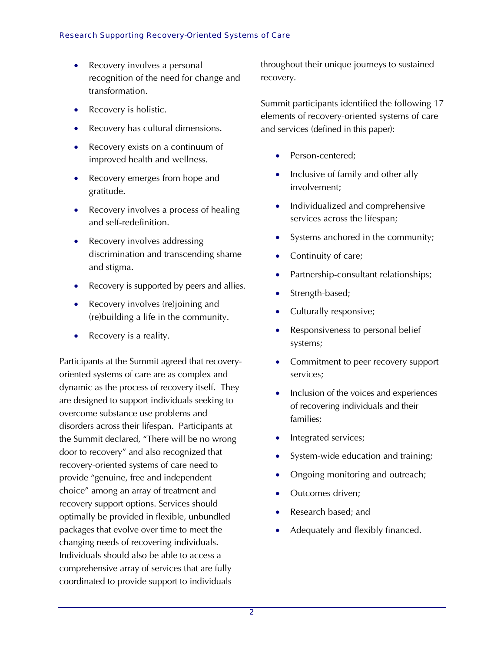- Recovery involves a personal recognition of the need for change and transformation.
- Recovery is holistic.
- Recovery has cultural dimensions.
- Recovery exists on a continuum of improved health and wellness.
- Recovery emerges from hope and gratitude.
- Recovery involves a process of healing and self-redefinition.
- Recovery involves addressing discrimination and transcending shame and stigma.
- Recovery is supported by peers and allies.
- Recovery involves (re)joining and (re)building a life in the community.
- Recovery is a reality.

Participants at the Summit agreed that recoveryoriented systems of care are as complex and dynamic as the process of recovery itself. They are designed to support individuals seeking to overcome substance use problems and disorders across their lifespan. Participants at the Summit declared, "There will be no wrong door to recovery" and also recognized that recovery-oriented systems of care need to provide "genuine, free and independent choice" among an array of treatment and recovery support options. Services should optimally be provided in flexible, unbundled packages that evolve over time to meet the changing needs of recovering individuals. Individuals should also be able to access a comprehensive array of services that are fully coordinated to provide support to individuals

throughout their unique journeys to sustained recovery.

Summit participants identified the following 17 elements of recovery-oriented systems of care and services (defined in this paper):

- Person-centered;
- Inclusive of family and other ally involvement;
- Individualized and comprehensive services across the lifespan;
- Systems anchored in the community;
- Continuity of care;
- Partnership-consultant relationships;
- Strength-based;
- Culturally responsive;
- Responsiveness to personal belief systems;
- Commitment to peer recovery support services;
- Inclusion of the voices and experiences of recovering individuals and their families;
- Integrated services;
- System-wide education and training;
- Ongoing monitoring and outreach;
- Outcomes driven;
- Research based; and
- Adequately and flexibly financed.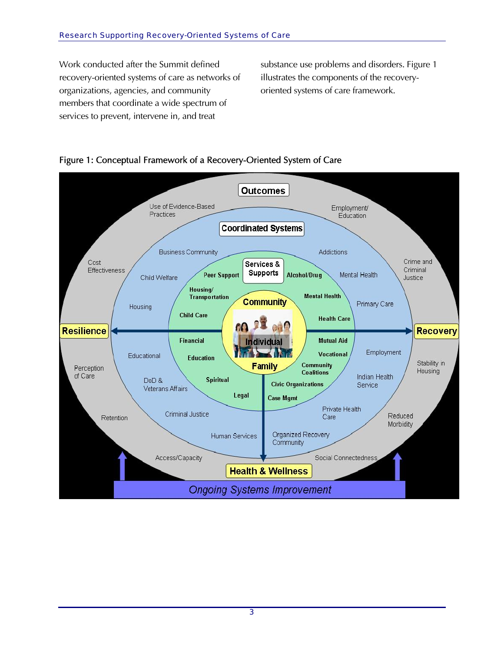Work conducted after the Summit defined recovery-oriented systems of care as networks of organizations, agencies, and community members that coordinate a wide spectrum of services to prevent, intervene in, and treat

substance use problems and disorders. Figure 1 illustrates the components of the recoveryoriented systems of care framework.



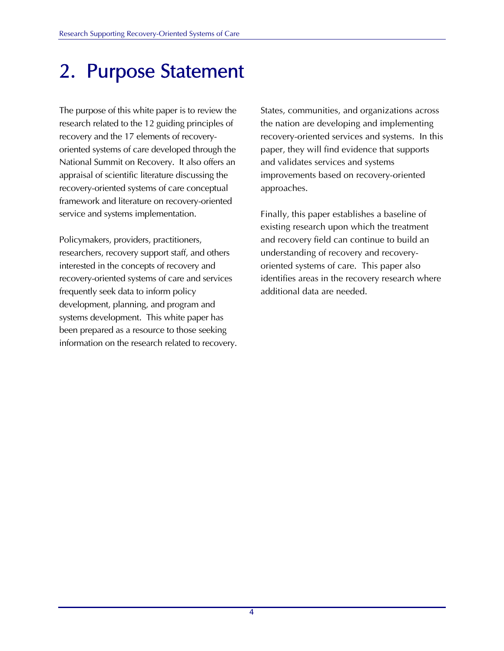### 2. Purpose Statement

The purpose of this white paper is to review the research related to the 12 guiding principles of recovery and the 17 elements of recoveryoriented systems of care developed through the National Summit on Recovery. It also offers an appraisal of scientific literature discussing the recovery-oriented systems of care conceptual framework and literature on recovery-oriented service and systems implementation.

Policymakers, providers, practitioners, researchers, recovery support staff, and others interested in the concepts of recovery and recovery-oriented systems of care and services frequently seek data to inform policy development, planning, and program and systems development. This white paper has been prepared as a resource to those seeking information on the research related to recovery. States, communities, and organizations across the nation are developing and implementing recovery-oriented services and systems. In this paper, they will find evidence that supports and validates services and systems improvements based on recovery-oriented approaches.

Finally, this paper establishes a baseline of existing research upon which the treatment and recovery field can continue to build an understanding of recovery and recoveryoriented systems of care. This paper also identifies areas in the recovery research where additional data are needed.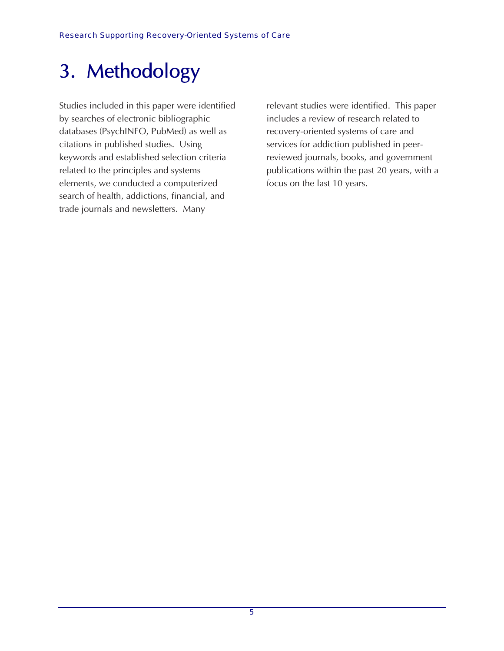# 3. Methodology

Studies included in this paper were identified by searches of electronic bibliographic databases (PsychINFO, PubMed) as well as citations in published studies. Using keywords and established selection criteria related to the principles and systems elements, we conducted a computerized search of health, addictions, financial, and trade journals and newsletters. Many

relevant studies were identified. This paper includes a review of research related to recovery-oriented systems of care and services for addiction published in peerreviewed journals, books, and government publications within the past 20 years, with a focus on the last 10 years.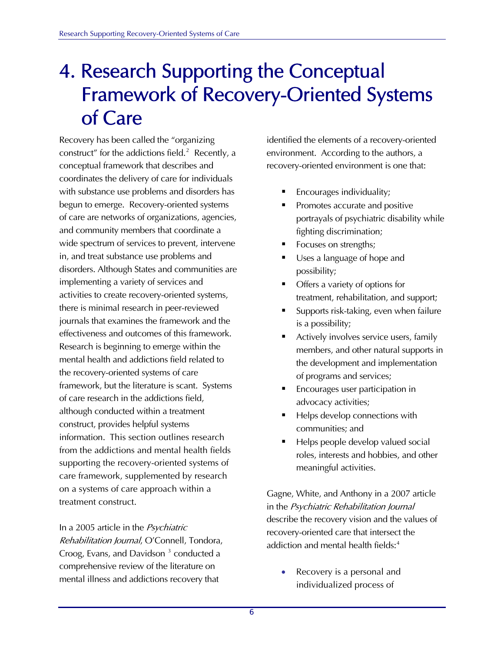### 4. Research Supporting the Conceptual Framework of Recovery-Oriented Systems of Care

Recovery has been called the "organizing construct" for the addictions field.<sup>[2](#page-46-1)</sup> Recently, a conceptual framework that describes and coordinates the delivery of care for individuals with substance use problems and disorders has begun to emerge. Recovery-oriented systems of care are networks of organizations, agencies, and community members that coordinate a wide spectrum of services to prevent, intervene in, and treat substance use problems and disorders. Although States and communities are implementing a variety of services and activities to create recovery-oriented systems, there is minimal research in peer-reviewed journals that examines the framework and the effectiveness and outcomes of this framework. Research is beginning to emerge within the mental health and addictions field related to the recovery-oriented systems of care framework, but the literature is scant. Systems of care research in the addictions field, although conducted within a treatment construct, provides helpful systems information. This section outlines research from the addictions and mental health fields supporting the recovery-oriented systems of care framework, supplemented by research on a systems of care approach within a treatment construct.

In a 2005 article in the Psychiatric Rehabilitation Journal, O'Connell, Tondora, Croog, Evans, and Davidson<sup>[3](#page-46-1)</sup> conducted a comprehensive review of the literature on mental illness and addictions recovery that

identified the elements of a recovery-oriented environment. According to the authors, a recovery-oriented environment is one that:

- Encourages individuality;
- Promotes accurate and positive portrayals of psychiatric disability while fighting discrimination;
- Focuses on strengths;
- Uses a language of hope and possibility;
- Offers a variety of options for treatment, rehabilitation, and support;
- Supports risk-taking, even when failure is a possibility;
- Actively involves service users, family members, and other natural supports in the development and implementation of programs and services;
- Encourages user participation in advocacy activities;
- Helps develop connections with communities; and
- Helps people develop valued social roles, interests and hobbies, and other meaningful activities.

Gagne, White, and Anthony in a 2007 article in the Psychiatric Rehabilitation Journal describe the recovery vision and the values of recovery-oriented care that intersect the addiction and mental health fields:<sup>[4](#page-46-1)</sup>

• Recovery is a personal and individualized process of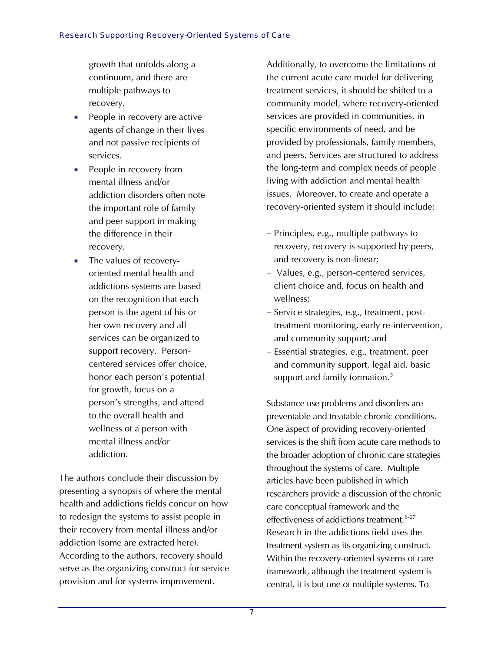growth that unfolds along a continuum, and there are multiple pathways to recovery.

- People in recovery are active agents of change in their lives and not passive recipients of services.
- People in recovery from mental illness and/or addiction disorders often note the important role of family and peer support in making the difference in their recovery.
- The values of recoveryoriented mental health and addictions systems are based on the recognition that each person is the agent of his or her own recovery and all services can be organized to support recovery. Personcentered services offer choice, honor each person's potential for growth, focus on a person's strengths, and attend to the overall health and wellness of a person with mental illness and/or addiction.

The authors conclude their discussion by presenting a synopsis of where the mental health and addictions fields concur on how to redesign the systems to assist people in their recovery from mental illness and/or addiction (some are extracted here). According to the authors, recovery should serve as the organizing construct for service provision and for systems improvement.

Additionally, to overcome the limitations of the current acute care model for delivering treatment services, it should be shifted to a community model, where recovery-oriented services are provided in communities, in specific environments of need, and be provided by professionals, family members, and peers. Services are structured to address the long-term and complex needs of people living with addiction and mental health issues. Moreover, to create and operate a recovery-oriented system it should include:

- − Principles, e.g., multiple pathways to recovery, recovery is supported by peers, and recovery is non-linear;
- − Values, e.g., person-centered services, client choice and, focus on health and wellness;
- − Service strategies, e.g., treatment, posttreatment monitoring, early re-intervention, and community support; and
- − Essential strategies, e.g., treatment, peer and community support, legal aid, basic support and family formation.<sup>[5](#page-46-1)</sup>

Substance use problems and disorders are preventable and treatable chronic conditions. One aspect of providing recovery-oriented services is the shift from acute care methods to the broader adoption of chronic care strategies throughout the systems of care. Multiple articles have been published in which researchers provide a discussion of the chronic care conceptual framework and the effectiveness of addictions treatment.<sup>[6](#page-46-1)-27</sup> Research in the addictions field uses the treatment system as its organizing construct. Within the recovery-oriented systems of care framework, although the treatment system is central, it is but one of multiple systems. To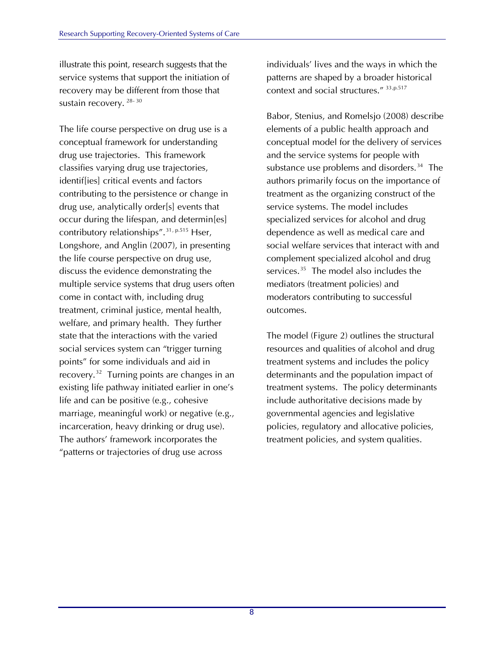illustrate this point, research suggests that the service systems that support the initiation of recovery may be different from those that sustain recovery. [28](#page-46-1)-[30](#page-46-1)

The life course perspective on drug use is a conceptual framework for understanding drug use trajectories. This framework classifies varying drug use trajectories, identif[ies] critical events and factors contributing to the persistence or change in drug use, analytically order[s] events that occur during the lifespan, and determin[es] contributory relationships".<sup>[31](#page-47-0), p.515</sup> Hser, Longshore, and Anglin (2007), in presenting the life course perspective on drug use, discuss the evidence demonstrating the multiple service systems that drug users often come in contact with, including drug treatment, criminal justice, mental health, welfare, and primary health. They further state that the interactions with the varied social services system can "trigger turning points" for some individuals and aid in recovery.[32](#page-47-0) Turning points are changes in an existing life pathway initiated earlier in one's life and can be positive (e.g., cohesive marriage, meaningful work) or negative (e.g., incarceration, heavy drinking or drug use). The authors' framework incorporates the "patterns or trajectories of drug use across

individuals' lives and the ways in which the patterns are shaped by a broader historical context and social structures." [33](#page-47-0),p.517

Babor, Stenius, and Romelsjo (2008) describe elements of a public health approach and conceptual model for the delivery of services and the service systems for people with substance use problems and disorders.<sup>[34](#page-47-0)</sup> The authors primarily focus on the importance of treatment as the organizing construct of the service systems. The model includes specialized services for alcohol and drug dependence as well as medical care and social welfare services that interact with and complement specialized alcohol and drug services.<sup>[35](#page-47-0)</sup> The model also includes the mediators (treatment policies) and moderators contributing to successful outcomes.

The model (Figure 2) outlines the structural resources and qualities of alcohol and drug treatment systems and includes the policy determinants and the population impact of treatment systems. The policy determinants include authoritative decisions made by governmental agencies and legislative policies, regulatory and allocative policies, treatment policies, and system qualities.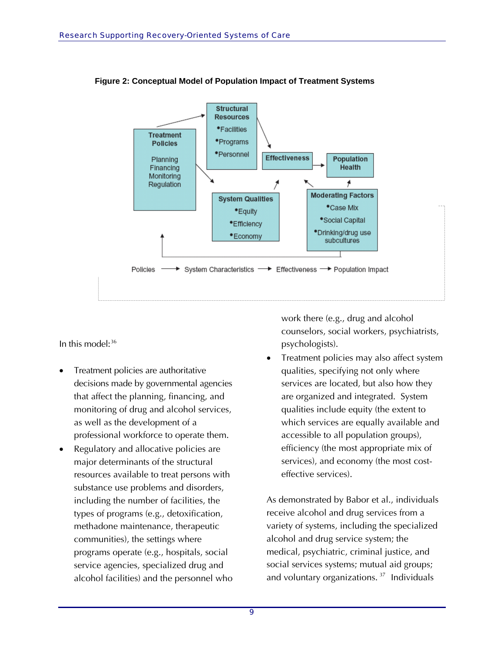

**Figure 2: Conceptual Model of Population Impact of Treatment Systems** 

In this model:<sup>[36](#page-47-1)</sup>

- Treatment policies are authoritative decisions made by governmental agencies that affect the planning, financing, and monitoring of drug and alcohol services, as well as the development of a professional workforce to operate them.
- Regulatory and allocative policies are major determinants of the structural resources available to treat persons with substance use problems and disorders, including the number of facilities, the types of programs (e.g., detoxification, methadone maintenance, therapeutic communities), the settings where programs operate (e.g., hospitals, social service agencies, specialized drug and alcohol facilities) and the personnel who

work there (e.g., drug and alcohol counselors, social workers, psychiatrists, psychologists).

• Treatment policies may also affect system qualities, specifying not only where services are located, but also how they are organized and integrated. System qualities include equity (the extent to which services are equally available and accessible to all population groups), efficiency (the most appropriate mix of services), and economy (the most costeffective services).

As demonstrated by Babor et al., individuals receive alcohol and drug services from a variety of systems, including the specialized alcohol and drug service system; the medical, psychiatric, criminal justice, and social services systems; mutual aid groups; and voluntary organizations.<sup>[37](#page-47-1)</sup> Individuals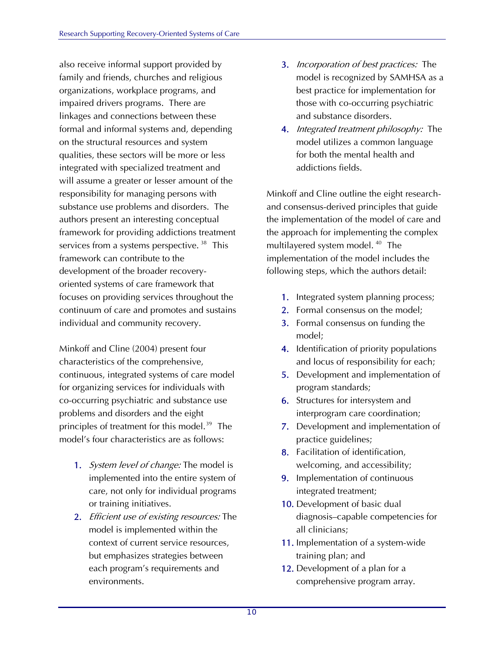also receive informal support provided by family and friends, churches and religious organizations, workplace programs, and impaired drivers programs. There are linkages and connections between these formal and informal systems and, depending on the structural resources and system qualities, these sectors will be more or less integrated with specialized treatment and will assume a greater or lesser amount of the responsibility for managing persons with substance use problems and disorders. The authors present an interesting conceptual framework for providing addictions treatment services from a systems perspective.<sup>[38](#page-47-1)</sup> This framework can contribute to the development of the broader recoveryoriented systems of care framework that focuses on providing services throughout the continuum of care and promotes and sustains individual and community recovery.

Minkoff and Cline (2004) present four characteristics of the comprehensive, continuous, integrated systems of care model for organizing services for individuals with co-occurring psychiatric and substance use problems and disorders and the eight principles of treatment for this model.<sup>[39](#page-47-1)</sup> The model's four characteristics are as follows:

- 1. System level of change: The model is implemented into the entire system of care, not only for individual programs or training initiatives.
- 2. *Efficient use of existing resources:* The model is implemented within the context of current service resources, but emphasizes strategies between each program's requirements and environments.
- 3. Incorporation of best practices: The model is recognized by SAMHSA as a best practice for implementation for those with co-occurring psychiatric and substance disorders.
- 4. *Integrated treatment philosophy:* The model utilizes a common language for both the mental health and addictions fields.

Minkoff and Cline outline the eight researchand consensus-derived principles that guide the implementation of the model of care and the approach for implementing the complex multilayered system model. [40](#page-47-1) The implementation of the model includes the following steps, which the authors detail:

- 1. Integrated system planning process;
- 2. Formal consensus on the model;
- 3. Formal consensus on funding the model;
- 4. Identification of priority populations and locus of responsibility for each;
- 5. Development and implementation of program standards;
- 6. Structures for intersystem and interprogram care coordination;
- 7. Development and implementation of practice guidelines;
- 8. Facilitation of identification, welcoming, and accessibility;
- 9. Implementation of continuous integrated treatment;
- 10. Development of basic dual diagnosis–capable competencies for all clinicians;
- 11. Implementation of a system-wide training plan; and
- 12. Development of a plan for a comprehensive program array.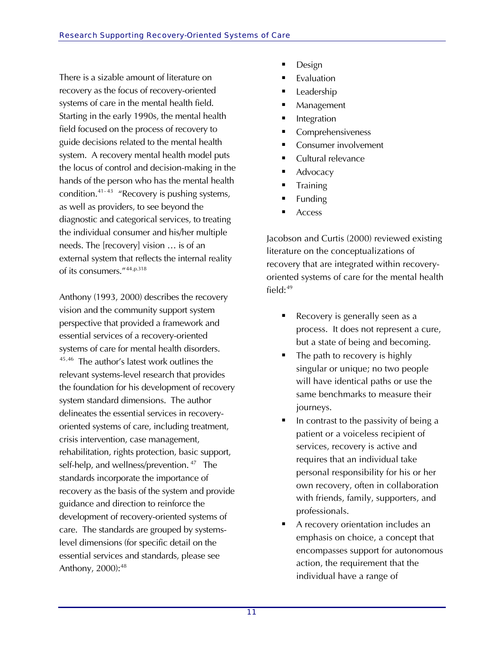There is a sizable amount of literature on recovery as the focus of recovery-oriented systems of care in the mental health field. Starting in the early 1990s, the mental health field focused on the process of recovery to guide decisions related to the mental health system. A recovery mental health model puts the locus of control and decision-making in the hands of the person who has the mental health condition.[41](#page-47-1)- 43 "Recovery is pushing systems, as well as providers, to see beyond the diagnostic and categorical services, to treating the individual consumer and his/her multiple needs. The [recovery] vision … is of an external system that reflects the internal reality of its consumers."[44](#page-47-1),p.318

Anthony (1993, 2000) describes the recovery vision and the community support system perspective that provided a framework and essential services of a recovery-oriented systems of care for mental health disorders. [45,46](#page-47-1) The author's latest work outlines the relevant systems-level research that provi des the foundation for his development of recove ry system standard dimensions. The author delineates the essential services in recoveryoriented systems of care, including treatment, crisis intervention, case management, rehabilitation, rights protection, basic support, self-help, and wellness/prevention.<sup>[47](#page-47-1)</sup> The standards incorporate the importance of recovery as the basis of the system and provide guidance and direction to reinforce the development of recovery-oriented systems of care. The standards are grouped by systemslevel dimensions (for specific detail on the essential services and standards, please see Anthony, 2000): [48](#page-47-1)

- Design
- Evaluation
- Leadership
- Management
- Integration
- Comprehensiveness
- Consumer involvement
- Cultural relevance
- Advocacy
- **Training**
- Funding
- Access

Jacobson and Curtis (2000) reviewed existing literature on the conceptualizations of recovery that are integrated within recoveryoriented systems of care for the mental health field: $49$ 

- Recovery is generally seen as a process. It does not represent a cure, but a state of being and becoming.
- The path to recovery is highly singular or unique; no two people will have identical paths or use the same benchmarks to measure their journeys.
- In contrast to the passivity of being a patient or a voiceless recipient of services, recovery is active and requires that an individual take personal responsibility for his or her own recovery, often in collaboration with friends, family, supporters, and professionals.
- A recovery orientation includes an emphasis on choice, a concept that encompasses support for autonomous action, the requirement that the individual have a range of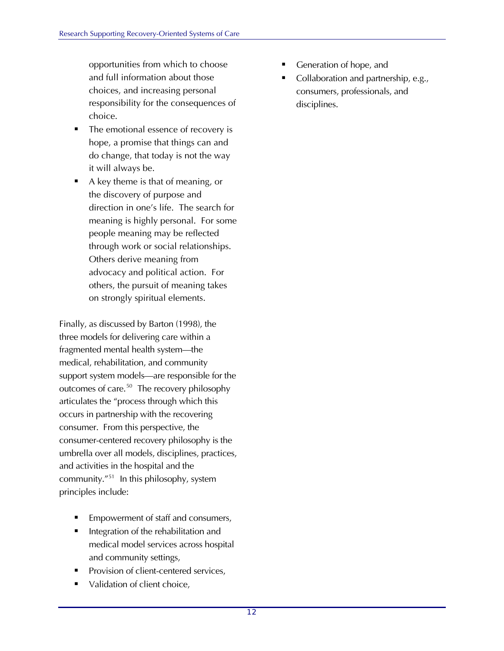opportunities from which to choose and full information about those choices, and increasing personal responsibility for the consequences of choice.

- The emotional essence of recovery is hope, a promise that things can and do change, that today is not the way it will always be.
- A key theme is that of meaning, or the discovery of purpose and direction in one's life. The search for meaning is highly personal. For some people meaning may be reflected through work or social relationships. Others derive meaning from advocacy and political action. For others, the pursuit of meaning takes on strongly spiritual elements.

Finally, as discussed by Barton (1998), the three models for delivering care within a fragmented mental health system—the medical, rehabilitation, and community support system models—are responsible for the outcomes of care.<sup>[50](#page-47-1)</sup> The recovery philosophy articulates the "process through which this occurs in partnership with the recovering consumer. From this perspective, the consumer-centered recovery philosophy is the umbrella over all models, disciplines, practices, and activities in the hospital and the community."[51](#page-48-0) In this philosophy, system principles include:

- Empowerment of staff and consumers,
- Integration of the rehabilitation and medical model services across hospital and community settings,
- Provision of client-centered services,
- Validation of client choice,
- Generation of hope, and
- Collaboration and partnership, e.g., consumers, professionals, and disciplines.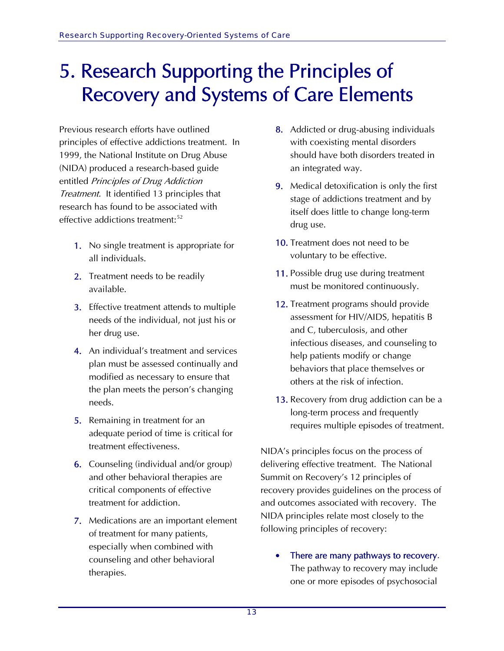### 5. Research Supporting the Principles of Recovery and Systems of Care Elements

Previous research efforts have outlined principles of effective addictions treatment. In 1999, the National Institute on Drug Abuse (NIDA) produced a research-based guide entitled Principles of Drug Addiction Treatment. It identified 13 principles that research has found to be associated with effective addictions treatment:<sup>[52](#page-48-1)</sup>

- 1. No single treatment is appropriate for all individuals.
- 2. Treatment needs to be readily available.
- 3. Effective treatment attends to multiple needs of the individual, not just his or her drug use.
- 4. An individual's treatment and services plan must be assessed continually and modified as necessary to ensure that the plan meets the person's changing needs.
- 5. Remaining in treatment for an adequate period of time is critical for treatment effectiveness.
- 6. Counseling (individual and/or group) and other behavioral therapies are critical components of effective treatment for addiction.
- 7. Medications are an important element of treatment for many patients, especially when combined with counseling and other behavioral therapies.
- 8. Addicted or drug-abusing individuals with coexisting mental disorders should have both disorders treated in an integrated way.
- 9. Medical detoxification is only the first stage of addictions treatment and by itself does little to change long-term drug use.
- 10. Treatment does not need to be voluntary to be effective.
- 11. Possible drug use during treatment must be monitored continuously.
- 12. Treatment programs should provide assessment for HIV/AIDS, hepatitis B and C, tuberculosis, and other infectious diseases, and counseling to help patients modify or change behaviors that place themselves or others at the risk of infection.
- 13. Recovery from drug addiction can be a long-term process and frequently requires multiple episodes of treatment.

NIDA's principles focus on the process of delivering effective treatment. The National Summit on Recovery's 12 principles of recovery provides guidelines on the process of and outcomes associated with recovery. The NIDA principles relate most closely to the following principles of recovery:

There are many pathways to recovery. The pathway to recovery may include one or more episodes of psychosocial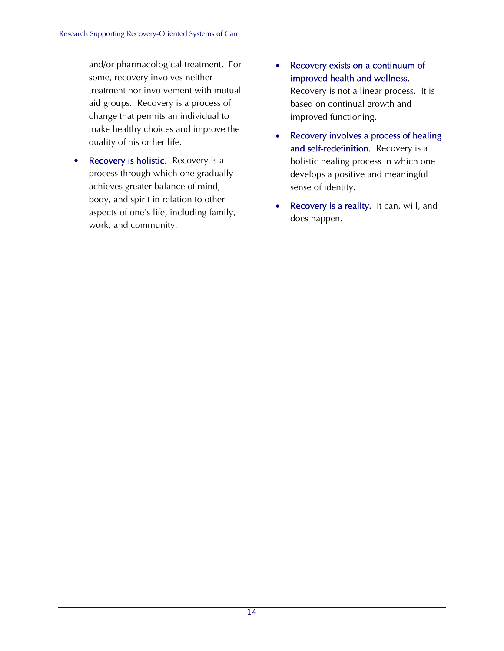and/or pharmacological treatment. For some, recovery involves neither treatment nor involvement with mutual aid groups. Recovery is a process of change that permits an individual to make healthy choices and improve the quality of his or her life.

- Recovery is holistic. Recovery is a process through which one gradually achieves greater balance of mind, body, and spirit in relation to other aspects of one's life, including family, work, and community.
- Recovery exists on a continuum of improved health and wellness. Recovery is not a linear process. It is based on continual growth and

improved functioning.

- Recovery involves a process of healing and self-redefinition. Recovery is a holistic healing process in which one develops a positive and meaningful sense of identity.
- Recovery is a reality. It can, will, and does happen.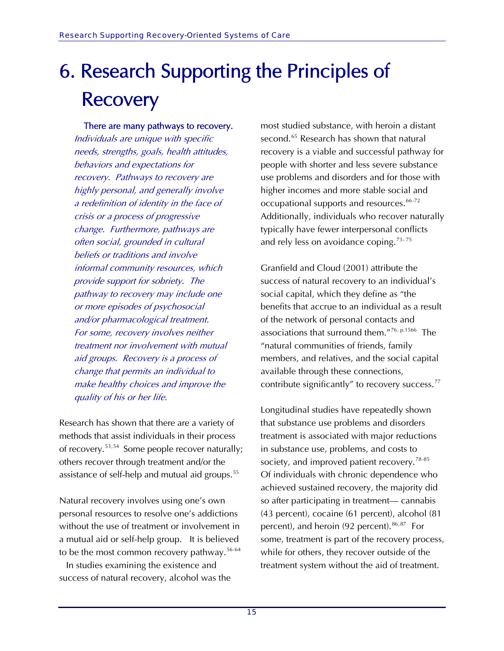# 6. Research Supporting the Principles of **Recovery**

#### There are many pathways to recovery.

Individuals are unique with specific needs, strengths, goals, health attitudes, behaviors and expectations for recovery. Pathways to recovery are highly personal, and generally involve a redefinition of identity in the face of crisis or a process of progressive change. Furthermore, pathways are often social, grounded in cultural beliefs or traditions and involve informal community resources, which provide support for sobriety. The pathway to recovery may include one or more episodes of psychosocial and/or pharmacological treatment. For some, recovery involves neither treatment nor involvement with mutual aid groups. Recovery is a process of change that permits an individual to make healthy choices and improve the quality of his or her life.

Research has shown that there are a variety of methods that assist individuals in their process of recovery.<sup>[53](#page-48-2),[54](#page-48-2)</sup> Some people recover naturally; others recover through treatment and/or the assistance of self-help and mutual aid groups.<sup>[55](#page-48-2)</sup>

Natural recovery involves using one's own personal resources to resolve one's addictions without the use of treatment or involvement in a mutual aid or self-help group. It is believed to be the most common recovery pathway.<sup>[56](#page-48-2)-64</sup>

[In](#page-48-2) studies examining the existence and success of natural recovery, alcohol was th e

most studied substance, with heroin a dis tant second. [65](#page-48-2) Research has shown that natural recovery is a viable and successful pathway for people with shorter and less severe substance use problems and disorders and for those with higher incomes and more stable social and occupational supports and resources.<sup>[66](#page-48-2)-7[2](#page-48-2)</sup> Additionally, individuals who recover naturally typically have fewer interpersonal conflicts and rely less on avoidance coping.<sup>[73](#page-48-2)-[75](#page-48-2)</sup>

Granfield and Cloud (2001) attribute the success of natural recovery to an individual's social capital, which they define as "the benefits that accrue to an individual as a result of the network of personal contacts and associations that surround them."[76](#page-48-2), p.1566 The "natural communities of friends, family members, and relatives, and the social capital available through these connections, contribute significantly" to recovery success.<sup>[77](#page-48-2)</sup>

Of individuals with chronic dependence who Longitudinal studies have repeatedly shown that substance use problems and disorders treatment is associated with major reductions in substance use, problems, and costs to society, and improved patient recovery.<sup>[78](#page-48-2)-8[5](#page-48-2)</sup> achieved sustained recovery, the majority did so after participating in treatment— cannabis (43 percent), cocaine (61 percent), alcohol (81 percent), and heroin (92 percent). <sup>[86](#page-48-2),[87](#page-48-2)</sup> For some, treatment is part of the recovery process, while for others, they recover outside of the treatment system without the aid of treatment.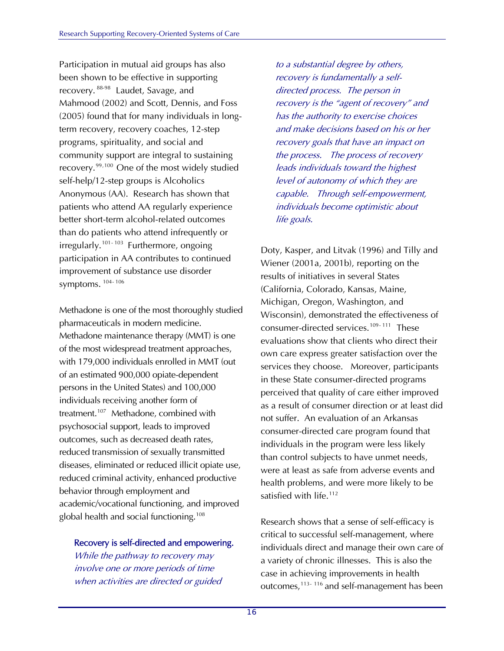Participation in mutual aid groups has also been shown to be effective in supporting recovery. [88-](#page-49-0)98 [L](#page-49-0)audet, Savage, and Mahmood (2002) and Scott, Dennis, and Fo ss (2005) found that for many individuals in long term recovery, recovery coaches, 12-step programs, spirituality, and social and community support are integral to sustaining recovery.<sup>[99](#page-49-0),[100](#page-49-0)</sup> One of the most widely studied patients who attend AA regularly experience than do patients who attend infrequently or participation in AA contributes to continued symptoms. <sup>104-106</sup> self-help/12-step groups is Alcoholics Anonymous (AA). Research has shown that better short-term alcohol-related outcomes  $irregularly.<sup>101-103</sup>$  $irregularly.<sup>101-103</sup>$  $irregularly.<sup>101-103</sup>$  $irregularly.<sup>101-103</sup>$  $irregularly.<sup>101-103</sup>$  Furthermore, ongoing improvement of substance use disorder

Methadone is one of the most thoroughly studied with 179,000 individuals enrolled in MMT (out persons in the United States) and 100,000 reduced criminal activity, enhanced productive academic/vocational functioning, and improved global health and social functioning.<sup>108</sup> pharmaceuticals in modern medicine. Methadone maintenance therapy (MMT) is one of the most widespread treatment approaches, of an estimated 900,000 opiate-dependent individuals receiving another form of treatment.<sup>[107](#page-49-0)</sup> Methadone, combined with psychosocial support, leads to improved outcomes, such as decreased death rates, reduced transmission of sexually transmitted diseases, eliminated or reduced illicit opiate use, behavior through employment and

### Recovery is self-directed and empowering.

when activities are directed or guided While the pathway to recovery may involve one or more periods of time

, to a substantial degree by others recovery is the "agent of recovery" and and make decisions based on his or her the process. The process of recovery capable. Through self-empowerment, individuals become optimistic about life goals. recovery is fundamentally a selfdirected process. The person in has the authority to exercise choices recovery goals that have an impact on leads individuals toward the highest level of autonomy of which they are

Doty, Kasper, and Litvak (1996) and Tilly and Wiener (2001a, 2001b), reporting on the Wisconsin), demonstrated the effectiveness of services they choose. Moreover, participants as a result of consumer direction or at least did health problems, and were more likely to be satisfied with life.<sup>112</sup> results of initiatives in several States (California, Colorado, Kansas, Maine, Michigan, Oregon, Washington, and consumer-directed services.<sup>[109](#page-50-0)-111</sup> These evaluations show that clients who direct their own care express greater satisfaction over the in these State consumer-directed programs perceived that quality of care either improved not suffer. An evaluation of an Arkansas consumer-directed care program found that individuals in the program were less likely than control subjects to have unmet needs, were at least as safe from adverse events and

a variety of chronic illnesses. This is also the outcomes,<sup>113-116</sup> and self-management has been Research shows that a sense of self-efficacy is critical to successful self-management, where individuals direct and manage their own care of case in achieving improvements in health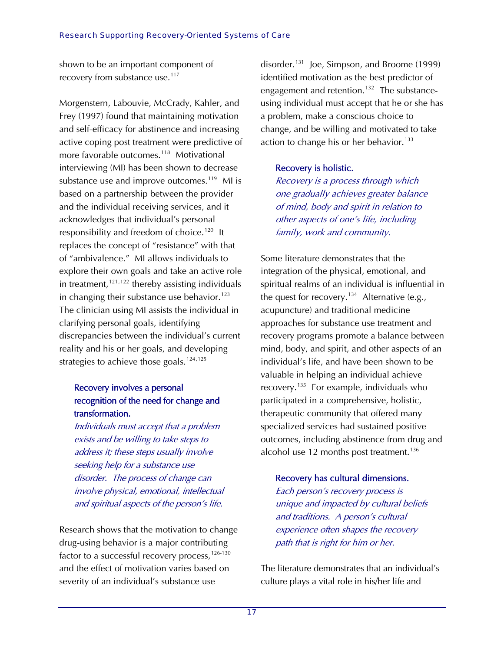shown to be an important component of recovery from substance use.<sup>[117](#page-50-0)</sup>

Morgenstern, Labouvie, McCrady, Kahler, and Frey (1997) found that maintaining motivation and self-efficacy for abstinence and increasing active coping post treatment were predictive of more favorable outcomes.<sup>[118](#page-50-0)</sup> Motivational interviewing (MI) has been shown to decrease substance use and improve outcomes.<sup>[119](#page-50-0)</sup> MI is based on a partnership between the provider and the individual receiving services, and it acknowledges that individual's personal responsibility and freedom of choice.<sup>[120](#page-50-0)</sup> It replaces the concept of "resistance" with that of "ambivalence." MI allows individuals to explore their own goals and take an active role in treatment,  $121,122$  $121,122$  $121,122$  thereby assisting individuals in changing their substance use behavior.<sup>[123](#page-50-0)</sup> The clinician using MI assists the individual in clarifying personal goals, identifying discrepancies between the individual's current reality and his or her goals, and developing strategies to achieve those goals.<sup>[124](#page-50-0),[125](#page-50-0)</sup>

### Recovery involves a personal recognition of the need for change and transformation.

Individuals must accept that a problem exists and be willing to take steps to address it; these steps usually involve seeking help for a substance use disorder. The process of change can involve physical, emotional, intellectual and spiritual aspects of the person's life.

Research shows that the motivation to change drug-using behavior is a major contributing factor to a successful recovery process, [126](#page-50-0)-130 [and the effect of motivation varies based on](#page-50-0)  [severity of an individual's substance use](#page-50-0) 

[disorder.131](#page-50-0) Joe, Simpson, and Broome (1999) identified motivation as the best predictor of engagement and retention.<sup>[132](#page-50-0)</sup> The substanceusing individual must accept that he or she has a problem, make a conscious choice to change, and be willing and motivated to take action to change his or her behavior.<sup>[133](#page-50-0)</sup>

### Recovery is holistic.

Recovery is a process through which one gradually achieves greater balance of mind, body and spirit in relation to other aspects of one's life, including family, work and community.

Some literature demonstrates that the integration of the physical, emotional, and spiritual realms of an individual is influential in the quest for recovery.<sup>[134](#page-51-0)</sup> Alternative (e.g., acupuncture) and traditional medicine approaches for substance use treatment and recovery programs promote a balance between mind, body, and spirit, and other aspects of an individual's life, and have been shown to be valuable in helping an individual achieve recovery.<sup>[135](#page-51-0)</sup> For example, individuals who participated in a comprehensive, holistic, therapeutic community that offered many specialized services had sustained positive outcomes, including abstinence from drug and alcohol use 12 months post treatment.<sup>[136](#page-51-0)</sup>

### Recovery has cultural dimensions.

Each person's recovery process is unique and impacted by cultural beliefs and traditions. A person's cultural experience often shapes the recovery path that is right for him or her.

The literature demonstrates that an individual's culture plays a vital role in his/her life and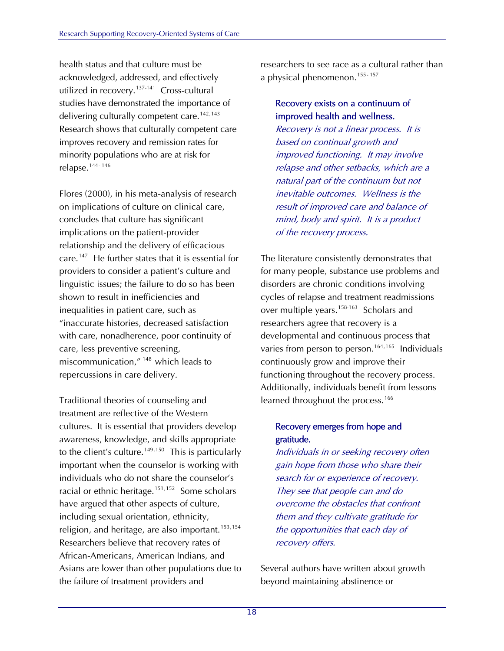health status and that culture must be acknowledged, addressed, and effectively utilized in recovery. $137-141$  $137-141$  Cross-cultural studies have demonstrated the importance of delivering culturally competent care.<sup>[142](#page-51-0),[143](#page-51-0)</sup> Research shows that culturally competen t care improves recovery and remission rates for minority populations who are at risk for relapse.<sup>144-146</sup>

Flores (2000), in his meta-analysis of research on implications of culture on clinical care, care.<sup>[147](#page-51-0)</sup> He further states that it is essential for linguistic issues; the failure to do so has been with care, nonadherence, poor continuity of miscommunication," <sup>[148](#page-51-0)</sup> which leads to repercussions in care delivery. concludes that culture has significant implications on the patient-provider relationship and the delivery of efficacious providers to consider a patient's culture and shown to result in inefficiencies and inequalities in patient care, such as "inaccurate histories, decreased satisfaction care, less preventive screening,

, have argued that other aspects of culture religion, and heritage, are also important.<sup>[15](#page-51-0)3,154</sup> the failure of treatment providers and Traditional theories of counseling and treatment are reflective of the Western cultures. It is essential that providers develop awareness, knowledge, and skills appropriate to the client's culture.<sup>[149](#page-51-0),[150](#page-51-0)</sup> This is particularly important when the counselor is working with individuals who do not share the counselor's racial or ethnic heritage.<sup>[151](#page-51-0),[152](#page-51-0)</sup> Some scholars including sexual orientation, ethnicity, [Researchers believe that recovery rates of](#page-51-0)  [African-Americans, American Indians, and](#page-51-0)  [Asians are lower than other populations due to](#page-51-0) 

[researchers to see race as a cultural rather than](#page-51-0)  a physical phenomenon.<sup>155-[157](#page-51-0)</sup>

### Recovery exists on a continuum of improved health and wellness.

Recovery is not a linear process. It is based on continual growth and improved functioning. It may involve relapse and other setbacks, which are a natural part of the continuum but not inevitable outcomes. Wellness is the result of improved care and balance of mind, body and spirit. It is a product of the recovery process.

The literature consistently demonstrates that for many people, substance use problems and disorders are chronic conditions involving cycles of relapse and treatment readmissions over multiple years.<sup>[158-](#page-51-0)163</sup> Scholars and researchers agree that recovery is a developmental and continuous process that varies from person to person.<sup>[164](#page-51-0),[165](#page-51-0)</sup> Individuals continuously grow and improve their functioning throughout the recovery process. Additionally, individuals benefit from lessons learned throughout the process.<sup>[166](#page-51-0)</sup>

### Recovery emerges from hope and gratitude.

Individuals in or seeking recovery often gain hope from those who share their search for or experience of recovery. They see that people can and do overcome the obstacles that confront them and they cultivate gratitude for the opportunities that each day of recovery offers.

Several authors have written about growth beyond maintaining abstinence or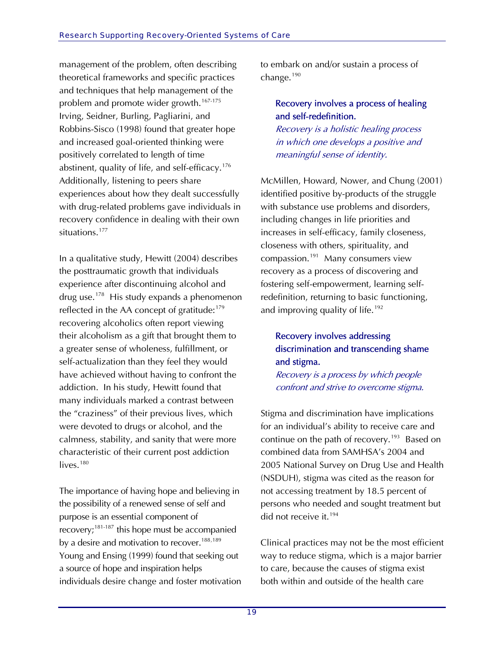management of the problem, often describing theoretical frameworks and specific practices and techniques that help management of the problem and promote wider growth.<sup>[167-](#page-52-0)175</sup> Irving, Seidner, Burling, Pagliarini, and Robbins-Sisco (1998) found that greater hope and increased goal-oriented thinking were positively correlated to length of time abstinent, quality of life, and self-efficacy.<sup>[176](#page-52-0)</sup> Additionally, listening to peers share experiences about how they dealt successfully with drug-related problems gave individuals in recovery confidence in dealing with their own situations.<sup>[177](#page-52-0)</sup>

In a qualitative study, Hewitt (2004) describes the posttraumatic growth that individuals experience after discontinuing alcohol and drug use.<sup>[178](#page-52-0)</sup> His study expands a phenomenon reflected in the AA concept of gratitude:<sup>[179](#page-52-0)</sup> recovering alcoholics often report viewing their alcoholism as a gift that brought them to a greater sense of wholeness, fulfillment, or self-actualization than they feel they would have achieved without having to confront the addiction. In his study, Hewitt found that many individuals marked a contrast between the "craziness" of their previous lives, which were devoted to drugs or alcohol, and the calmness, stability, and sanity that were more characteristic of their current post addiction lives. $180$ 

The importance of having hope and believing in the possibility of a renewed sense of self and purpose is an essential component of recovery;[181-](#page-52-0)187 this hope must be accompanied by a desire and motivation to recover.<sup>[188](#page-52-0),[189](#page-52-0)</sup> Young and Ensing (1999) found that seeking out a source of hope and inspiration helps individuals desire change and foster motivation to embark on and/or sustain a process of change.<sup>[190](#page-52-0)</sup>

### Recovery involves a process of healing and self-redefinition.

Recovery is a holistic healing process in which one develops a positive and meaningful sense of identity.

McMillen, Howard, Nower, and Chung (2001) identified positive by-products of the struggle with substance use problems and disorders, including changes in life priorities and increases in self-efficacy, family closeness, closeness with others, spirituality, and compassion.<sup>[191](#page-52-0)</sup> Many consumers view recovery as a process of discovering and fostering self-empowerment, learning selfredefinition, returning to basic functioning, and improving quality of life.<sup>[192](#page-52-0)</sup>

### Recovery involves addressing discrimination and transcending shame and stigma.

Recovery is a process by which people confront and strive to overcome stigma.

Stigma and discrimination have implications for an individual's ability to receive care and continue on the path of recovery.<sup>[193](#page-52-0)</sup> Based on combined data from SAMHSA's 2004 and 2005 National Survey on Drug Use and Health (NSDUH), stigma was cited as the reason for not accessing treatment by 18.5 percent of persons who needed and sought treatment but did not receive it.<sup>[194](#page-52-0)</sup>

Clinical practices may not be the most efficient way to reduce stigma, which is a major barrier to care, because the causes of stigma exist both within and outside of the health care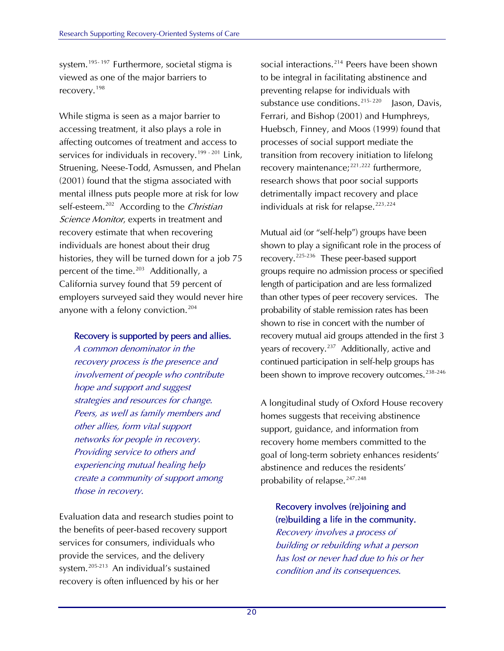system.<sup>[195](#page-52-0)-197</sup>Furthermore, societal stigma is viewed as one of the major barriers to recovery. <sup>[198](#page-53-0)</sup>

While stigma is seen as a major barrier to accessing treatment, it also plays a role in affecting outcomes of treatment and access to services for individuals in recovery.<sup>[199](#page-53-0) - 201</sup> Link, Struening, Neese-Todd, Asmussen, and Phelan (2001) found that the stigma associated with mental illness puts people more at risk for low self-esteem.<sup>[202](#page-53-0)</sup> According to the Christian Science Monitor, experts in treatment and recovery estimate that when recovering individuals are honest about their drug histories, they will be turned down for a job 75 percent of the time.<sup>[203](#page-53-0)</sup> Additionally, a California survey found that 59 percent of employers surveyed said they would never hire anyone with a felony conviction.<sup>[204](#page-53-0)</sup>

### Recovery is supported by peers and allies.

A common denominator in the recovery process is the presence and involvement of people who contribute hope and support and suggest strategies and resources for change. Peers, as well as family members and other allies, form vital support networks for people in recovery. Providing service to others and experiencing mutual healing help create a community of support among those in recovery.

Evaluation data and research studies point to the benefits of peer-based recovery support services for consumers, individuals who provide the services, and the delivery system.[205](#page-53-0)-21[3 A](#page-53-0)n individual's sustained recovery is often influenced by his or her

social interactions.<sup>[214](#page-53-0)</sup> Peers have been shown to be integral in facilitating abstinence and preventing relapse for individuals with substance use conditions.<sup>[215](#page-53-0)-2[20](#page-53-0)</sup> Jason, Davis, Ferrari, and Bishop (2001) and Humphreys, Huebsch, Finney, and Moos (1999) found that processes of social support mediate the transition from recovery initiation to lifelong recovery maintenance;<sup>[221](#page-53-0),[222](#page-53-0)</sup> furthermore, research shows that poor social supports detrimentally impact recovery and place individuals at risk for relapse.<sup>[223](#page-53-0),[224](#page-53-0)</sup>

than other types of peer recovery services. The Mutual aid (or "self-help") groups have been shown to play a significant role in the process of recovery.[225](#page-53-0)-236 These peer-based support groups require no admission process or specified length of participation and are less formalized probability of stable remission rates has been shown to rise in concert with the number of recovery mutual aid groups attended in the first 3 years of recovery.<sup>[237](#page-54-0)</sup> Additionally, active and continued participation in self-help groups has been shown to improve recovery outcomes.<sup>[238](#page-54-0)-246</sup>

A longitudinal study of Oxford House recovery homes suggests that receiving abstinence support, guidance, and information from recovery home members committed to the goal of long-term sobriety enhances residents' abstinence and reduces the residents' probability of relapse.<sup>247,248</sup>

### Recovery involves (re)joining and (re)building a life in the community.

Recovery involves a process of building or rebuilding what a person has lost or never had due to his or her condition and its consequences.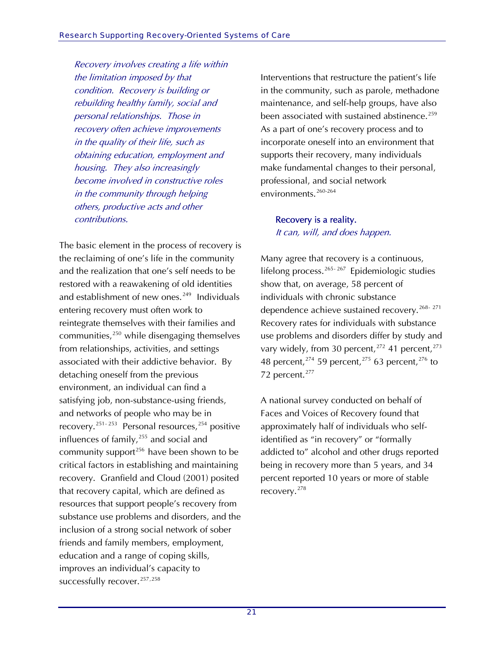Recovery involves creating a life within the limitation imposed by that condition. Recovery is building or rebuilding healthy family, social and personal relationships. Those in recovery often achieve improvements in the quality of their life, such as obtaining education, employment and housing. They also increasingly become involved in constructive roles in the community through helping others, productive acts and other contributions.

The basic element in the process of recovery is the reclaiming of one's life in the community and the realization that one's self needs to be restored with a reawakening of old identities and establishment of new ones.<sup>[249](#page-54-0)</sup> Individuals entering recovery must often work to reintegrate themselves with their families and communities, $250$  while disengaging themselves from relationships, activities, and settings associated with their addictive behavior. By detaching oneself from the previous environment, an individual can find a satisfying job, non-substance-using friends, and networks of people who may be in recovery.<sup>[251](#page-54-0)-[253](#page-54-0)</sup> Personal resources,<sup>[254](#page-54-0)</sup> positive influences of family,<sup>[255](#page-55-0)</sup> and social and community support<sup>[256](#page-55-0)</sup> have been shown to be critical factors in establishing and maintaining recovery. Granfield and Cloud (2001) posited that recovery capital, which are defined as resources that support people's recovery from substance use problems and disorders, and the inclusion of a strong social network of sober friends and family members, employment, education and a range of coping skills, improves an individual's capacity to successfully recover.<sup>[257](#page-55-0),[258](#page-55-0)</sup>

Interventions that restructure the patient's life in the community, such as parole, methadone maintenance, and self-help groups, have also been associated with sustained abstinence.<sup>[259](#page-55-0)</sup> As a part of one's recovery process and to incorporate oneself into an environment that supports their recovery, many individuals make fundamental changes to their personal, professional, and social network environments.[260](#page-55-0)-2[64](#page-55-0) 

### Recovery is a reality. It can, will, and does happen.

Many agree that recovery is a continuous, lifelongprocess.  $265 - 267$  $265 - 267$  Epidemiologic studies show that, on average, 58 percent of individuals with chronic substance dependence achieve sustained recovery.<sup>[268](#page-55-0)-[271](#page-55-0)</sup> Recovery rates for individuals with substance use problems and disorders differ by study and vary widely, from 30 percent,  $272$  41 percent,  $273$ 48 percent,  $274$  59 percent,  $275$  63 percent,  $276$  to 72 percent.<sup>[277](#page-55-0)</sup>

A national survey conducted on behalf of Faces and Voices of Recovery found that approximately half of individuals who selfidentified as "in recovery" or "formally addicted to" alcohol and other drugs reported being in recovery more than 5 years, and 34 percent reported 10 years or more of stable recovery.[278](#page-55-0)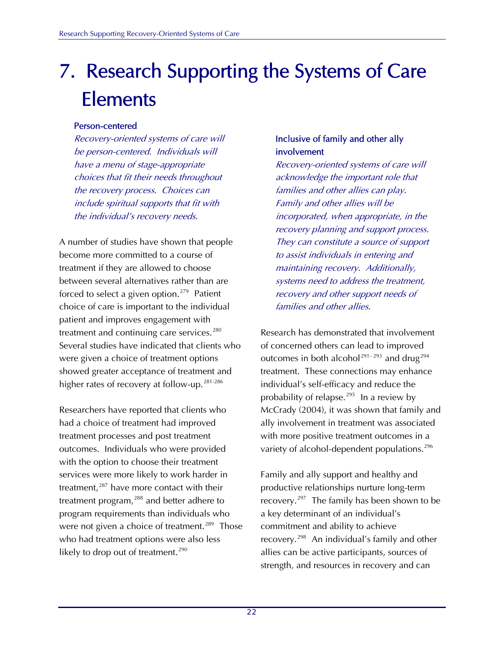# 7. Research Supporting the Systems of Care Elements

### Person-centered

Recovery-oriented systems of care will be person-centered. Individuals will have a menu of stage-appropriate choices that fit their needs throughout the recovery process. Choices can include spiritual supports that fit with the individual's recovery needs.

A number of studies have shown that people become more committed to a course of treatment if they are allowed to choose between several alternatives rather than are forced to select a given option.<sup>[279](#page-55-0)</sup> Patient choice of care is important to the individual patient and improves engagement with treatment and continuing care services. $280$ Several studies have indicated that clients who were given a choice of treatment options showed greater acceptance of treatment and higher rates of recovery at follow-up.<sup>[281](#page-55-0)-2[86](#page-55-0)</sup>

Researchers have reported that clients who had a choice of treatment had improved treatment processes and post treatment outcomes. Individuals who were provided with the option to choose their treatment services were more likely to work harder in treatment, $287$  have more contact with their treatment program,<sup>[288](#page-56-0)</sup> and better adhere to program requirements than individuals who were not given a choice of treatment.<sup>[289](#page-56-0)</sup> Those who had treatment options were also less likely to drop out of treatment.<sup>[290](#page-56-0)</sup>

### Inclusive of family and other ally involvement

Recovery-oriented systems of care will acknowledge the important role that families and other allies can play. Family and other allies will be incorporated, when appropriate, in the recovery planning and support process. They can constitute a source of support to assist individuals in entering and maintaining recovery. Additionally, systems need to address the treatment, recovery and other support needs of families and other allies.

Research has demonstrated that involvement of concerned others can lead to improved outcomes in both alcohol<sup>[291](#page-56-0)-293</sup> and drug<sup>[294](#page-56-0)</sup> treatment. These connections may enhance individual's self-efficacy and reduce the probability of relapse.<sup>[295](#page-56-0)</sup> In a review by McCrady (2004), it was shown that family and ally involvement in treatment was associated with more positive treatment outcomes in a variety of alcohol-dependent populations.<sup>[296](#page-56-0)</sup>

Family and ally support and healthy and productive relationships nurture long-term recovery.<sup>[297](#page-56-0)</sup> The family has been shown to be a key determinant of an individual's commitment and ability to achieve recovery.[298](#page-56-0) An individual's family and other allies can be active participants, sources of strength, and resources in recovery and can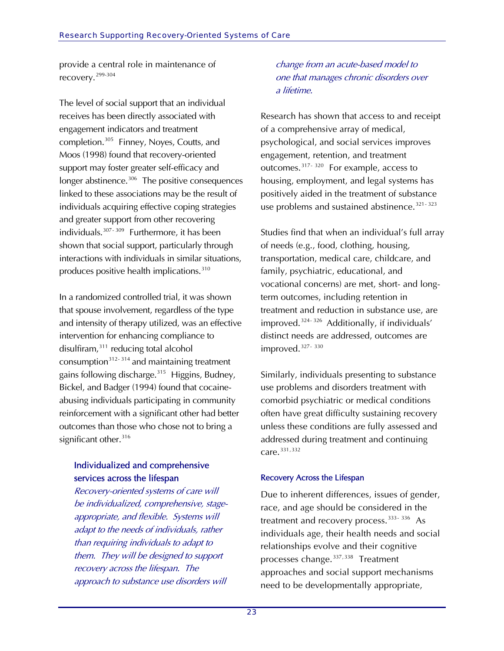provide a central role in maintenance of recovery.[299](#page-56-0)-3[04](#page-56-0) 

The level of social support that an individual completion.<sup>[305](#page-56-0)</sup> Finney, Noyes, Coutts, and longer abstinence.<sup>[306](#page-56-0)</sup> The positive consequences linked to these associations may be the result of individuals acquiring effective coping strategies shown that social support, particularly through interactions with individuals in similar situations, receives has been directly associated with engagement indicators and treatment Moos (1998) found that recovery-oriented support may foster greater self-efficacy and and greater support from other recovering individuals. $307 - 309$  Furthermore, it has been produces positive health implications.<sup>[310](#page-56-0)</sup>

and intensity of therapy utilized, was an effective reinforcement with a significant other had better outcomes than those who chose not to bring a significant other.<sup>316</sup> In a randomized controlled trial, it was shown that spouse involvement, regardless of the type intervention for enhancing compliance to disulfiram[,311](#page-56-0) reducing total alcohol consumption $312-314$  $312-314$  $312-314$  and maintaining treatment gains following discharge.<sup>[315](#page-57-0)</sup> Higgins, Budney, Bickel, and Badger (1994) found that cocaineabusing individuals participating in community

### Individualized and comprehensive services across the lifespan

l appropriate, and flexible. Systems wil than requiring individuals to adapt to approach to substance use disorders will Recovery-oriented systems of care will be individualized, comprehensive, stageadapt to the needs of individuals, rather them. They will be designed to support recovery across the lifespan. The

### one that manages chronic disorders over a lifetime. change from an acute-based model to

Research has shown that access to and receipt psychological, and social services improves use problems and sustained abstinence.  $321 - 323$ of a comprehensive array of medical, engagement, retention, and treatment outcomes.[317](#page-57-0)- 320 For example, access to housing, employment, and legal systems has positively aided in the treatment of substance

Studies find that when an individual's full array transportation, medical care, childcare, and vocational concerns) are met, short- and longdistinct needs are addressed, outcomes are improved.<sup>327-330</sup> of needs (e.g., food, clothing, housing, family, psychiatric, educational, and term outcomes, including retention in treatment and reduction in substance use, are improved.[324](#page-57-0)- 326Additionally, if individuals'

Similarly, individuals presenting to substance unless these conditions are fully assessed and addressed during treatment and continuing  $care.<sup>331,332</sup>$ use problems and disorders treatment with comorbid psychiatric or medical conditions often have great difficulty sustaining recovery

### Recovery Across the Lifespan

Due to inherent differences, issues of gender, individuals age, their health needs and social relationships evolve and their cognitive approaches and social support mechanisms race, and age should be considered in the treatment and recovery process.  $333 - 336$  $333 - 336$  As processes change.<sup>[337](#page-57-0),[338](#page-57-0)</sup> Treatment need to be developmentally appropriate,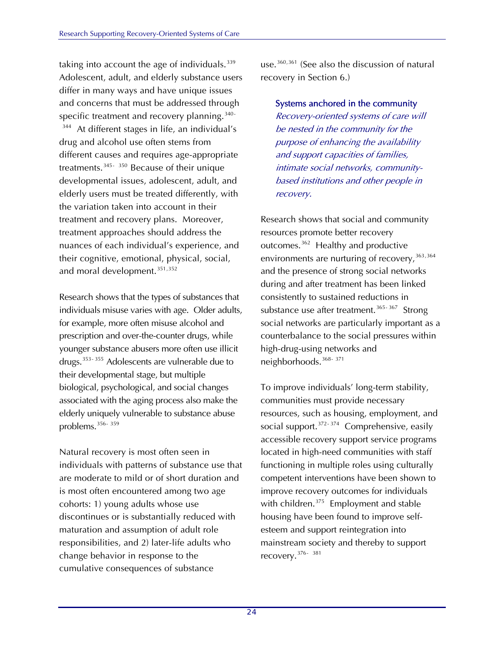taking into account the age of individuals.  $339$ Adolescent, adult, and elderly substance user s differ in many ways and have unique issues and concerns that must be addressed through specific treatment and recovery planning.<sup>[340](#page-57-0)-</sup>  $344$  At different stages in life, an individual's different causes and requires age-appropriate elderly users must be treated differently, with their cognitive, emotional, physical, social, and moral development.<sup>351,352</sup> drug and alcohol use often stems from treatments.<sup>[345](#page-58-0)-[350](#page-58-0)</sup> Because of their unique developmental issues, adolescent, adult, and the variation taken into account in their treatment and recovery plans. Moreover, treatment approaches should address the nuances of each individual's experience, and

individuals misuse varies with age. Older adults, younger substance abusers more often use illicit drugs.<sup>[353](#page-58-0)-[355](#page-58-0)</sup> Adolescents are vulnerable due to elderly uniquely vulnerable to substance abuse problems.<sup>356-359</sup> Research shows that the types of substances that for example, more often misuse alcohol and prescription and over-the-counter drugs, while their developmental stage, but multiple biological, psychological, and social changes associated with the aging process also make the

are moderate to mild or of short duration and is most often encountered among two age discontinues or is substantially reduced with responsibilities, and 2) later-life adults who Natural recovery is most often seen in individuals with patterns of substance use that cohorts: 1) young adults whose use maturation and assumption of adult role change behavior in response to the cumulative consequences of substance

use.<sup>360,361</sup> (See also the discussion of natural rec overy in Section 6.)

Systems anchored in the community intimate social networks, communitybased institutions and other people in Recovery-oriented systems of care will be nested in the community for the purpose of enhancing the availability and support capacities of families, recovery.

environments are nurturing of recovery,<sup>[363](#page-58-0),[3](#page-58-0)64</sup> [and the presence of strong social network](#page-58-0)s social networks are particularly important as a counterbalance to the social pressures within high-drug-using networks and Research shows that social and community resources promote better recovery outcomes.<sup>[362](#page-58-0)</sup> Healthy and productive substance use after treatment.<sup>365-[367](#page-58-0)</sup> Strong [during and after treatment has been linked](#page-58-0)  [consistently to sustained reductions in](#page-58-0)  neighborhoods.<sup>[368](#page-58-0)-[371](#page-58-0)</sup>

competent interventions have been shown to improve recovery outcomes for individuals with children.<sup>[375](#page-59-0)</sup> Employment and stable esteem and support reintegration into mainstream society and thereby to support [social support.](#page-58-0)<sup>[372](#page-59-0)-[374](#page-59-0)</sup> Comprehensive, easily [To improve individuals' long-term stability,](#page-58-0)  [communities must provide necessary](#page-58-0)  [resources, such as housing, employment, and](#page-58-0)  accessible recovery support service programs located in high-need communities with staff functioning in multiple roles using culturally housing have been found to improve selfrecovery.[376](#page-59-0)- [381](#page-59-0)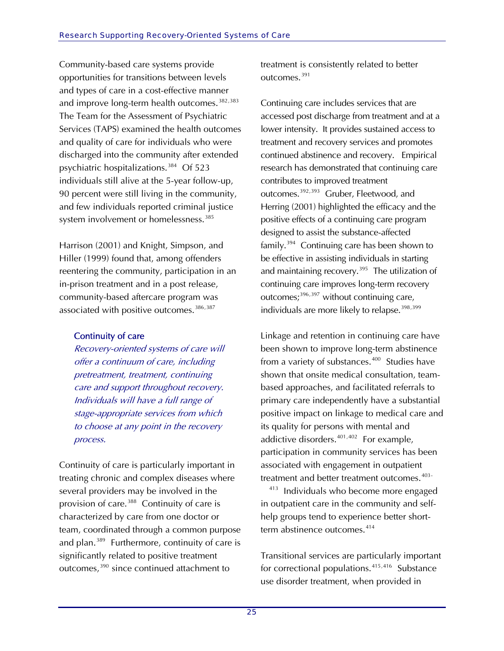Community-based care systems provide opportunities for transitions between levels and types of care in a cost-effective manner and improve long-term health outcomes. $^{382,383}$  $^{382,383}$  $^{382,383}$ [The Team for the Assessment of Psychiatric](#page-59-0)  [Services \(TAPS\) examined the health ou](#page-59-0) tcomes [and quality of care for individuals who were](#page-59-0)  [discharged into the community after extended](#page-59-0)  [psychiatric hospitalizations.](#page-59-0) 384 Of 523 individuals still alive at the 5-year follow-up, 0 percent were still living in the community, 9 and few individuals reported criminal justice system involvement or homelessness.<sup>[385](#page-59-0)</sup>

reentering the community, participation in an in-prison treatment and in a post release, community-based aftercare program was associated with positive outcomes.<sup>386,387</sup> Harrison (2001) and Knight, Simpson, and Hiller (1999) found that, among offenders

### Continuity of care

 care and support throughout recovery. Individuals will have a full range of stage-appropriate services from which Recovery-oriented systems of care will offer a continuum of care, including pretreatment, treatment, continuing to choose at any point in the recovery process.

Continuity of care is particularly important in re treating chronic and complex diseases whe team, coordinated through a common purpose and plan.<sup>[389](#page-59-0)</sup> Furthermore, continuity of care is significantly related to positive treatment outcomes,<sup>390</sup> since continued attachment to several providers may be involved in the provision of care.<sup>[388](#page-59-0)</sup> Continuity of care is characterized by care from one doctor or

treatment is consistently related to better outcomes.[391](#page-59-0)

[treatment and recovery services and](#page-59-0) promotes outcomes.<sup>392,[393](#page-59-0)</sup> Gruber, Fleetwood, and positive effects of a continuing care program be effective in assisting individuals in starting and maintaining recovery.<sup>395</sup> The utilization of continuing care improves long-term recovery [Continuing care includes services that are](#page-59-0)  [accessed post discharge from treatment and at a](#page-59-0)  [lower intensity. It provides sustained access to](#page-59-0)  [continued abstinence and recovery. Empirical](#page-59-0)  [research has demonstrated that continuing care](#page-59-0)  [contributes to improved treatment](#page-59-0)  Herring (2001) highlighted the efficacy and the designed to assist the substance-affected family.[394](#page-59-0) Continuing care has been shown to outcomes; $396,397$  $396,397$  without continuing care, individuals are more likely to relapse.<sup>398,[399](#page-59-0)</sup>

based approaches, and facilitated referrals to primary care independently have a substantial participation in community services has been [Linkage and retention in continuing care have](#page-59-0)  [been shown to improve long-term abstinence](#page-59-0)  [from a variety of substances.](#page-59-0)<sup>[400](#page-60-0)</sup> Studies have shown that onsite medical consultation, teampositive impact on linkage to medical care and its quality for persons with mental and addictive disorders. $401,402$  $401,402$  $401,402$  For example, associated with engagement in outpatient treatment and better treatment outcomes.<sup>[403](#page-60-0)-</sup>

 $413$  Individuals who become more engaged in outpatient care in the community and selfhelp groups tend to experience better short-term abstinence outcomes.<sup>[414](#page-60-0)</sup>

Transitional services are particularly important use disorder treatment, when provided in for correctional populations.<sup>[415](#page-60-0),[416](#page-60-0)</sup> Substance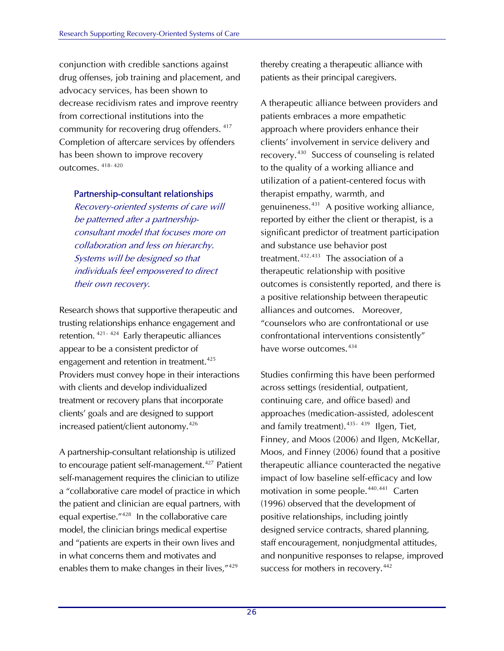conjunction with credible sanctions against drug offenses, job training and placem ent, and advocacy services, has been shown to decrease recidivism rates and improve reentry from correctional institutions into the community for re covering drug offenders. <sup>417</sup> Completion of aftercare services by offenders has been shown to improve recovery outc omes. 418- <sup>420</sup>

#### Partnership-consultant relationships

Recovery-oriented systems of care will consultant model that focuses more on collaboration and less on hierarchy. Systems will be designed so that be patterned after a partnershipindividuals feel empowered to direct their own recovery.

Research shows that supportive therapeutic and trusting relationships enhance engagement and Providers must convey hope in their interactions with clients and develop individualized treatment or recovery plans that incorporate retention. $421 - 424$  Early therapeutic alliances appear to be a consistent predictor of engagement and retention in treatment.<sup>425</sup> clients' goals and are designed to support increased patient/client autonomy.[426](#page-60-0)

a "collaborative care model of practice in which equal expertise."<sup>[428](#page-60-0)</sup> In the collaborative care and "patients are experts in their own lives and in what concerns them and motivates and enables them to make changes in their lives,"<sup>429</sup> [A partnership-consultant relationship is utilized](#page-60-0)  to encourage patient self-management.<sup>427</sup> Patient self-management requires the clinician to utilize the patient and clinician are equal partners, with model, the clinician brings medical expertise

thereby creating a therapeutic alliance with patients as their principal caregivers.

approach where providers enhance their recovery.<sup>[430](#page-60-0)</sup> Success of counseling is related genuineness.<sup>[431](#page-60-0)</sup> A positive working alliance, reported by either the client or therapist, is a significant predictor of treatment participation outcomes is consistently reported, and there is alliances and outcomes. Moreover, counselors who are confrontational or use " A therapeutic alliance between providers and patients embraces a more empathetic clients' involvement in service delivery and to the quality of a working alliance and utilization of a patient-centered focus with therapist empathy, warmth, and and substance use behavior post treatment. $432,433$  $432,433$  $432,433$  The association of a therapeutic relationship with positive a positive relationship between therapeutic confrontational interventions consistently" have worse outcomes.<sup>[434](#page-60-0)</sup>

, Finney, and Moos (2006) and Ilgen, McKellar therapeutic alliance counteracted the negative motivation in some people.<sup>[440](#page-61-0),[441](#page-61-0)</sup> Carten [designed service contracts, shared p](#page-61-0)lanning, staff encouragement, nonjudgmental attitudes, and nonpunitive responses to relapse, improved success for mothers in recovery.<sup>442</sup> [Studies confirming this have been performed](#page-60-0)  [across settings \(residential, outpatient,](#page-60-0)  [continuing care, and office based\) and](#page-60-0)  [approaches \(medication-assisted, adolescent](#page-60-0)  [and family treatment\).](#page-60-0)<sup>[435](#page-61-0)-439</sup> Ilgen, Tiet, Moos, and Finney (2006) found that a positive impact of low baseline self-efficacy and low [\(1996\) observed that the development of](#page-61-0)  [positive relationships, including jointly](#page-61-0)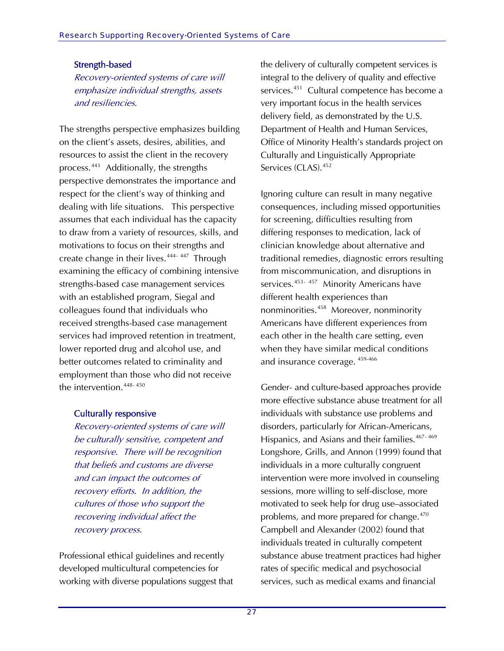### Strength-based

Recovery-oriented systems of care will emphasize individual strengths, assets and resiliencies.

The strengths perspective emphasizes building on the client's assets, desires, abilities, and resources to assist the client in the recovery process.[443](#page-61-0) Additionally, the strengths perspective demonstrates the importance and respect for the client's way of thinking and dealing with life situations. This perspective assumes that each individual has the capacity to draw from a variety of resources, skills, and motivations to focus on their strengths and create change in their lives.<sup>[444](#page-61-0)- 447</sup> Through examining the efficacy of combining intensive strengths-based case management services with an established program, Siegal and colleagues found that individuals who received strengths-based case management services had improved retention in treatment, lower reported drug and alcohol use, and better outcomes related to criminality and employment than those who did not receive the intervention.<sup>[448](#page-61-0)-[450](#page-61-0)</sup>

### Culturally responsive

Recovery-oriented systems of care will be culturally sensitive, competent and responsive. There will be recognition that beliefs and customs are diverse and can impact the outcomes of recovery efforts. In addition, the cultures of those who support the recovering individual affect the recovery process.

Professional ethical guidelines and recently developed multicultural competencies for working with diverse populations suggest that the delivery of culturally competent services is integral to the delivery of quality and effective services.<sup>[451](#page-61-0)</sup> Cultural competence has become a very important focus in the health services delivery field, as demonstrated by the U.S. Department of Health and Human Services, Office of Minority Health's standards project on Culturally and Linguistically Appropriate Services (CLAS).<sup>[452](#page-61-0)</sup>

Ignoring culture can result in many negative consequences, including missed opportunities for screening, difficulties resulting from differing responses to medication, lack of clinician knowledge about alternative and traditional remedies, diagnostic errors resulting from miscommunication, and disruptions in services.<sup>[453](#page-61-0)-457</sup> Minority Americans have different health experiences than nonminorities.[458](#page-61-0) Moreover, nonminority Americans have different experiences from each other in the health care setting, even when they have similar medical conditions and insurance coverage. [459](#page-61-0)-46[6](#page-61-0)

Gender- and culture-based approaches provide more effective substance abuse treatment for all individuals with substance use problems and disorders, particularly for African-Americans, Hispanics, and Asians and their families.<sup>[467](#page-62-0)-469</sup> Longshore, Grills, and Annon (1999) found that individuals in a more culturally congruent intervention were more involved in counseling sessions, more willing to self-disclose, more motivated to seek help for drug use–associated problems, and more prepared for change.<sup>[470](#page-62-0)</sup> Campbell and Alexander (2002) found that individuals treated in culturally competent substance abuse treatment practices had higher rates of specific medical and psychosocial services, such as medical exams and financial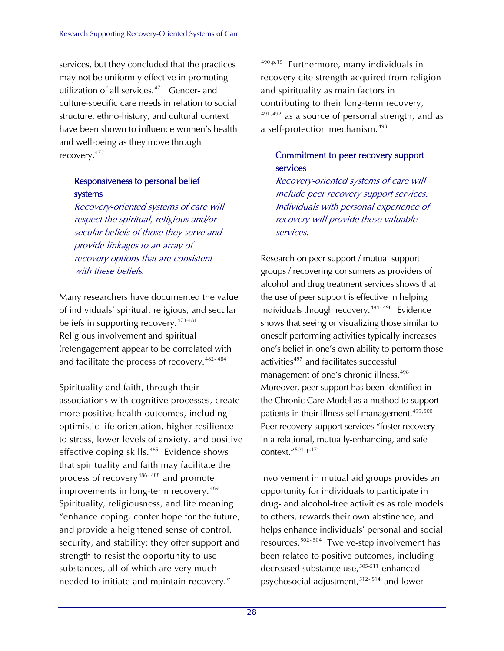services, but they concluded that the practices may not be uniformly effective in promoting utilization of all services.<sup>[471](#page-62-0)</sup> Gender- and culture-specific care needs in relation to social structure, ethno-history, and cultural context have been shown to influence women's health and well-being as they move through recovery.[472](#page-62-0)

### Responsiveness to personal belief systems

Recovery-oriented systems of care will respect the spiritual, religious and/or secular beliefs of those they serve and provide linkages to an array of recovery options that are consistent with these beliefs.

Many researchers have documented the value of individuals' spiritual, religious, and secular beliefs in supporting recovery.<sup>[473](#page-62-0)-481</sup> Religious involvement and spiritual (re)engagement appear to be correlated with and facilitate the process of recovery.<sup>482-484</sup>

Spirituality and faith, through their associations with cognitive processes, create more positive health outcomes, including optimistic life orientation, higher resilience to stress, lower levels of anxiety, and positive effective coping skills.<sup>[485](#page-62-0)</sup> Evidence shows that spirituality and faith may facilitate the process of recovery<sup>[486](#page-62-0)-[488](#page-62-0)</sup> and promote improvements in long-term recovery.<sup>[489](#page-62-0)</sup> Spirituality, religiousness, and life meaning "enhance coping, confer hope for the future, and provide a heightened sense of control, security, and stability; they offer support and strength to resist the opportunity to use substances, all of which are very much needed to initiate and maintain recovery."

 $490,p.15$  $490,p.15$  Furthermore, many individuals in recovery cite strength acquired from religion and spirituality as main factors in contributing to their long-term recovery, [491](#page-63-0),[492](#page-63-0) as a source of personal strength, and as a self-protection mechanism.<sup>[493](#page-63-0)</sup>

### Commitment to peer recovery support services

Recovery-oriented systems of care will include peer recovery support services. Individuals with personal experience of recovery will provide these valuable services.

Research on peer support / mutual support groups / recovering consumers as providers of alcohol and drug treatment services shows that the use of peer support is effective in helping individuals through recovery.<sup>[494](#page-63-0)-496</sup> Evidence shows that seeing or visualizing those similar to oneself performing activities typically increases one's belief in one's own ability to perform those activities<sup>[497](#page-63-0)</sup> and facilitates successful management of one's chronic illness.<sup>[498](#page-63-0)</sup> Moreover, peer support has been identified in the Chronic Care Model as a method to support patients in their illness self-management.<sup>499,[500](#page-63-0)</sup> Peer recovery support services "foster recovery in a relational, mutually-enhancing, and safe context.["501](#page-63-0), p.171

Involvement in mutual aid groups provides an opportunity for individuals to participate in drug- and alcohol-free activities as role models to others, rewards their own abstinence, and helps enhance individuals' personal and social resources.[502](#page-63-0)- 504 Twelve-step involvement has been related to positive outcomes, including decreased substance use,<sup>[505](#page-63-0)-511</sup> enhanced psychosocial adjustment,<sup>[512](#page-63-0)-[514](#page-63-0)</sup> and lower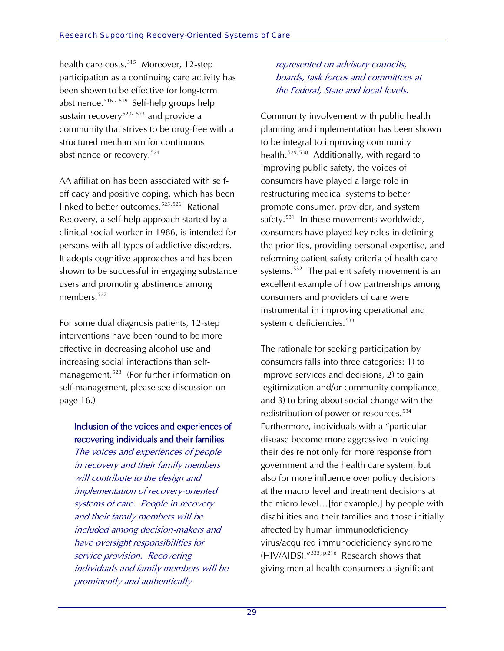health care costs.<sup>[515](#page-63-0)</sup> Moreover, 12-step participation as a continuing care activity has been shown to be effective for long-term abstinence.<sup>[516](#page-63-0) - [519](#page-63-0)</sup> Self-help groups help sustain recovery<sup>[520](#page-63-0)-[523](#page-63-0)</sup> and provide a community that strives to be drug-free w ith a structured mechanism for continuous abstinence or recovery.<sup>524</sup>

AA affiliation has been associated with selfefficacy and positive coping, which has been linked to better outcomes.<sup>[525](#page-64-0),[526](#page-64-0)</sup> Rational Recovery, a self-help approach started by a clinical social worker in 1986, is intended for persons with all types of addictive disorders. It adopts cognitive approaches and has been shown to be successful in engaging substance users and promoting abstinence among members.<sup>[527](#page-64-0)</sup>

For some dual diagnosis patients, 12-step interventions have been found to be more effective in decreasing alcohol use and increasing social interactions than self-management.<sup>[528](#page-64-0)</sup> (For further information on self-management, please see discussion on page 16.)

### Inclusion of the voices and experiences of recovering individuals and their families

The voices and experiences of people in recovery and their family members will contribute to the design and implementation of recovery-oriented systems of care. People in recovery and their family members will be included among decision-makers and have oversight responsibilities for service provision. Recovering individuals and family members will be prominently and authentically

represented on advisory councils, boards, task forces and committees at the Federal, State and local levels.

Community involvement with public health planning and implementation has been shown to be integral to improving community health.[529](#page-64-0),[530](#page-64-0) Additionally, with regard to improving public safety, the voices of consumers have played a large role in restructuring medical systems to better promote consumer, provider, and system safety.<sup>[531](#page-64-0)</sup> In these movements worldwide, consumers have played key roles in defining the priorities, providing personal expertise, and reforming patient safety criteria of health care systems.<sup>[532](#page-64-0)</sup> The patient safety movement is an excellent example of how partnerships among consumers and providers of care were instrumental in improving operational and systemic deficiencies.<sup>[533](#page-64-0)</sup>

The rationale for seeking participation by consumers falls into three categories: 1) to improve services and decisions, 2) to gain legitimization and/or community compliance, and 3) to bring about social change with the redistribution of power or resources.<sup>[534](#page-64-0)</sup> Furthermore, individuals with a "particular disease become more aggressive in voicing their desire not only for more response from government and the health care system, but also for more influence over policy decisions at the macro level and treatment decisions at the micro level…[for example,] by people with disabilities and their families and those initially affected by human immunodeficiency virus/acquired immunodeficiency syndrome (HIV/AIDS)."[535](#page-64-0), p.216 Research shows that giving mental health consumers a significant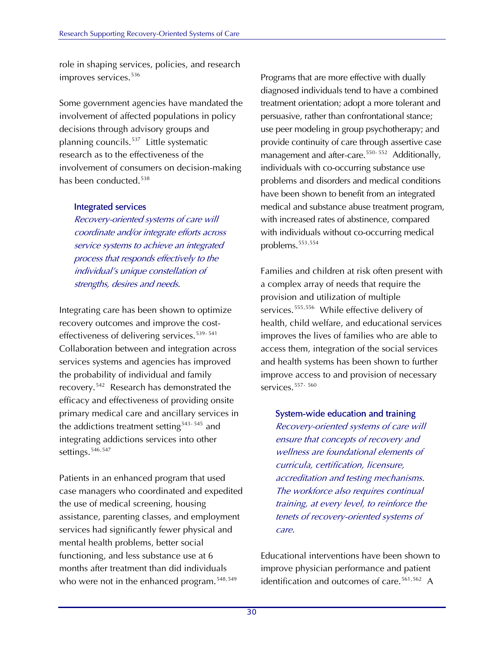role in shaping services, policies, and research improves services.<sup>[536](#page-64-0)</sup>

Some government agencies have mandated the involvement of affected populations in policy decisions through advisory groups and planning councils.[537](#page-64-0) Little systematic research as to the effectiveness of the involvement of consumers on decision-ma king has been conducted.<sup>538</sup>

### Integrated services

Recovery-oriented systems of care will coordinate and/or integrate efforts across service systems to achieve an integrated process that responds effectively to the individual's unique constellation of strengths, desires and needs.

Integrating care has been shown to optimize recovery outcomes and improve the cost-effectiveness of delivering services.<sup>[539](#page-64-0)-541</sup> Collaboration between and integration across services systems and agencies has improved the probability of individual and family recovery.[542](#page-64-0) Research has demonstrated the efficacy and effectiveness of providing onsite primary medical care and ancillary services in the addictions treatment setting<sup>[543](#page-64-0)-[545](#page-64-0)</sup> and integrating addictions services into other settings.<sup>[546](#page-64-0),[547](#page-64-0)</sup>

Patients in an enhanced program that used case managers who coordinated and expedited the use of medical screening, housing assistance, parenting classes, and employment services had significantly fewer physical and mental health problems, better social functioning, and less substance use at 6 months after treatment than did individuals who were not in the enhanced program.<sup>[548](#page-64-0),[549](#page-64-0)</sup>

Programs that are more effective with dually diagnosed individuals tend to have a combined treatment orientation; adopt a more tolerant and persuasive, rather than confrontational stance; use peer modeling in group psychotherapy; and provide continuity of care through assertive case management and after-care.<sup>[550](#page-64-0)- 552</sup> Additionally, individuals with co-occurring substance use problems and disorders and medical conditions have been shown to benefit from an integrated medical and substance abuse treatment program, with increased rates of abstinence, compared with individuals without co-occurring medical problems.<sup>[553](#page-65-0),[554](#page-65-0)</sup>

Families and children at risk often present with a complex array of needs that require the provision and utilization of multiple services.<sup>[555](#page-65-0),[556](#page-65-0)</sup> While effective delivery of health, child welfare, and educational services improves the lives of families who are able to access them, integration of the social services and health systems has been shown to further improve access to and provision of necessary services.  $557 - 560$  $557 - 560$  $557 - 560$ 

System-wide education and training Recovery-oriented systems of care will ensure that concepts of recovery and wellness are foundational elements of curricula, certification, licensure, accreditation and testing mechanisms. The workforce also requires continual training, at every level, to reinforce the tenets of recovery-oriented systems of care.

Educational interventions have been shown to improve physician performance and patient identification and outcomes of care.<sup>[561](#page-65-0),[562](#page-65-0)</sup> A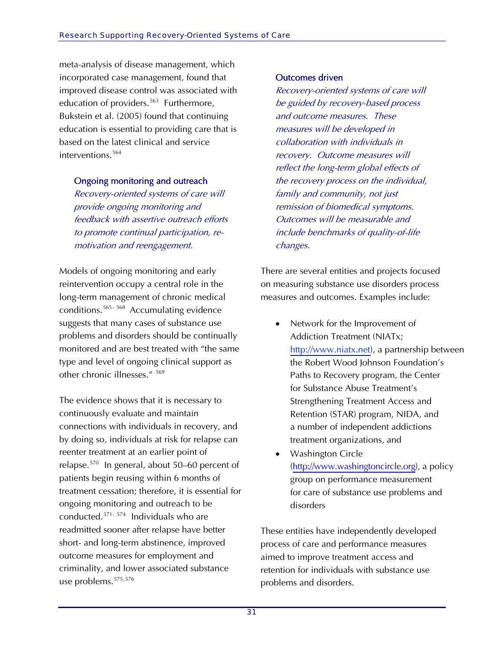meta-analysis of disease management, which incorporated case management, found that improved disease control was associated with education of providers.<sup>[563](#page-65-0)</sup> Furthermore, Bukstein et al. (2005) found that continuing education is essential to providing care that is based on the latest clinical and service interventions.[564](#page-65-0)

### Ongoing monitoring and outreach

Recovery-oriented systems of care will provide ongoing monitoring and feedback with assertive outreach efforts to promote continual participation, remotivation and reengagement.

Models of ongoing monitoring and early reintervention occupy a central role in the long-term management of chronic medical conditions.[565](#page-65-0)- 568Accumulating evidence suggests that many cases of substance use problems and disorders should be continually monitored and are best treated with "the same type and level of ongoing clinical support as other chronic illnesses." [569](#page-65-0)

The evidence shows that it is necessary to continuously evaluate and maintain connections with individuals in recovery, and by doing so, individuals at risk for relapse can reenter treatment at an earlier point of relapse.[570](#page-65-0) In general, about 50–60 percent of patients begin reusing within 6 months of treatment cessation; therefore, it is essential for ongoing monitoring and outreach to be conducted.[571](#page-65-0)- 574 Individuals who are readmitted sooner after relapse have better short- and long-term abstinence, improved outcome measures for employment and criminality, and lower associated substance use problems.<sup>[575](#page-65-0),[576](#page-65-0)</sup>

#### Outcomes driven

Recovery-oriented systems of care will be guided by recovery-based process and outcome measures. These measures will be developed in collaboration with individuals in recovery. Outcome measures will reflect the long-term global effects of the recovery process on the individual, family and community, not just remission of biomedical symptoms. Outcomes will be measurable and include benchmarks of quality-of-life changes.

There are several entities and projects focused on measuring substance use disorders process measures and outcomes. Examples include:

- Network for the Improvement of Addiction Treatment (NIATx; [http://www.ni](http://www.niatx.net/)[atx.net\)](http://www.niatx.net), a partnership between the Robert Wood Johnson Foundation's Paths to Recovery program, the Center for Substance Abuse Treatment's Strengthening Treatment Access and Retention (STAR) program, NIDA, and a number of independent addictions treatment organizations, and
- Washington Circle ([http://www.washingtoncir](http://www.washingtoncircle.org/)[cle.org\)](http://www.washingtoncircle.org), a policy group on performance measurement for care of substance use problems and disorders

These entities have independently developed process of care and performance measures aimed to improve treatment access and retention for individuals with substance use problems and disorders.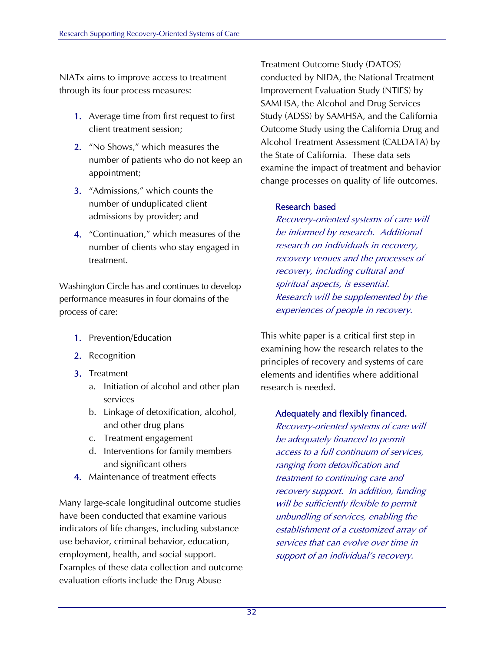NIATx aims to improve access to treatment through its four process measures:

- 1. Average time from first request to first client treatment session;
- 2. "No Shows," which measures the number of patients who do not keep an appointment;
- 3. "Admissions," which counts the number of unduplicated client admissions by provider; and
- 4. "Continuation," which measures of the number of clients who stay engaged in treatment.

Washington Circle has and continues to develop performance measures in four domains of the process of care:

- 1. Prevention/Education
- 2. Recognition
- 3. Treatment
	- a. Initiation of alcohol and other plan services
	- b. Linkage of detoxification, alcohol, and other drug plans
	- c. Treatment engagement
	- d. Interventions for family members and significant others
- 4. Maintenance of treatment effects

Many large-scale longitudinal outcome studies have been conducted that examine various indicators of life changes, including substance use behavior, criminal behavior, education, employment, health, and social support. Examples of these data collection and outcome evaluation efforts include the Drug Abuse

Treatment Outcome Study (DATOS) conducted by NIDA, the National Treatment Improvement Evaluation Study (NTIES) by SAMHSA, the Alcohol and Drug Services Study (ADSS) by SAMHSA, and the California Outcome Study using the California Drug and Alcohol Treatment Assessment (CALDATA) by the State of California. These data sets examine the impact of treatment and behavior change processes on quality of life outcomes.

#### Research based

Recovery-oriented systems of care will be informed by research. Additional research on individuals in recovery, recovery venues and the processes of recovery, including cultural and spiritual aspects, is essential. Research will be supplemented by the experiences of people in recovery.

This white paper is a critical first step in examining how the research relates to the principles of recovery and systems of care elements and identifies where additional research is needed.

### Adequately and flexibly financed.

Recovery-oriented systems of care will be adequately financed to permit access to a full continuum of services, ranging from detoxification and treatment to continuing care and recovery support. In addition, funding will be sufficiently flexible to permit unbundling of services, enabling the establishment of a customized array of services that can evolve over time in support of an individual's recovery.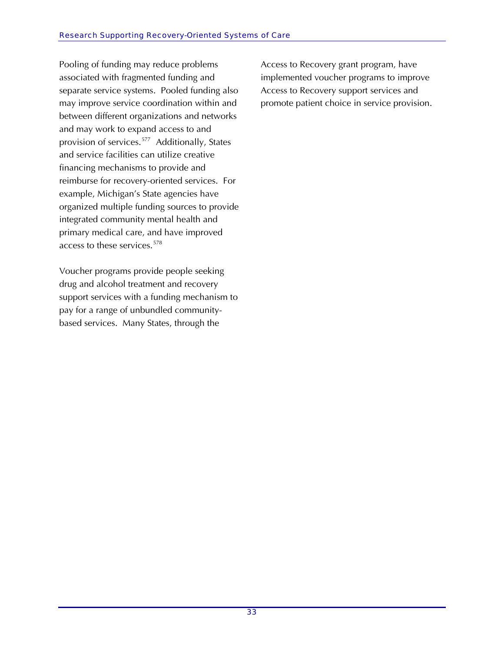Pooling of funding may reduce problems associated with fragmented funding and separate service systems. Pooled funding also may improve service coordination within and between different organizations and networks and may work to expand access to and provision of services.[577](#page-65-0) Additionally, States and service facilities can utilize creative financing mechanisms to provide and reimburse for recovery-oriented services. For example, Michigan's State agencies have organized multiple funding sources to provide integrated community mental health and primary medical care, and have improved access to these services.<sup>[578](#page-66-0)</sup>

Voucher programs provide people seeking drug and alcohol treatment and recovery support services with a funding mechanism to pay for a range of unbundled communitybased services. Many States, through the

Access to Recovery grant program, have implemented voucher programs to improve Access to Recovery support services and promote patient choice in service provision.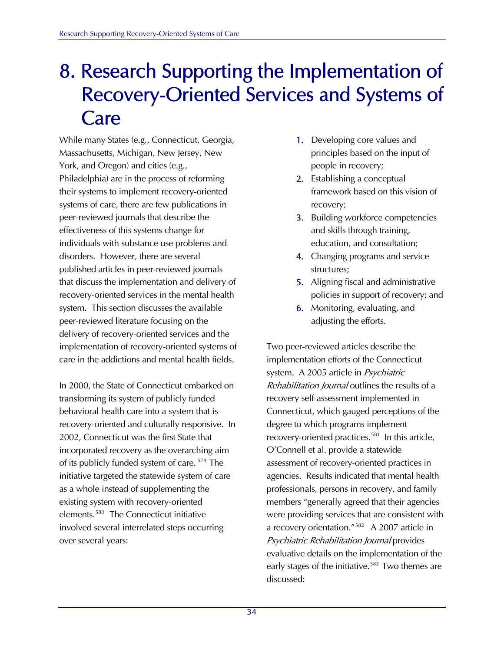### 8. Research Supporting the Implementation of Recovery-Oriented Services and Systems of Care

While many States (e.g., Connecticut, Georgia, Massachusetts, Michigan, New Jersey, New York, and Oregon) and cities (e.g., Philadelphia) are in the process of reforming their systems to implement recovery-oriented systems of care, there are few publications in peer-reviewed journals that describe the effectiveness of this systems change for individuals with substance use problems and disorders. However, there are several published articles in peer-reviewed journals that discuss the implementation and delivery of recovery-oriented services in the mental health system. This section discusses the available peer-reviewed literature focusing on the delivery of recovery-oriented services and the implementation of recovery-oriented systems of care in the addictions and mental health fields.

In 2000, the State of Connecticut embarked on transforming its system of publicly funded behavioral health care into a system that is recovery-oriented and culturally responsive. In 2002, Connecticut was the first State that incorporated recovery as the overarching aim of its publicly funded system of care. [579](#page-66-1) The initiative targeted the statewide system of care as a whole instead of supplementing the existing system with recovery-oriented elements.<sup>[580](#page-66-1)</sup> The Connecticut initiative involved several interrelated steps occurring over several years:

- 1. Developing core values and principles based on the input of people in recovery;
- 2. Establishing a conceptual framework based on this vision of recovery;
- 3. Building workforce competencies and skills through training, education, and consultation;
- 4. Changing programs and service structures;
- 5. Aligning fiscal and administrative policies in support of recovery; and
- 6. Monitoring, evaluating, and adjusting the efforts.

Two peer-reviewed articles describe the implementation efforts of the Connecticut system. A 2005 article in Psychiatric Rehabilitation Journal outlines the results of a recovery self-assessment implemented in Connecticut, which gauged perceptions of the degree to which programs implement recovery-oriented practices.<sup>[581](#page-66-1)</sup> In this article, O'Connell et al. provide a statewide assessment of recovery-oriented practices in agencies. Results indicated that mental health professionals, persons in recovery, and family members "generally agreed that their agencies were providing services that are consistent with a recovery orientation."<sup>[582](#page-66-1)</sup> A 2007 article in Psychiatric Rehabilitation Journal provides evaluative details on the implementation of the early stages of the initiative.<sup>[583](#page-66-1)</sup> Two themes are discussed: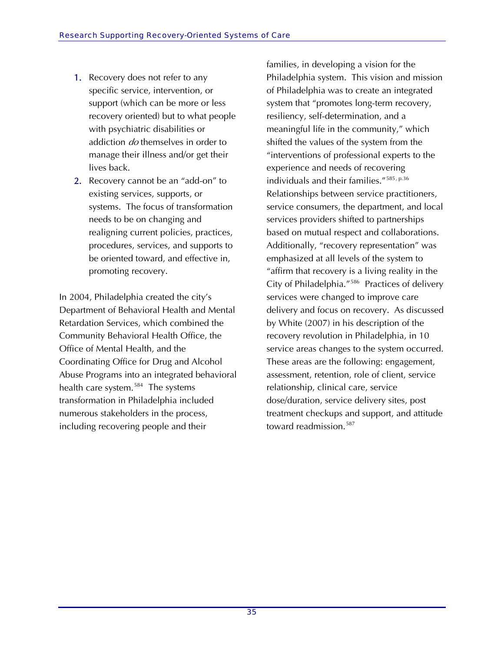- 1. Recovery does not refer to any specific service, intervention, or support (which can be more or less recovery oriented) but to what people with psychiatric disabilities or addiction *do* themselves in order to manage their illness and/or get their lives back.
- 2. Recovery cannot be an "add-on" to existing services, supports, or systems. The focus of transformation needs to be on changing and realigning current policies, practices, procedures, services, and supports to be oriented toward, and effective in, promoting recovery.

In 2004, Philadelphia created the city's Department of Behavioral Health and Mental Retardation Services, which combined the Community Behavioral Health Office, the Office of Mental Health, and the Coordinating Office for Drug and Alcohol Abuse Programs into an integrated behavioral health care system.<sup>[584](#page-66-1)</sup> The systems transformation in Philadelphia included numerous stakeholders in the process, including recovering people and their

families, in developing a vision for the Philadelphia system. This vision and mission of Philadelphia was to create an integrated system that "promotes long-term recovery, resiliency, self-determination, and a meaningful life in the community," which shifted the values of the system from the "interventions of professional experts to the experience and needs of recovering individuals and their families."[585](#page-66-1), p.36 Relationships between service practitioners, service consumers, the department, and local services providers shifted to partnerships based on mutual respect and collaborations. Additionally, "recovery representation" was emphasized at all levels of the system to "affirm that recovery is a living reality in the City of Philadelphia."[586](#page-66-1) Practices of delivery services were changed to improve care delivery and focus on recovery. As discussed by White (2007) in his description of the recovery revolution in Philadelphia, in 10 service areas changes to the system occurred. These areas are the following: engagement, assessment, retention, role of client, service relationship, clinical care, service dose/duration, service delivery sites, post treatment checkups and support, and attitude toward readmission.<sup>[587](#page-66-1)</sup>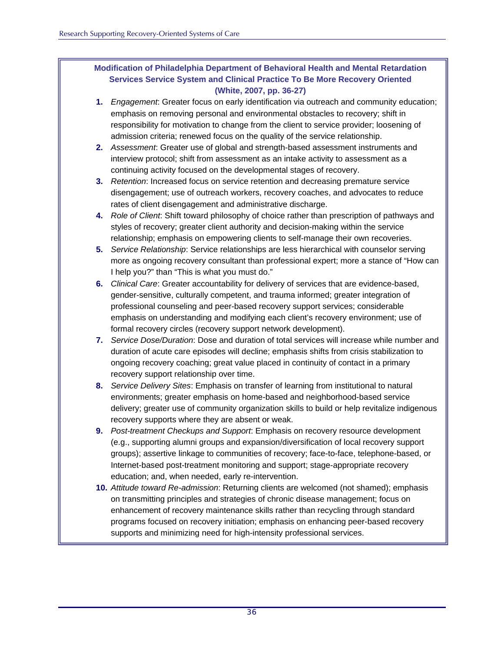### **Modification of Philadelphia Department of Behavioral Health and Mental Retardation Services Service System and Clinical Practice To Be More Recovery Oriented (White, 2007, pp. 36-27)**

- **1.** *Engagement*: Greater focus on early identification via outreach and community education; emphasis on removing personal and environmental obstacles to recovery; shift in responsibility for motivation to change from the client to service provider; loosening of admission criteria; renewed focus on the quality of the service relationship.
- **2.** *Assessment*: Greater use of global and strength-based assessment instruments and interview protocol; shift from assessment as an intake activity to assessment as a continuing activity focused on the developmental stages of recovery.
- **3.** *Retention*: Increased focus on service retention and decreasing premature service disengagement; use of outreach workers, recovery coaches, and advocates to reduce rates of client disengagement and administrative discharge.
- **4.** *Role of Client*: Shift toward philosophy of choice rather than prescription of pathways and styles of recovery; greater client authority and decision-making within the service relationship; emphasis on empowering clients to self-manage their own recoveries.
- **5.** *Service Relationship*: Service relationships are less hierarchical with counselor serving more as ongoing recovery consultant than professional expert; more a stance of "How can I help you?" than "This is what you must do."
- **6.** *Clinical Care*: Greater accountability for delivery of services that are evidence-based, gender-sensitive, culturally competent, and trauma informed; greater integration of professional counseling and peer-based recovery support services; considerable emphasis on understanding and modifying each client's recovery environment; use of formal recovery circles (recovery support network development).
- **7.** *Service Dose/Duration*: Dose and duration of total services will increase while number and duration of acute care episodes will decline; emphasis shifts from crisis stabilization to ongoing recovery coaching; great value placed in continuity of contact in a primary recovery support relationship over time.
- **8.** *Service Delivery Sites*: Emphasis on transfer of learning from institutional to natural environments; greater emphasis on home-based and neighborhood-based service delivery; greater use of community organization skills to build or help revitalize indigenous recovery supports where they are absent or weak.
- **9.** *Post-treatment Checkups and Support*: Emphasis on recovery resource development (e.g., supporting alumni groups and expansion/diversification of local recovery support groups); assertive linkage to communities of recovery; face-to-face, telephone-based, or Internet-based post-treatment monitoring and support; stage-appropriate recovery education; and, when needed, early re-intervention.
- **10.** *Attitude toward Re-admission*: Returning clients are welcomed (not shamed); emphasis on transmitting principles and strategies of chronic disease management; focus on enhancement of recovery maintenance skills rather than recycling through standard programs focused on recovery initiation; emphasis on enhancing peer-based recovery supports and minimizing need for high-intensity professional services.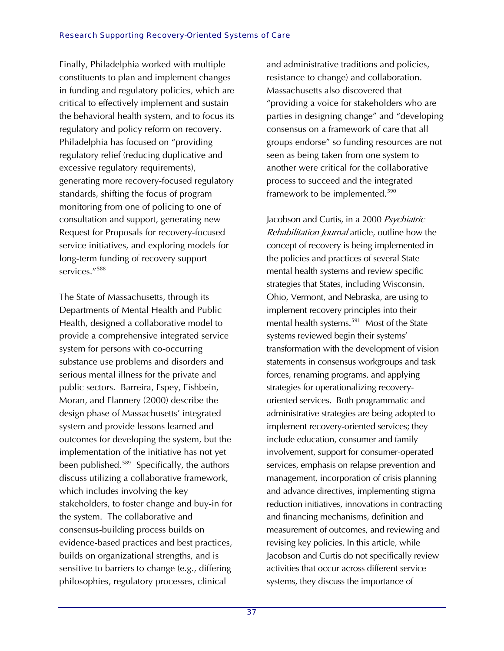Finally, Philadelphia worked with multiple constituents to plan and implement changes in funding and regulatory policies, which are critical to effectively implement and sustain the behavioral health system, and to focus its regulatory and policy reform on recovery. Philadelphia has focused on "providing regulatory relief (reducing duplicative and excessive regulatory requirements), generating more recovery-focused regulatory standards, shifting the focus of program monitoring from one of policing to one of consultation and support, generating new Request for Proposals for recovery-focused service initiatives, and exploring models for long-term funding of recovery support services."<sup>588</sup>

The State of Massachusetts, through its Departments of Mental Health and Public Health, designed a collaborative model to provide a comprehensive integrated service system for persons with co-occurring substance use problems and disorders and serious mental illness for the private and public sectors. Barreira, Espey, Fishbein, Moran, and Flannery (2000) describe the design phase of Massachusetts' integrated system and provide lessons learned and outcomes for developing the system, but the implementation of the initiative has not yet been published.<sup>[589](#page-66-2)</sup> Specifically, the authors discuss utilizing a collaborative framework, which includes involving the key stakeholders, to foster change and buy-in for the system. The collaborative and consensus-building process builds on evidence-based practices and best practices, builds on organizational strengths, and is sensitive to barriers to change (e.g., differing philosophies, regulatory processes, clinical

and administrative traditions and policies, resistance to change) and collaboration. Massachusetts also discovered that "providing a voice for stakeholders who are parties in designing change" and "developing consensus on a framework of care that all groups endorse" so funding resources are not seen as being taken from one system to another were critical for the collaborative process to succeed and the integrated framework to be implemented.<sup>[590](#page-66-2)</sup>

Jacobson and Curtis, in a 2000 Psychiatric Rehabilitation Journal article, outline how the concept of recovery is being implemented in the policies and practices of several State mental health systems and review specific strategies that States, including Wisconsin, Ohio, Vermont, and Nebraska, are using to implement recovery principles into their mental health systems.<sup>[591](#page-66-2)</sup> Most of the State systems reviewed begin their systems' transformation with the development of vision statements in consensus workgroups and task forces, renaming programs, and applying strategies for operationalizing recoveryoriented services. Both programmatic and administrative strategies are being adopted to implement recovery-oriented services; they include education, consumer and family involvement, support for consumer-operated services, emphasis on relapse prevention and management, incorporation of crisis planning and advance directives, implementing stigma reduction initiatives, innovations in contracting and financing mechanisms, definition and measurement of outcomes, and reviewing and revising key policies. In this article, while Jacobson and Curtis do not specifically review activities that occur across different service systems, they discuss the importance of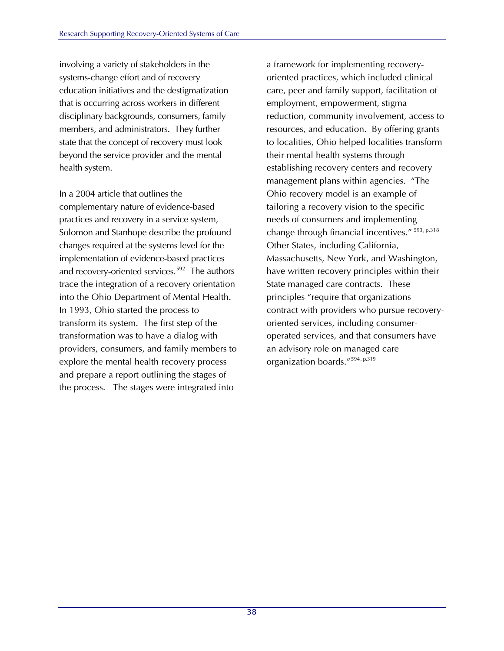involving a variety of stakeholders in the systems-change effort and of recovery education initiatives and the destigmatization that is occurring across workers in different disciplinary backgrounds, consumers, family members, and administrators. They further state that the concept of recovery must look beyond the service provider and the mental health system.

In a 2004 article that outlines the complementary nature of evidence-based practices and recovery in a service system, Solomon and Stanhope describe the profound changes required at the systems level for the implementation of evidence-based practices and recovery-oriented services.<sup>[592](#page-66-2)</sup> The authors trace the integration of a recovery orientation into the Ohio Department of Mental Health. In 1993, Ohio started the process to transform its system. The first step of the transformation was to have a dialog with providers, consumers, and family members to explore the mental health recovery process and prepare a report outlining the stages of the process. The stages were integrated into

a framework for implementing recoveryoriented practices, which included clinical care, peer and family support, facilitation of employment, empowerment, stigma reduction, community involvement, access to resources, and education. By offering grants to localities, Ohio helped localities transform their mental health systems through establishing recovery centers and recovery management plans within agencies. "The Ohio recovery model is an example of tailoring a recovery vision to the specific needs of consumers and implementing change through financial incentives." [593](#page-66-2), p.318 Other States, including California, Massachusetts, New York, and Washington, have written recovery principles within their State managed care contracts. These principles "require that organizations contract with providers who pursue recoveryoriented services, including consumeroperated services, and that consumers have an advisory role on managed care organization boards."[594](#page-66-2), p.319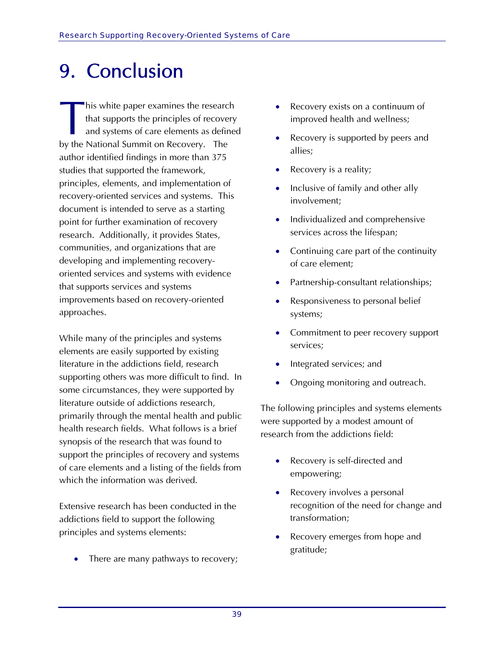### 9. Conclusion

his white paper examines the research that supports the principles of recovery and systems of care elements as defined by the National Summit on Recovery. The author identified findings in more than 375 studies that supported the framework, principles, elements, and implementation of recovery-oriented services and systems. This document is intended to serve as a starting point for further examination of recovery research. Additionally, it provides States, communities, and organizations that are developing and implementing recoveryoriented services and systems with evidence that supports services and systems improvements based on recovery-oriented approaches.  $\begin{array}{c} \hline \ \hline \ \hline \ \hline \ \hline \end{array}$ 

While many of the principles and systems elements are easily supported by existing literature in the addictions field, research supporting others was more difficult to find. In some circumstances, they were supported by literature outside of addictions research, primarily through the mental health and public health research fields. What follows is a brief synopsis of the research that was found to support the principles of recovery and systems of care elements and a listing of the fields from which the information was derived.

Extensive research has been conducted in the addictions field to support the following principles and systems elements:

There are many pathways to recovery;

- Recovery exists on a continuum of improved health and wellness;
- Recovery is supported by peers and allies;
- Recovery is a reality;
- Inclusive of family and other ally involvement;
- Individualized and comprehensive services across the lifespan;
- Continuing care part of the continuity of care element;
- Partnership-consultant relationships;
- Responsiveness to personal belief systems;
- Commitment to peer recovery support services;
- Integrated services; and
- Ongoing monitoring and outreach.

The following principles and systems elements were supported by a modest amount of research from the addictions field:

- Recovery is self-directed and empowering;
- Recovery involves a personal recognition of the need for change and transformation;
- Recovery emerges from hope and gratitude;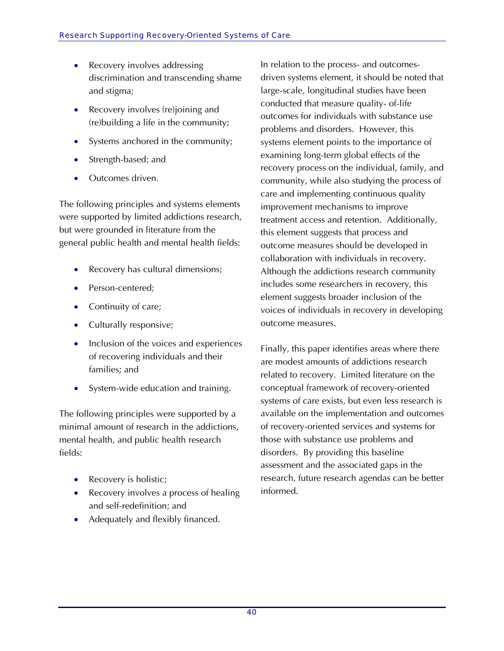- Recovery involves addressing discrimination and transcending shame and stigma;
- Recovery involves (re)joining and (re)building a life in the community;
- Systems anchored in the community;
- Strength-based; and
- Outcomes driven.

The following principles and systems elements were supported by limited addictions research, but were grounded in literature from the general public health and mental health fields:

- Recovery has cultural dimensions;
- Person-centered;
- Continuity of care;
- Culturally responsive;
- Inclusion of the voices and experiences of recovering individuals and their families; and
- System-wide education and training.

The following principles were supported by a minimal amount of research in the addictions, mental health, and public health research fields:

- Recovery is holistic;
- Recovery involves a process of healing and self-redefinition; and
- Adequately and flexibly financed.

In relation to the process- and outcomesdriven systems element, it should be noted that large-scale, longitudinal studies have been conducted that measure quality- of-life outcomes for individuals with substance use problems and disorders. However, this systems element points to the importance of examining long-term global effects of the recovery process on the individual, family, and community, while also studying the process of care and implementing continuous quality improvement mechanisms to improve treatment access and retention. Additionally, this element suggests that process and outcome measures should be developed in collaboration with individuals in recovery. Although the addictions research community includes some researchers in recovery, this element suggests broader inclusion of the voices of individuals in recovery in developing outcome measures.

Finally, this paper identifies areas where there are modest amounts of addictions research related to recovery. Limited literature on the conceptual framework of recovery-oriented systems of care exists, but even less research is available on the implementation and outcomes of recovery-oriented services and systems for those with substance use problems and disorders. By providing this baseline assessment and the associated gaps in the research, future research agendas can be better informed.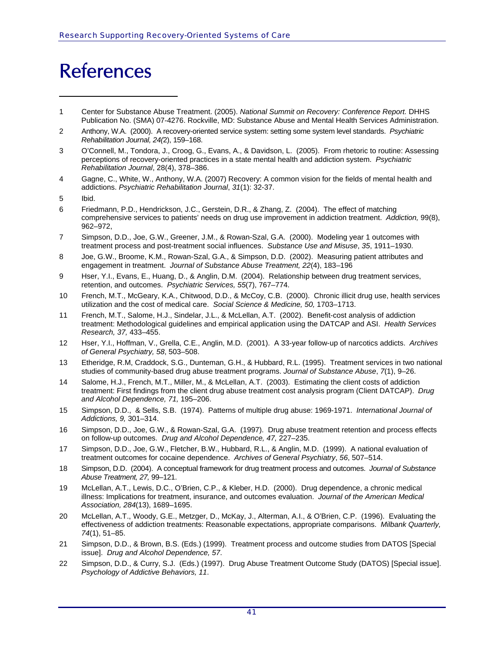### References

- <span id="page-46-0"></span>1 Center for Substance Abuse Treatment. (2005). *National Summit on Recovery: Conference Report.* DHHS Publication No. (SMA) 07-4276. Rockville, MD: Substance Abuse and Mental Health Services Administration.
- <span id="page-46-1"></span>2 Anthony, W.A. (2000). A recovery-oriented service system: setting some system level standards. *Psychiatric Rehabilitation Journal, 24(*2), 159–168.
- 3 O'Connell, M., Tondora, J., Croog, G., Evans, A., & Davidson, L. (2005). From rhetoric to routine: Assessing perceptions of recovery-oriented practices in a state mental health and addiction system. *Psychiatric Rehabilitation Journal*, 28(4), 378–386.
- 4 Gagne, C., White, W., Anthony, W.A. (2007) Recovery: A common vision for the fields of mental health and addictions. *Psychiatric Rehabilitation Journal*, *31*(1): 32-37.
- 5 Ibid.

ī

- 6 Friedmann, P.D., Hendrickson, J.C., Gerstein, D.R., & Zhang, Z. (2004). The effect of matching comprehensive services to patients' needs on drug use improvement in addiction treatment. *Addiction,* 99(8), 962–972,
- 7 Simpson, D.D., Joe, G.W., Greener, J.M., & Rowan-Szal, G.A. (2000). Modeling year 1 outcomes with treatment process and post-treatment social influences. *Substance Use and Misuse*, *35*, 1911–1930.
- 8 Joe, G.W., Broome, K.M., Rowan-Szal, G.A., & Simpson, D.D. (2002). Measuring patient attributes and engagement in treatment. *Journal of Substance Abuse Treatment, 22*(4), 183–196
- 9 Hser, Y.I., Evans, E., Huang, D., & Anglin, D.M. (2004). Relationship between drug treatment services, retention, and outcomes. *Psychiatric Services, 55*(7), 767–774.
- 10 French, M.T., McGeary, K.A., Chitwood, D.D., & McCoy, C.B. (2000). Chronic illicit drug use, health services utilization and the cost of medical care. *Social Science & Medicine, 50,* 1703–1713.
- 11 French, M.T., Salome, H.J., Sindelar, J.L., & McLellan, A.T. (2002). Benefit-cost analysis of addiction treatment: Methodological guidelines and empirical application using the DATCAP and ASI. *Health Services Research, 37,* 433–455.
- 12 Hser, Y.I., Hoffman, V., Grella, C.E., Anglin, M.D. (2001). A 33-year follow-up of narcotics addicts. *Archives of General Psychiatry, 58*, 503–508.
- 13 Etheridge, R.M, Craddock, S.G., Dunteman, G.H., & Hubbard, R.L. (1995). Treatment services in two national studies of community-based drug abuse treatment programs. *Journal of Substance Abuse*, *7*(1), 9–26.
- 14 Salome, H.J., French, M.T., Miller, M., & McLellan, A.T. (2003). Estimating the client costs of addiction treatment: First findings from the client drug abuse treatment cost analysis program (Client DATCAP). *Drug and Alcohol Dependence, 71,* 195–206.
- 15 Simpson, D.D., & Sells, S.B. (1974). Patterns of multiple drug abuse: 1969-1971. *International Journal of Addictions, 9,* 301–314.
- 16 Simpson, D.D., Joe, G.W., & Rowan-Szal, G.A. (1997). Drug abuse treatment retention and process effects on follow-up outcomes. *Drug and Alcohol Dependence, 47,* 227–235.
- 17 Simpson, D.D., Joe, G.W., Fletcher, B.W., Hubbard, R.L., & Anglin, M.D. (1999). A national evaluation of treatment outcomes for cocaine dependence. *Archives of General Psychiatry*, *56*, 507–514.
- 18 Simpson, D.D. (2004). A conceptual framework for drug treatment process and outcomes. *Journal of Substance Abuse Treatment, 27,* 99–121.
- 19 McLellan, A.T., Lewis, D.C., O'Brien, C.P., & Kleber, H.D. (2000). Drug dependence, a chronic medical illness: Implications for treatment, insurance, and outcomes evaluation. *Journal of the American Medical Association, 284*(13), 1689–1695.
- 20 McLellan, A.T., Woody, G.E., Metzger, D., McKay, J., Alterman, A.I., & O'Brien, C.P. (1996). Evaluating the effectiveness of addiction treatments: Reasonable expectations, appropriate comparisons. *Milbank Quarterly, 74*(1), 51–85.
- 21 Simpson, D.D., & Brown, B.S. (Eds.) (1999). Treatment process and outcome studies from DATOS [Special issue]. *Drug and Alcohol Dependence, 57*.
- 22 Simpson, D.D., & Curry, S.J. (Eds.) (1997). Drug Abuse Treatment Outcome Study (DATOS) [Special issue]. *Psychology of Addictive Behaviors, 11*.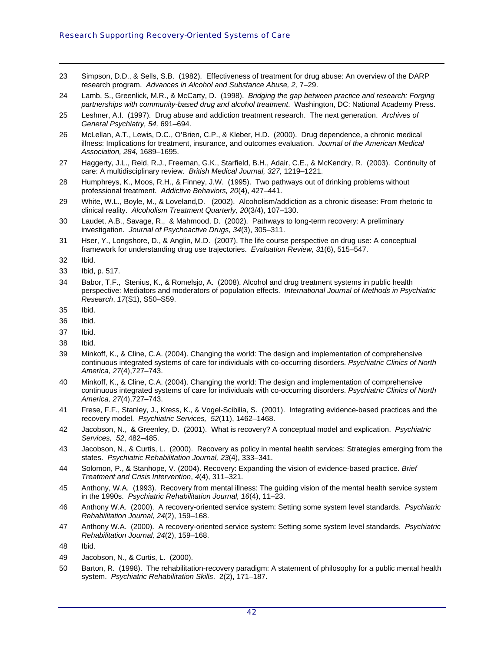- 23 Simpson, D.D., & Sells, S.B. (1982). Effectiveness of treatment for drug abuse: An overview of the DARP research program. *Advances in Alcohol and Substance Abuse, 2,* 7–29.
- 24 Lamb, S., Greenlick, M.R., & McCarty, D. (1998). *Bridging the gap between practice and research: Forging partnerships with community-based drug and alcohol treatment*. Washington, DC: National Academy Press.
- 25 Leshner, A.I. (1997). Drug abuse and addiction treatment research. The next generation. *Archives of General Psychiatry, 54,* 691–694.
- <span id="page-47-0"></span>26 McLellan, A.T., Lewis, D.C., O'Brien, C.P., & Kleber, H.D. (2000). Drug dependence, a chronic medical illness: Implications for treatment, insurance, and outcomes evaluation. *Journal of the American Medical Association, 284,* 1689–1695.
- 27 Haggerty, J.L., Reid, R.J., Freeman, G.K., Starfield, B.H., Adair, C.E., & McKendry, R. (2003). Continuity of care: A multidisciplinary review. *British Medical Journal, 327,* 1219–1221.
- 28 Humphreys, K., Moos, R.H., & Finney, J.W. (1995). Two pathways out of drinking problems without professional treatment. *Addictive Behaviors, 20*(4), 427–441.
- 29 White, W.L., Boyle, M., & Loveland,D. (2002). Alcoholism/addiction as a chronic disease: From rhetoric to clinical reality. *Alcoholism Treatment Quarterly, 20*(3/4), 107–130.
- 30 Laudet, A.B., Savage, R., & Mahmood, D. (2002). Pathways to long-term recovery: A preliminary investigation. *Journal of Psychoactive Drugs, 34*(3), 305–311.
- 31 Hser, Y., Longshore, D., & Anglin, M.D. (2007), The life course perspective on drug use: A conceptual framework for understanding drug use trajectories. *Evaluation Review, 31*(6), 515–547.
- 32 Ibid.

- 33 Ibid, p. 517.
- 34 Babor, T.F., Stenius, K., & Romelsjo, A. (2008), Alcohol and drug treatment systems in public health perspective: Mediators and moderators of population effects. *International Journal of Methods in Psychiatric Research*, *17*(S1), S50–S59.
- 35 Ibid.
- <span id="page-47-1"></span>36 Ibid.
- 37 Ibid.
- 38 Ibid.
- 39 Minkoff, K., & Cline, C.A. (2004). Changing the world: The design and implementation of comprehensive continuous integrated systems of care for individuals with co-occurring disorders. *Psychiatric Clinics of North America, 27*(4),727–743.
- 40 Minkoff, K., & Cline, C.A. (2004). Changing the world: The design and implementation of comprehensive continuous integrated systems of care for individuals with co-occurring disorders. *Psychiatric Clinics of North America, 27*(4),727–743.
- 41 Frese, F.F., Stanley, J., Kress, K., & Vogel-Scibilia, S. (2001). Integrating evidence-based practices and the recovery model. *Psychiatric Services, 52*(11), 1462–1468.
- 42 Jacobson, N., & Greenley, D. (2001). What is recovery? A conceptual model and explication. *Psychiatric Services, 52*, 482–485.
- 43 Jacobson, N., & Curtis, L. (2000). Recovery as policy in mental health services: Strategies emerging from the states. *Psychiatric Rehabilitation Journal, 23*(4), 333–341.
- 44 Solomon, P., & Stanhope, V. (2004). Recovery: Expanding the vision of evidence-based practice. *Brief Treatment and Crisis Intervention*, *4*(4), 311–321.
- 45 Anthony, W.A. (1993). Recovery from mental illness: The guiding vision of the mental health service system in the 1990s. *Psychiatric Rehabilitation Journal, 16*(4), 11–23.
- 46 Anthony W.A. (2000). A recovery-oriented service system: Setting some system level standards. *Psychiatric Rehabilitation Journal, 24*(2), 159–168.
- 47 Anthony W.A. (2000). A recovery-oriented service system: Setting some system level standards. *Psychiatric Rehabilitation Journal, 24*(2), 159–168.
- 48 Ibid.
- 49 Jacobson, N., & Curtis, L. (2000).
- 50 Barton, R. (1998). The rehabilitation-recovery paradigm: A statement of philosophy for a public mental health system. *Psychiatric Rehabilitation Skills*. 2(2), 171–187.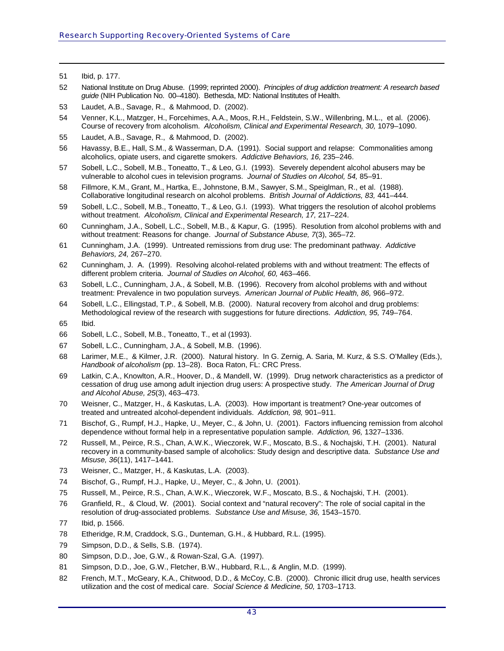51 Ibid, p. 177.

- 52 National Institute on Drug Abuse. (1999; reprinted 2000). *Principles of drug addiction treatment: A research based guide* (NIH Publication No. 00–4180). Bethesda, MD: National Institutes of Health.
- 53 Laudet, A.B., Savage, R., & Mahmood, D. (2002).
- <span id="page-48-2"></span>54 Venner, K.L., Matzger, H., Forcehimes, A.A., Moos, R.H., Feldstein, S.W., Willenbring, M.L., et al. (2006). Course of recovery from alcoholism. *Alcoholism, Clinical and Experimental Research, 30,* 1079–1090.
- <span id="page-48-1"></span>55 Laudet, A.B., Savage, R., & Mahmood, D. (2002).
- 56 Havassy, B.E., Hall, S.M., & Wasserman, D.A. (1991). Social support and relapse: Commonalities among alcoholics, opiate users, and cigarette smokers. *Addictive Behaviors, 16,* 235–246.
- 57 Sobell, L.C., Sobell, M.B., Toneatto, T., & Leo, G.I. (1993). Severely dependent alcohol abusers may be vulnerable to alcohol cues in television programs. *Journal of Studies on Alcohol, 54,* 85–91.
- 58 Fillmore, K.M., Grant, M., Hartka, E., Johnstone, B.M., Sawyer, S.M., Speiglman, R., et al. (1988). Collaborative longitudinal research on alcohol problems. *British Journal of Addictions, 83,* 441–444.
- 59 Sobell, L.C., Sobell, M.B., Toneatto, T., & Leo, G.I. (1993). What triggers the resolution of alcohol problems without treatment. Alcoholism, Clinical and Experimental Research, 17, 217–224.
- 60 Cunningham, J.A., Sobell, L.C., Sobell, M.B., & Kapur, G. (1995). Resolution from alcohol problems with and without treatment: Reasons for change. *Journal of Substance Abuse, 7*(3), 365–72.
- 61 Cunningham, J.A. (1999). Untreated remissions from drug use: The predominant pathway. *Addictive Behaviors, 24,* 267–270.
- 62 Cunningham, J. A. (1999). Resolving alcohol-related problems with and without treatment: The effects of different problem criteria. *Journal of Studies on Alcohol, 60,* 463–466.
- 63 Sobell, L.C., Cunningham, J.A., & Sobell, M.B. (1996). Recovery from alcohol problems with and without treatment: Prevalence in two population surveys. *American Journal of Public Health, 86,* 966–972.
- 64 Sobell, L.C., Ellingstad, T.P., & Sobell, M.B. (2000). Natural recovery from alcohol and drug problems: Methodological review of the research with suggestions for future directions. *Addiction, 95,* 749–764.
- <span id="page-48-0"></span>65 Ibid.
- 66 Sobell, L.C., Sobell, M.B., Toneatto, T., et al (1993).
- 67 Sobell, L.C., Cunningham, J.A., & Sobell, M.B. (1996).
- 68 Larimer, M.E., & Kilmer, J.R. (2000). Natural history. In G. Zernig, A. Saria, M. Kurz, & S.S. O'Malley (Eds.), *Handbook of alcoholism* (pp. 13–28). Boca Raton, FL: CRC Press.
- 69 Latkin, C.A., Knowlton, A.R., Hoover, D., & Mandell, W. (1999). Drug network characteristics as a predictor of cessation of drug use among adult injection drug users: A prospective study. *The American Journal of Drug and Alcohol Abuse, 25*(3), 463–473.
- 70 Weisner, C., Matzger, H., & Kaskutas, L.A. (2003). How important is treatment? One-year outcomes of treated and untreated alcohol-dependent individuals. *Addiction, 98,* 901–911.
- 71 Bischof, G., Rumpf, H.J., Hapke, U., Meyer, C., & John, U. (2001). Factors influencing remission from alcohol dependence without formal help in a representative population sample. *Addiction, 96,* 1327–1336.
- 72 Russell, M., Peirce, R.S., Chan, A.W.K., Wieczorek, W.F., Moscato, B.S., & Nochajski, T.H. (2001). Natural recovery in a community-based sample of alcoholics: Study design and descriptive data. *Substance Use and Misuse, 36*(11), 1417–1441.
- 73 Weisner, C., Matzger, H., & Kaskutas, L.A. (2003).
- 74 Bischof, G., Rumpf, H.J., Hapke, U., Meyer, C., & John, U. (2001).
- 75 Russell, M., Peirce, R.S., Chan, A.W.K., Wieczorek, W.F., Moscato, B.S., & Nochajski, T.H. (2001).
- 76 Granfield, R., & Cloud, W. (2001). Social context and "natural recovery": The role of social capital in the resolution of drug-associated problems. *Substance Use and Misuse, 36,* 1543–1570.
- 77 Ibid, p. 1566.
- 78 Etheridge, R.M, Craddock, S.G., Dunteman, G.H., & Hubbard, R.L. (1995).
- 79 Simpson, D.D., & Sells, S.B. (1974).
- 80 Simpson, D.D., Joe, G.W., & Rowan-Szal, G.A. (1997).
- 81 Simpson, D.D., Joe, G.W., Fletcher, B.W., Hubbard, R.L., & Anglin, M.D. (1999).
- 82 French, M.T., McGeary, K.A., Chitwood, D.D., & McCoy, C.B. (2000). Chronic illicit drug use, health services utilization and the cost of medical care. *Social Science & Medicine, 50,* 1703–1713.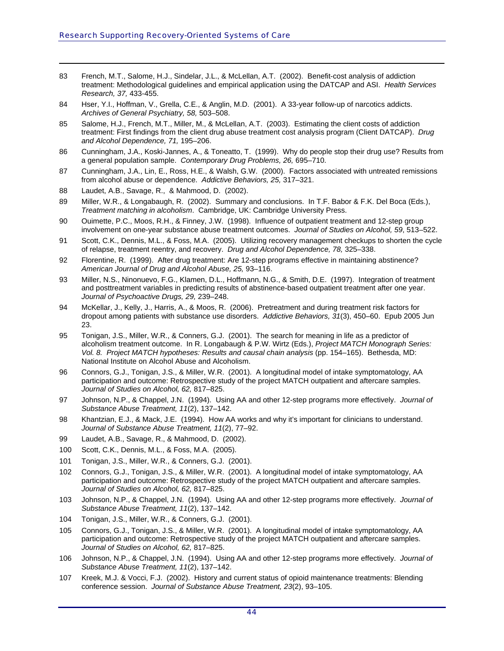- 83 French, M.T., Salome, H.J., Sindelar, J.L., & McLellan, A.T. (2002). Benefit-cost analysis of addiction treatment: Methodological guidelines and empirical application using the DATCAP and ASI. *Health Services Research, 37,* 433-455.
- 84 Hser, Y.I., Hoffman, V., Grella, C.E., & Anglin, M.D. (2001). A 33-year follow-up of narcotics addicts. *Archives of General Psychiatry, 58,* 503–508.
- <span id="page-49-0"></span>85 Salome, H.J., French, M.T., Miller, M., & McLellan, A.T. (2003). Estimating the client costs of addiction treatment: First findings from the client drug abuse treatment cost analysis program (Client DATCAP). *Drug and Alcohol Dependence, 71,* 195–206.
- 86 Cunningham, J.A., Koski-Jannes, A., & Toneatto, T. (1999). Why do people stop their drug use? Results from a general population sample. *Contemporary Drug Problems, 26,* 695–710.
- 87 Cunningham, J.A., Lin, E., Ross, H.E., & Walsh, G.W. (2000). Factors associated with untreated remissions from alcohol abuse or dependence. *Addictive Behaviors, 25,* 317–321.
- 88 Laudet, A.B., Savage, R., & Mahmood, D. (2002).

- 89 Miller, W.R., & Longabaugh, R. (2002). Summary and conclusions. In T.F. Babor & F.K. Del Boca (Eds.), *Treatment matching in alcoholism*. Cambridge, UK: Cambridge University Press.
- 90 Ouimette, P.C., Moos, R.H., & Finney, J.W. (1998). Influence of outpatient treatment and 12-step group involvement on one-year substance abuse treatment outcomes. *Journal of Studies on Alcohol, 59*, 513–522.
- 91 Scott, C.K., Dennis, M.L., & Foss, M.A. (2005). Utilizing recovery management checkups to shorten the cycle of relapse, treatment reentry, and recovery. *Drug and Alcohol Dependence, 78,* 325–338.
- 92 Florentine, R. (1999). After drug treatment: Are 12-step programs effective in maintaining abstinence? *American Journal of Drug and Alcohol Abuse, 25,* 93–116.
- 93 Miller, N.S., Ninonuevo, F.G., Klamen, D.L., Hoffmann, N.G., & Smith, D.E. (1997). Integration of treatment and posttreatment variables in predicting results of abstinence-based outpatient treatment after one year. *Journal of Psychoactive Drugs, 29,* 239–248.
- 94 McKellar, J., Kelly, J., Harris, A., & Moos, R. (2006). Pretreatment and during treatment risk factors for dropout among patients with substance use disorders. *Addictive Behaviors, 31*(3), 450–60. Epub 2005 Jun 23.
- 95 Tonigan, J.S., Miller, W.R., & Conners, G.J. (2001). The search for meaning in life as a predictor of alcoholism treatment outcome. In R. Longabaugh & P.W. Wirtz (Eds.), *Project MATCH Monograph Series: Vol. 8. Project MATCH hypotheses: Results and causal chain analysis* (pp. 154–165). Bethesda, MD: National Institute on Alcohol Abuse and Alcoholism.
- 96 Connors, G.J., Tonigan, J.S., & Miller, W.R. (2001). A longitudinal model of intake symptomatology, AA participation and outcome: Retrospective study of the project MATCH outpatient and aftercare samples. *Journal of Studies on Alcohol, 62,* 817–825.
- 97 Johnson, N.P., & Chappel, J.N. (1994). Using AA and other 12-step programs more effectively. *Journal of Substance Abuse Treatment, 11*(2), 137–142.
- 98 Khantzian, E.J., & Mack, J.E. (1994). How AA works and why it's important for clinicians to understand. *Journal of Substance Abuse Treatment, 11*(2), 77–92.
- 99 Laudet, A.B., Savage, R., & Mahmood, D. (2002).
- 100 Scott, C.K., Dennis, M.L., & Foss, M.A. (2005).
- 101 Tonigan, J.S., Miller, W.R., & Conners, G.J. (2001).
- 102 Connors, G.J., Tonigan, J.S., & Miller, W.R. (2001). A longitudinal model of intake symptomatology, AA participation and outcome: Retrospective study of the project MATCH outpatient and aftercare samples. *Journal of Studies on Alcohol, 62,* 817–825.
- 103 Johnson, N.P., & Chappel, J.N. (1994). Using AA and other 12-step programs more effectively. *Journal of Substance Abuse Treatment, 11*(2), 137–142.
- 104 Tonigan, J.S., Miller, W.R., & Conners, G.J. (2001).
- 105 Connors, G.J., Tonigan, J.S., & Miller, W.R. (2001). A longitudinal model of intake symptomatology, AA participation and outcome: Retrospective study of the project MATCH outpatient and aftercare samples. *Journal of Studies on Alcohol, 62,* 817–825.
- 106 Johnson, N.P., & Chappel, J.N. (1994). Using AA and other 12-step programs more effectively. *Journal of Substance Abuse Treatment, 11*(2), 137–142.
- 107 Kreek, M.J. & Vocci, F.J. (2002). History and current status of opioid maintenance treatments: Blending conference session. *Journal of Substance Abuse Treatment, 23*(2), 93–105.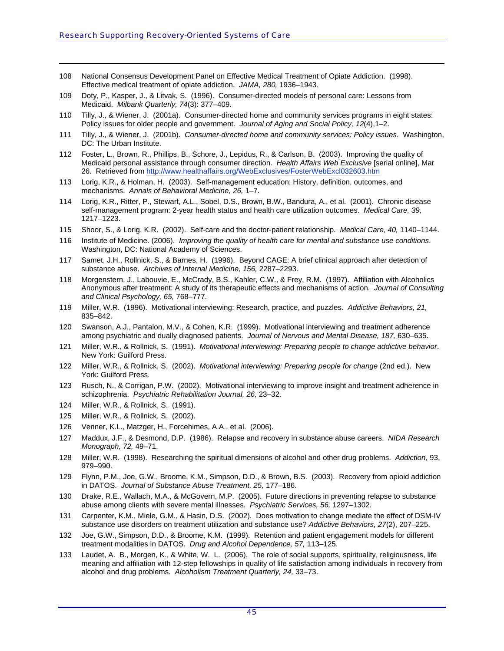- 108 National Consensus Development Panel on Effective Medical Treatment of Opiate Addiction. (1998). Effective medical treatment of opiate addiction. *JAMA, 280,* 1936–1943.
- 109 Doty, P., Kasper, J., & Litvak, S. (1996). Consumer-directed models of personal care: Lessons from Medicaid. *Milbank Quarterly, 74*(3): 377–409.
- <span id="page-50-0"></span>110 Tilly, J., & Wiener, J. (2001a). Consumer-directed home and community services programs in eight states: Policy issues for older people and government. *Journal of Aging and Social Policy, 12*(4),1–2.
- 111 Tilly, J., & Wiener, J. (2001b). *Consumer-directed home and community services: Policy issues*. Washington, DC: The Urban Institute.
- 112 Foster, L., Brown, R., Phillips, B., Schore, J., Lepidus, R., & Carlson, B. (2003). Improving the quality of Medicaid personal assistance through consumer direction. *Health Affairs Web Exclusive* [serial online], Mar 26. Retrieved from<http://www.healthaffairs.org/WebExclusives/FosterWebExcl032603.htm>
- 113 Lorig, K.R., & Holman, H. (2003). Self-management education: History, definition, outcomes, and mechanisms. *Annals of Behavioral Medicine, 26,* 1–7.
- 114 Lorig, K.R., Ritter, P., Stewart, A.L., Sobel, D.S., Brown, B.W., Bandura, A., et al. (2001). Chronic disease self-management program: 2-year health status and health care utilization outcomes. *Medical Care, 39,* 1217–1223.
- 115 Shoor, S., & Lorig, K.R. (2002). Self-care and the doctor-patient relationship. *Medical Care, 40,* 1140–1144.
- 116 Institute of Medicine. (2006). *Improving the quality of health care for mental and substance use conditions*. Washington, DC: National Academy of Sciences.
- 117 Samet, J.H., Rollnick, S., & Barnes, H. (1996). Beyond CAGE: A brief clinical approach after detection of substance abuse. *Archives of Internal Medicine, 156,* 2287–2293.
- 118 Morgenstern, J., Labouvie, E., McCrady, B.S., Kahler, C.W., & Frey, R.M. (1997). Affiliation with Alcoholics Anonymous after treatment: A study of its therapeutic effects and mechanisms of action. *Journal of Consulting and Clinical Psychology, 65,* 768–777.
- 119 Miller, W.R. (1996). Motivational interviewing: Research, practice, and puzzles. *Addictive Behaviors, 21,* 835–842.
- 120 Swanson, A.J., Pantalon, M.V., & Cohen, K.R. (1999). Motivational interviewing and treatment adherence among psychiatric and dually diagnosed patients. *Journal of Nervous and Mental Disease, 187,* 630–635.
- 121 Miller, W.R., & Rollnick, S. (1991). *Motivational interviewing: Preparing people to change addictive behavior*. New York: Guilford Press.
- 122 Miller, W.R., & Rollnick, S. (2002). *Motivational interviewing: Preparing people for change* (2nd ed.). New York: Guilford Press.
- 123 Rusch, N., & Corrigan, P.W. (2002). Motivational interviewing to improve insight and treatment adherence in schizophrenia. *Psychiatric Rehabilitation Journal, 26,* 23–32.
- 124 Miller, W.R., & Rollnick, S. (1991).
- 125 Miller, W.R., & Rollnick, S. (2002).
- 126 Venner, K.L., Matzger, H., Forcehimes, A.A., et al. (2006).
- 127 Maddux, J.F., & Desmond, D.P. (1986). Relapse and recovery in substance abuse careers. *NIDA Research Monograph, 72,* 49–71.
- 128 Miller, W.R. (1998). Researching the spiritual dimensions of alcohol and other drug problems. *Addiction*, 93, 979–990.
- 129 Flynn, P.M., Joe, G.W., Broome, K.M., Simpson, D.D., & Brown, B.S. (2003). Recovery from opioid addiction in DATOS. *Journal of Substance Abuse Treatment, 25,* 177–186.
- 130 Drake, R.E., Wallach, M.A., & McGovern, M.P. (2005). Future directions in preventing relapse to substance abuse among clients with severe mental illnesses. *Psychiatric Services, 56,* 1297–1302.
- 131 Carpenter, K.M., Miele, G.M., & Hasin, D.S. (2002). Does motivation to change mediate the effect of DSM-IV substance use disorders on treatment utilization and substance use? *Addictive Behaviors, 27*(2), 207–225.
- 132 Joe, G.W., Simpson, D.D., & Broome, K.M. (1999). Retention and patient engagement models for different treatment modalities in DATOS. *Drug and Alcohol Dependence, 57,* 113–125.
- 133 Laudet, A. B., Morgen, K., & White, W. L. (2006). The role of social supports, spirituality, religiousness, life meaning and affiliation with 12-step fellowships in quality of life satisfaction among individuals in recovery from alcohol and drug problems. *Alcoholism Treatment Quarterly, 24,* 33–73.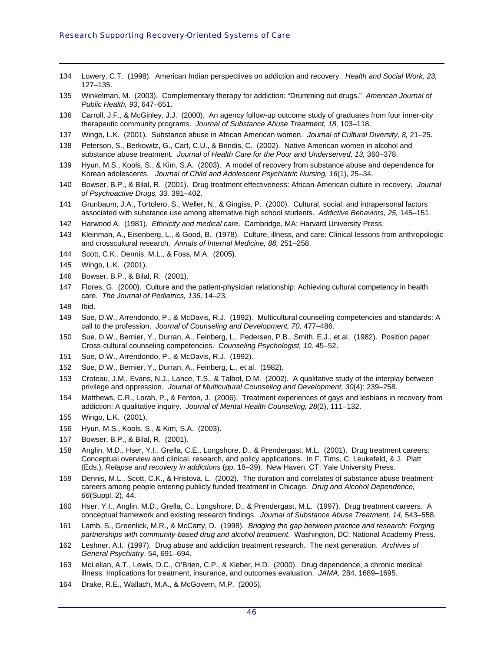- 134 Lowery, C.T. (1998). American Indian perspectives on addiction and recovery. *Health and Social Work, 23,* 127–135.
- 135 Winkelman, M. (2003). Complementary therapy for addiction: "Drumming out drugs." *American Journal of Public Health, 93*, 647–651.
- <span id="page-51-0"></span>136 Carroll, J.F., & McGinley, J.J. (2000). An agency follow-up outcome study of graduates from four inner-city therapeutic community programs. *Journal of Substance Abuse Treatment, 18,* 103–118.
- 137 Wingo, L.K. (2001). Substance abuse in African American women. *Journal of Cultural Diversity, 8,* 21–25.
- 138 Peterson, S., Berkowitz, G., Cart, C.U., & Brindis, C. (2002). Native American women in alcohol and substance abuse treatment. *Journal of Health Care for the Poor and Underserved, 13, 360–378.*
- 139 Hyun, M.S., Kools, S., & Kim, S.A. (2003). A model of recovery from substance abuse and dependence for Korean adolescents. *Journal of Child and Adolescent Psychiatric Nursing, 16*(1), 25–34.
- 140 Bowser, B.P., & Bilal, R. (2001). Drug treatment effectiveness: African-American culture in recovery. *Journal of Psychoactive Drugs, 33,* 391–402.
- 141 Grunbaum, J.A., Tortolero, S., Weller, N., & Gingiss, P. (2000). Cultural, social, and intrapersonal factors associated with substance use among alternative high school students. *Addictive Behaviors, 25,* 145–151.
- 142 Harwood A. (1981). *Ethnicity and medical care*. Cambridge, MA: Harvard University Press.
- 143 Kleinman, A., Eisenberg, L., & Good, B. (1978). Culture, illness, and care: Clinical lessons from anthropologic and crosscultural research. *Annals of Internal Medicine, 88,* 251–258.
- 144 Scott, C.K., Dennis, M.L., & Foss, M.A. (2005).
- 145 Wingo, L.K. (2001).
- 146 Bowser, B.P., & Bilal, R. (2001).
- 147 Flores, G. (2000). Culture and the patient-physician relationship: Achieving cultural competency in health care. *The Journal of Pediatrics, 136,* 14–23.
- 148 Ibid.

- 149 Sue, D.W., Arrendondo, P., & McDavis, R.J. (1992). Multicultural counseling competencies and standards: A call to the profession. *Journal of Counseling and Development, 70,* 477–486.
- 150 Sue, D.W., Bernier, Y., Durran, A., Feinberg, L., Pedersen, P.B., Smith, E.J., et al. (1982). Position paper: Cross-cultural counseling competencies. *Counseling Psychologist, 10,* 45–52.
- 151 Sue, D.W., Arrendondo, P., & McDavis, R.J. (1992).
- 152 Sue, D.W., Bernier, Y., Durran, A., Feinberg, L., et al. (1982).
- 153 Croteau, J.M., Evans, N.J., Lance, T.S., & Talbot, D.M. (2002). A qualitative study of the interplay between privilege and oppression. *Journal of Multicultural Counseling and Development, 30*(4): 239–258.
- 154 Matthews, C.R., Lorah, P., & Fenton, J. (2006). Treatment experiences of gays and lesbians in recovery from addiction: A qualitative inquiry. *Journal of Mental Health Counseling, 28*(2), 111–132.
- 155 Wingo, L.K. (2001).
- 156 Hyun, M.S., Kools, S., & Kim, S.A. (2003).
- 157 Bowser, B.P., & Bilal, R. (2001).
- 158 Anglin, M.D., Hser, Y.I., Grella, C.E., Longshore, D., & Prendergast, M.L. (2001). Drug treatment careers: Conceptual overview and clinical, research, and policy applications. In F. Tims, C. Leukefeld, & J. Platt (Eds.), *Relapse and recovery in addictions* (pp. 18–39). New Haven, CT: Yale University Press.
- 159 Dennis, M.L., Scott, C.K., & Hristova, L. (2002). The duration and correlates of substance abuse treatment careers among people entering publicly funded treatment in Chicago. *Drug and Alcohol Dependence, 66*(Suppl. 2), 44.
- 160 Hser, Y.I., Anglin, M.D., Grella, C., Longshore, D., & Prendergast, M.L. (1997). Drug treatment careers. A conceptual framework and existing research findings. *Journal of Substance Abuse Treatment, 14,* 543–558.
- 161 Lamb, S., Greenlick, M.R., & McCarty, D. (1998). *Bridging the gap between practice and research: Forging partnerships with community-based drug and alcohol treatment*. Washington, DC: National Academy Press.
- 162 Leshner, A.I. (1997). Drug abuse and addiction treatment research. The next generation. *Archives of General Psychiatry*, 54, 691–694.
- 163 McLellan, A.T., Lewis, D.C., O'Brien, C.P., & Kleber, H.D. (2000). Drug dependence, a chronic medical illness: Implications for treatment, insurance, and outcomes evaluation. *JAMA,* 284, 1689–1695.
- 164 Drake, R.E., Wallach, M.A., & McGovern, M.P. (2005).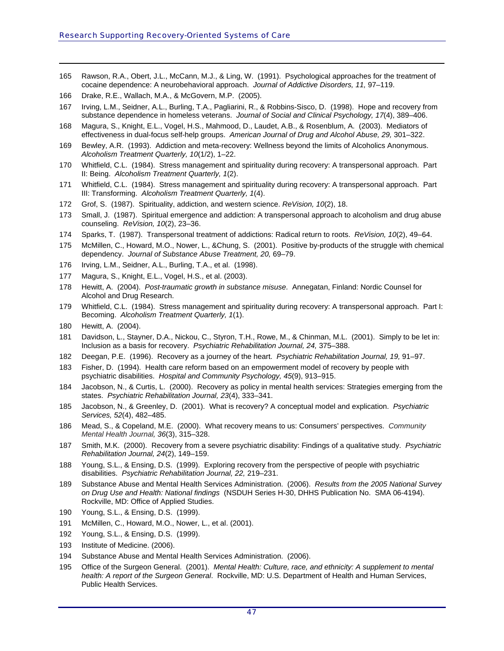- 165 Rawson, R.A., Obert, J.L., McCann, M.J., & Ling, W. (1991). Psychological approaches for the treatment of cocaine dependence: A neurobehavioral approach. *Journal of Addictive Disorders, 11,* 97–119.
- 166 Drake, R.E., Wallach, M.A., & McGovern, M.P. (2005).
- 167 Irving, L.M., Seidner, A.L., Burling, T.A., Pagliarini, R., & Robbins-Sisco, D. (1998). Hope and recovery from substance dependence in homeless veterans. *Journal of Social and Clinical Psychology, 17*(4), 389–406.
- <span id="page-52-0"></span>168 Magura, S., Knight, E.L., Vogel, H.S., Mahmood, D., Laudet, A.B., & Rosenblum, A. (2003). Mediators of effectiveness in dual-focus self-help groups. *American Journal of Drug and Alcohol Abuse, 29,* 301–322.
- 169 Bewley, A.R. (1993). Addiction and meta-recovery: Wellness beyond the limits of Alcoholics Anonymous. *Alcoholism Treatment Quarterly, 10*(1/2), 1–22.
- 170 Whitfield, C.L. (1984). Stress management and spirituality during recovery: A transpersonal approach. Part II: Being. *Alcoholism Treatment Quarterly, 1*(2).
- 171 Whitfield, C.L. (1984). Stress management and spirituality during recovery: A transpersonal approach. Part III: Transforming. *Alcoholism Treatment Quarterly, 1*(4).
- 172 Grof, S. (1987). Spirituality, addiction, and western science. *ReVision, 10*(2), 18.
- 173 Small, J. (1987). Spiritual emergence and addiction: A transpersonal approach to alcoholism and drug abuse counseling. *ReVision, 10*(2), 23–36.
- 174 Sparks, T. (1987). Transpersonal treatment of addictions: Radical return to roots. *ReVision, 10*(2), 49–64.
- 175 McMillen, C., Howard, M.O., Nower, L., &Chung, S. (2001). Positive by-products of the struggle with chemical dependency. *Journal of Substance Abuse Treatment, 20,* 69–79.
- 176 Irving, L.M., Seidner, A.L., Burling, T.A., et al. (1998).
- 177 Magura, S., Knight, E.L., Vogel, H.S., et al. (2003).
- 178 Hewitt, A. (2004). *Post-traumatic growth in substance misuse*. Annegatan, Finland: Nordic Counsel for Alcohol and Drug Research.
- 179 Whitfield, C.L. (1984). Stress management and spirituality during recovery: A transpersonal approach. Part I: Becoming. *Alcoholism Treatment Quarterly, 1*(1).
- 180 Hewitt, A. (2004).

- 181 Davidson, L., Stayner, D.A., Nickou, C., Styron, T.H., Rowe, M., & Chinman, M.L. (2001). Simply to be let in: Inclusion as a basis for recovery. *Psychiatric Rehabilitation Journal, 24,* 375–388.
- 182 Deegan, P.E. (1996). Recovery as a journey of the heart. *Psychiatric Rehabilitation Journal, 19,* 91–97.
- 183 Fisher, D. (1994). Health care reform based on an empowerment model of recovery by people with psychiatric disabilities. *Hospital and Community Psychology, 45*(9), 913–915.
- 184 Jacobson, N., & Curtis, L. (2000). Recovery as policy in mental health services: Strategies emerging from the states. *Psychiatric Rehabilitation Journal, 23*(4), 333–341.
- 185 Jacobson, N., & Greenley, D. (2001). What is recovery? A conceptual model and explication. *Psychiatric Services, 52*(4), 482–485.
- 186 Mead, S., & Copeland, M.E. (2000). What recovery means to us: Consumers' perspectives. *Community Mental Health Journal, 36*(3), 315–328.
- 187 Smith, M.K. (2000). Recovery from a severe psychiatric disability: Findings of a qualitative study. *Psychiatric Rehabilitation Journal, 24*(2), 149–159.
- 188 Young, S.L., & Ensing, D.S. (1999). Exploring recovery from the perspective of people with psychiatric disabilities. *Psychiatric Rehabilitation Journal, 22,* 219–231.
- 189 Substance Abuse and Mental Health Services Administration. (2006). *Results from the 2005 National Survey on Drug Use and Health: National findings* (NSDUH Series H-30, DHHS Publication No. SMA 06-4194). Rockville, MD: Office of Applied Studies.
- 190 Young, S.L., & Ensing, D.S. (1999).
- 191 McMillen, C., Howard, M.O., Nower, L., et al. (2001).
- 192 Young, S.L., & Ensing, D.S. (1999).
- 193 Institute of Medicine. (2006).
- 194 Substance Abuse and Mental Health Services Administration. (2006).
- 195 Office of the Surgeon General. (2001). *Mental Health: Culture, race, and ethnicity: A supplement to mental health: A report of the Surgeon General*. Rockville, MD: U.S. Department of Health and Human Services, Public Health Services.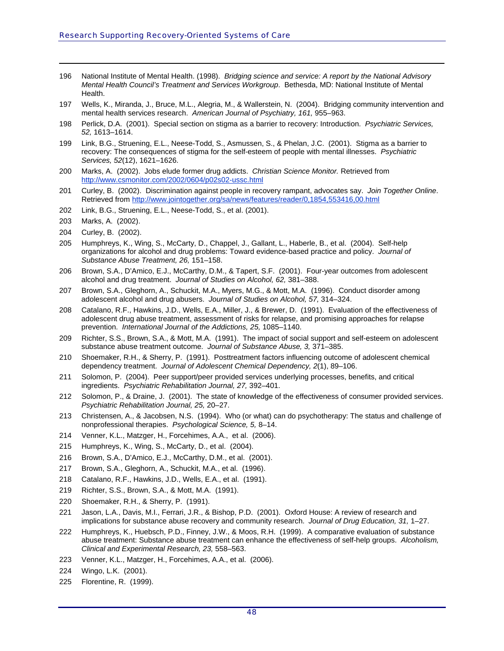- 196 National Institute of Mental Health. (1998). *Bridging science and service: A report by the National Advisory Mental Health Council's Treatment and Services Workgroup*. Bethesda, MD: National Institute of Mental Health.
- 197 Wells, K., Miranda, J., Bruce, M.L., Alegria, M., & Wallerstein, N. (2004). Bridging community intervention and mental health services research. *American Journal of Psychiatry, 161,* 955–963.
- <span id="page-53-0"></span>198 Perlick, D.A. (2001). Special section on stigma as a barrier to recovery: Introduction. *Psychiatric Services, 52,* 1613–1614.
- 199 Link, B.G., Struening, E.L., Neese-Todd, S., Asmussen, S., & Phelan, J.C. (2001). Stigma as a barrier to recovery: The consequences of stigma for the self-esteem of people with mental illnesses. *Psychiatric Services, 52*(12), 1621–1626.
- 200 Marks, A. (2002). Jobs elude former drug addicts. *Christian Science Monitor.* Retrieved from http://[www.csmonitor.com/2002/0604/p02s02-ussc](http://www.csmonitor.com/2002/0604/p02s02-ussc.html).html
- 201 Curley, B. (2002). Discrimination against people in recovery rampant, advocates say. *Join Together Online*. Retrieved from <http://www.jointogether.org/sa/news/features/reader/0,1854,553416,00.html>
- 202 Link, B.G., Struening, E.L., Neese-Todd, S., et al. (2001).
- 203 Marks, A. (2002).

- 204 Curley, B. (2002).
- 205 Humphreys, K., Wing, S., McCarty, D., Chappel, J., Gallant, L., Haberle, B., et al. (2004). Self-help organizations for alcohol and drug problems: Toward evidence-based practice and policy. *Journal of Substance Abuse Treatment, 26,* 151–158.
- 206 Brown, S.A., D'Amico, E.J., McCarthy, D.M., & Tapert, S.F. (2001). Four-year outcomes from adolescent alcohol and drug treatment. *Journal of Studies on Alcohol, 62,* 381–388.
- 207 Brown, S.A., Gleghorn, A., Schuckit, M.A., Myers, M.G., & Mott, M.A. (1996). Conduct disorder among adolescent alcohol and drug abusers. *Journal of Studies on Alcohol, 57,* 314–324.
- 208 Catalano, R.F., Hawkins, J.D., Wells, E.A., Miller, J., & Brewer, D. (1991). Evaluation of the effectiveness of adolescent drug abuse treatment, assessment of risks for relapse, and promising approaches for relapse prevention. *International Journal of the Addictions, 25,* 1085–1140.
- 209 Richter, S.S., Brown, S.A., & Mott, M.A. (1991). The impact of social support and self-esteem on adolescent substance abuse treatment outcome. *Journal of Substance Abuse, 3,* 371–385.
- 210 Shoemaker, R.H., & Sherry, P. (1991). Posttreatment factors influencing outcome of adolescent chemical dependency treatment. *Journal of Adolescent Chemical Dependency, 2*(1), 89–106.
- 211 Solomon, P. (2004). Peer support/peer provided services underlying processes, benefits, and critical ingredients. *Psychiatric Rehabilitation Journal, 27,* 392–401.
- 212 Solomon, P., & Draine, J. (2001). The state of knowledge of the effectiveness of consumer provided services. *Psychiatric Rehabilitation Journal, 25,* 20–27.
- 213 Christensen, A., & Jacobsen, N.S. (1994). Who (or what) can do psychotherapy: The status and challenge of nonprofessional therapies. *Psychological Science, 5,* 8–14.
- 214 Venner, K.L., Matzger, H., Forcehimes, A.A., et al. (2006).
- 215 Humphreys, K., Wing, S., McCarty, D., et al. (2004).
- 216 Brown, S.A., D'Amico, E.J., McCarthy, D.M., et al. (2001).
- 217 Brown, S.A., Gleghorn, A., Schuckit, M.A., et al. (1996).
- 218 Catalano, R.F., Hawkins, J.D., Wells, E.A., et al. (1991).
- 219 Richter, S.S., Brown, S.A., & Mott, M.A. (1991).
- 220 Shoemaker, R.H., & Sherry, P. (1991).
- 221 Jason, L.A., Davis, M.I., Ferrari, J.R., & Bishop, P.D. (2001). Oxford House: A review of research and implications for substance abuse recovery and community research. *Journal of Drug Education, 31,* 1–27.
- 222 Humphreys, K., Huebsch, P.D., Finney, J.W., & Moos, R.H. (1999). A comparative evaluation of substance abuse treatment: Substance abuse treatment can enhance the effectiveness of self-help groups. *Alcoholism, Clinical and Experimental Research, 23,* 558–563.
- 223 Venner, K.L., Matzger, H., Forcehimes, A.A., et al. (2006).
- 224 Wingo, L.K. (2001).
- 225 Florentine, R. (1999).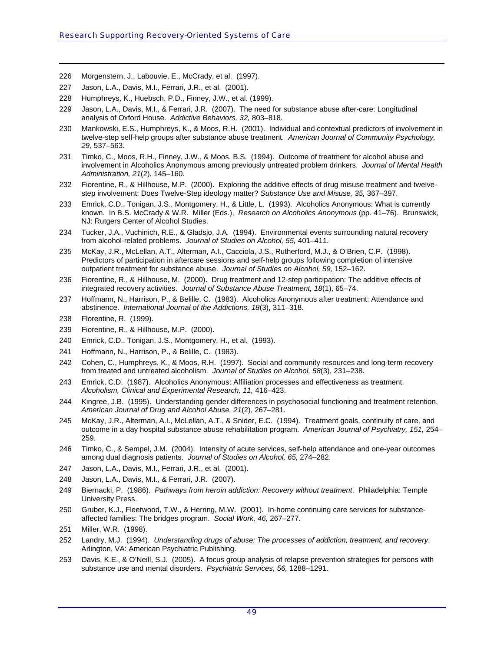- 226 Morgenstern, J., Labouvie, E., McCrady, et al. (1997).
- 227 Jason, L.A., Davis, M.I., Ferrari, J.R., et al. (2001).
- 228 Humphreys, K., Huebsch, P.D., Finney, J.W., et al. (1999).
- 229 Jason, L.A., Davis, M.I., & Ferrari, J.R. (2007). The need for substance abuse after-care: Longitudinal analysis of Oxford House. *Addictive Behaviors, 32,* 803–818.
- <span id="page-54-0"></span>230 Mankowski, E.S., Humphreys, K., & Moos, R.H. (2001). Individual and contextual predictors of involvement in twelve-step self-help groups after substance abuse treatment. *American Journal of Community Psychology, 29,* 537–563.
- 231 Timko, C., Moos, R.H., Finney, J.W., & Moos, B.S. (1994). Outcome of treatment for alcohol abuse and involvement in Alcoholics Anonymous among previously untreated problem drinkers. *Journal of Mental Health Administration, 21*(2), 145–160.
- 232 Fiorentine, R., & Hillhouse, M.P. (2000). Exploring the additive effects of drug misuse treatment and twelvestep involvement: Does Twelve-Step ideology matter? *Substance Use and Misuse, 35,* 367–397.
- 233 Emrick, C.D., Tonigan, J.S., Montgomery, H., & Little, L. (1993). Alcoholics Anonymous: What is currently known. In B.S. McCrady & W.R. Miller (Eds.), *Research on Alcoholics Anonymous* (pp. 41–76). Brunswick, NJ: Rutgers Center of Alcohol Studies.
- 234 Tucker, J.A., Vuchinich, R.E., & Gladsjo, J.A. (1994). Environmental events surrounding natural recovery from alcohol-related problems. *Journal of Studies on Alcohol, 55,* 401–411.
- 235 McKay, J.R., McLellan, A.T., Alterman, A.I., Cacciola, J.S., Rutherford, M.J., & O'Brien, C.P. (1998). Predictors of participation in aftercare sessions and self-help groups following completion of intensive outpatient treatment for substance abuse. *Journal of Studies on Alcohol, 59,* 152–162.
- 236 Fiorentine, R., & Hillhouse, M. (2000). Drug treatment and 12-step participation: The additive effects of integrated recovery activities. *Journal of Substance Abuse Treatment, 18*(1), 65–74.
- 237 Hoffmann, N., Harrison, P., & Belille, C. (1983). Alcoholics Anonymous after treatment: Attendance and abstinence. *International Journal of the Addictions, 18*(3), 311–318.
- 238 Florentine, R. (1999).

- 239 Fiorentine, R., & Hillhouse, M.P. (2000).
- 240 Emrick, C.D., Tonigan, J.S., Montgomery, H., et al. (1993).
- 241 Hoffmann, N., Harrison, P., & Belille, C. (1983).
- 242 Cohen, C., Humphreys, K., & Moos, R.H. (1997). Social and community resources and long-term recovery from treated and untreated alcoholism. *Journal of Studies on Alcohol, 58*(3), 231–238.
- 243 Emrick, C.D. (1987). Alcoholics Anonymous: Affiliation processes and effectiveness as treatment. *Alcoholism, Clinical and Experimental Research, 11,* 416–423.
- 244 Kingree, J.B. (1995). Understanding gender differences in psychosocial functioning and treatment retention. *American Journal of Drug and Alcohol Abuse, 21*(2), 267–281.
- 245 McKay, J.R., Alterman, A.I., McLellan, A.T., & Snider, E.C. (1994). Treatment goals, continuity of care, and outcome in a day hospital substance abuse rehabilitation program. *American Journal of Psychiatry, 151,* 254– 259.
- 246 Timko, C., & Sempel, J.M. (2004). Intensity of acute services, self-help attendance and one-year outcomes among dual diagnosis patients. *Journal of Studies on Alcohol, 65,* 274–282.
- 247 Jason, L.A., Davis, M.I., Ferrari, J.R., et al. (2001).
- 248 Jason, L.A., Davis, M.I., & Ferrari, J.R. (2007).
- 249 Biernacki, P. (1986). *Pathways from heroin addiction: Recovery without treatment*. Philadelphia: Temple University Press.
- 250 Gruber, K.J., Fleetwood, T.W., & Herring, M.W. (2001). In-home continuing care services for substanceaffected families: The bridges program. *Social Work, 46,* 267–277.
- 251 Miller, W.R. (1998).
- 252 Landry, M.J. (1994). *Understanding drugs of abuse: The processes of addiction, treatment, and recovery*. Arlington, VA: American Psychiatric Publishing.
- 253 Davis, K.E., & O'Neill, S.J. (2005). A focus group analysis of relapse prevention strategies for persons with substance use and mental disorders. *Psychiatric Services, 56,* 1288–1291.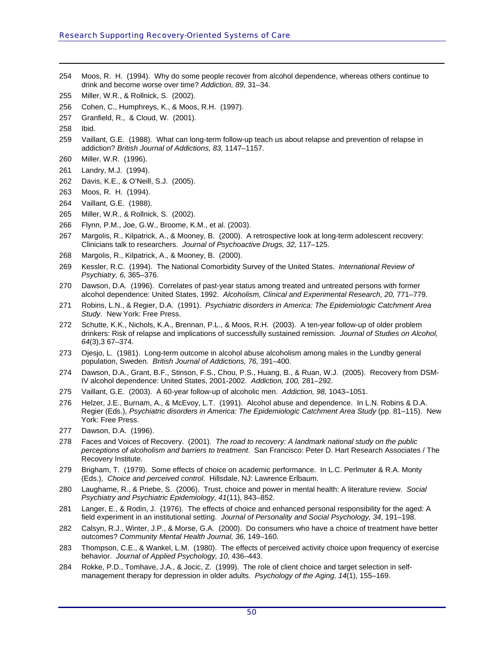- 254 Moos, R. H. (1994). Why do some people recover from alcohol dependence, whereas others continue to drink and become worse over time? *Addiction, 89,* 31–34.
- 255 Miller, W.R., & Rollnick, S. (2002).
- 256 Cohen, C., Humphreys, K., & Moos, R.H. (1997).
- 257 Granfield, R., & Cloud, W. (2001).
- <span id="page-55-0"></span>258 Ibid.

- 259 Vaillant, G.E. (1988). What can long-term follow-up teach us about relapse and prevention of relapse in addiction? *British Journal of Addictions, 83,* 1147–1157.
- 260 Miller, W.R. (1996).
- 261 Landry, M.J. (1994).
- 262 Davis, K.E., & O'Neill, S.J. (2005).
- 263 Moos, R. H. (1994).
- 264 Vaillant, G.E. (1988).
- 265 Miller, W.R., & Rollnick, S. (2002).
- 266 Flynn, P.M., Joe, G.W., Broome, K.M., et al. (2003).
- 267 Margolis, R., Kilpatrick, A., & Mooney, B. (2000). A retrospective look at long-term adolescent recovery: Clinicians talk to researchers. *Journal of Psychoactive Drugs, 32,* 117–125.
- 268 Margolis, R., Kilpatrick, A., & Mooney, B. (2000).
- 269 Kessler, R.C. (1994). The National Comorbidity Survey of the United States. *International Review of Psychiatry, 6,* 365–376.
- 270 Dawson, D.A. (1996). Correlates of past-year status among treated and untreated persons with former alcohol dependence: United States, 1992. *Alcoholism, Clinical and Experimental Research, 20,* 771–779.
- 271 Robins, L.N., & Regier, D.A. (1991). *Psychiatric disorders in America: The Epidemiologic Catchment Area Study*. New York: Free Press.
- 272 Schutte, K.K., Nichols, K.A., Brennan, P.L., & Moos, R.H. (2003). A ten-year follow-up of older problem drinkers: Risk of relapse and implications of successfully sustained remission. *Journal of Studies on Alcohol, 64*(3),3 67–374.
- 273 Ojesjo, L. (1981). Long-term outcome in alcohol abuse alcoholism among males in the Lundby general population, Sweden. *British Journal of Addictions, 76,* 391–400.
- 274 Dawson, D.A., Grant, B.F., Stinson, F.S., Chou, P.S., Huang, B., & Ruan, W.J. (2005). Recovery from DSM-IV alcohol dependence: United States, 2001-2002. *Addiction, 100,* 281–292.
- 275 Vaillant, G.E. (2003). A 60-year follow-up of alcoholic men. *Addiction, 98,* 1043–1051.
- 276 Helzer, J.E., Burnam, A., & McEvoy, L.T. (1991). Alcohol abuse and dependence. In L.N. Robins & D.A. Regier (Eds.), *Psychiatric disorders in America: The Epidemiologic Catchment Area Study* (pp. 81–115). New York: Free Press.
- 277 Dawson, D.A. (1996).
- 278 Faces and Voices of Recovery. (2001). *The road to recovery: A landmark national study on the public perceptions of alcoholism and barriers to treatment*. San Francisco: Peter D. Hart Research Associates / The Recovery Institute.
- 279 Brigham, T. (1979). Some effects of choice on academic performance. In L.C. Perlmuter & R.A. Monty (Eds.), *Choice and perceived control*. Hillsdale, NJ: Lawrence Erlbaum.
- 280 Laugharne, R., & Priebe, S. (2006). Trust, choice and power in mental health: A literature review. *Social Psychiatry and Psychiatric Epidemiology, 41*(11), 843–852.
- 281 Langer, E., & Rodin, J. (1976). The effects of choice and enhanced personal responsibility for the aged: A field experiment in an institutional setting. *Journal of Personality and Social Psychology, 34*, 191–198.
- 282 Calsyn, R.J., Winter, J.P., & Morse, G.A. (2000). Do consumers who have a choice of treatment have better outcomes? *Community Mental Health Journal, 36,* 149–160.
- 283 Thompson, C.E., & Wankel, L.M. (1980). The effects of perceived activity choice upon frequency of exercise behavior. *Journal of Applied Psychology, 10,* 436–443.
- 284 Rokke, P.D., Tomhave, J.A., & Jocic, Z. (1999). The role of client choice and target selection in selfmanagement therapy for depression in older adults. *Psychology of the Aging, 14*(1), 155–169.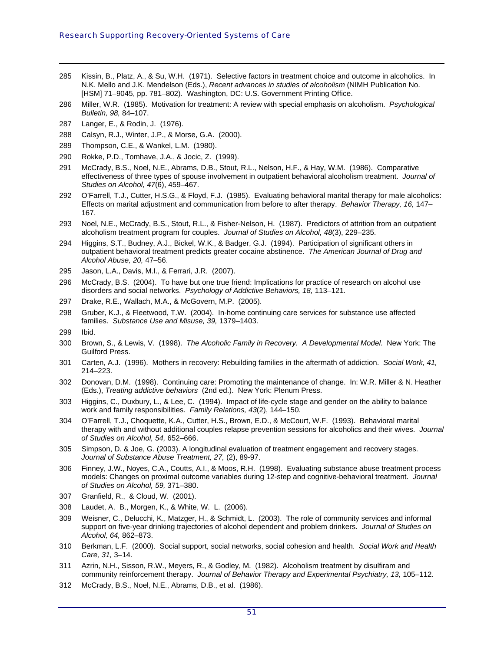- 285 Kissin, B., Platz, A., & Su, W.H. (1971). Selective factors in treatment choice and outcome in alcoholics. In N.K. Mello and J.K. Mendelson (Eds.), *Recent advances in studies of alcoholism* (NIMH Publication No. [HSM] 71–9045, pp. 781–802). Washington, DC: U.S. Government Printing Office.
- 286 Miller, W.R. (1985). Motivation for treatment: A review with special emphasis on alcoholism. *Psychological Bulletin, 98,* 84–107.
- <span id="page-56-0"></span>287 Langer, E., & Rodin, J. (1976).
- 288 Calsyn, R.J., Winter, J.P., & Morse, G.A. (2000).
- 289 Thompson, C.E., & Wankel, L.M. (1980).
- 290 Rokke, P.D., Tomhave, J.A., & Jocic, Z. (1999).
- 291 McCrady, B.S., Noel, N.E., Abrams, D.B., Stout, R.L., Nelson, H.F., & Hay, W.M. (1986). Comparative effectiveness of three types of spouse involvement in outpatient behavioral alcoholism treatment. *Journal of Studies on Alcohol, 47*(6), 459–467.
- 292 O'Farrell, T.J., Cutter, H.S.G., & Floyd, F.J. (1985). Evaluating behavioral marital therapy for male alcoholics: Effects on marital adjustment and communication from before to after therapy. *Behavior Therapy, 16,* 147– 167.
- 293 Noel, N.E., McCrady, B.S., Stout, R.L., & Fisher-Nelson, H. (1987). Predictors of attrition from an outpatient alcoholism treatment program for couples. *Journal of Studies on Alcohol, 48*(3), 229–235.
- 294 Higgins, S.T., Budney, A.J., Bickel, W.K., & Badger, G.J. (1994). Participation of significant others in outpatient behavioral treatment predicts greater cocaine abstinence. *The American Journal of Drug and Alcohol Abuse, 20,* 47–56.
- 295 Jason, L.A., Davis, M.I., & Ferrari, J.R. (2007).
- 296 McCrady, B.S. (2004). To have but one true friend: Implications for practice of research on alcohol use disorders and social networks. *Psychology of Addictive Behaviors, 18,* 113–121.
- 297 Drake, R.E., Wallach, M.A., & McGovern, M.P. (2005).
- 298 Gruber, K.J., & Fleetwood, T.W. (2004). In-home continuing care services for substance use affected families. *Substance Use and Misuse, 39,* 1379–1403.
- 299 Ibid.

- 300 Brown, S., & Lewis, V. (1998). *The Alcoholic Family in Recovery. A Developmental Model*. New York: The Guilford Press.
- 301 Carten, A.J. (1996). Mothers in recovery: Rebuilding families in the aftermath of addiction. *Social Work, 41,* 214–223.
- 302 Donovan, D.M. (1998). Continuing care: Promoting the maintenance of change. In: W.R. Miller & N. Heather (Eds.), *Treating addictive behaviors* (2nd ed.). New York: Plenum Press.
- 303 Higgins, C., Duxbury, L., & Lee, C. (1994). Impact of life-cycle stage and gender on the ability to balance work and family responsibilities. *Family Relations, 43*(2), 144–150.
- 304 O'Farrell, T.J., Choquette, K.A., Cutter, H.S., Brown, E.D., & McCourt, W.F. (1993). Behavioral marital therapy with and without additional couples relapse prevention sessions for alcoholics and their wives. *Journal of Studies on Alcohol, 54,* 652–666.
- 305 Simpson, D. & Joe, G. (2003). A longitudinal evaluation of treatment engagement and recovery stages. *Journal of Substance Abuse Treatment, 27,* (2), 89-97.
- 306 Finney, J.W., Noyes, C.A., Coutts, A.I., & Moos, R.H. (1998). Evaluating substance abuse treatment process models: Changes on proximal outcome variables during 12-step and cognitive-behavioral treatment. *Journal of Studies on Alcohol, 59,* 371–380.
- 307 Granfield, R., & Cloud, W. (2001).
- 308 Laudet, A. B., Morgen, K., & White, W. L. (2006).
- 309 Weisner, C., Delucchi, K., Matzger, H., & Schmidt, L. (2003). The role of community services and informal support on five-year drinking trajectories of alcohol dependent and problem drinkers. *Journal of Studies on Alcohol, 64,* 862–873.
- 310 Berkman, L.F. (2000). Social support, social networks, social cohesion and health. *Social Work and Health Care, 31,* 3–14.
- 311 Azrin, N.H., Sisson, R.W., Meyers, R., & Godley, M. (1982). Alcoholism treatment by disulfiram and community reinforcement therapy. *Journal of Behavior Therapy and Experimental Psychiatry, 13, 105–112.*
- 312 McCrady, B.S., Noel, N.E., Abrams, D.B., et al. (1986).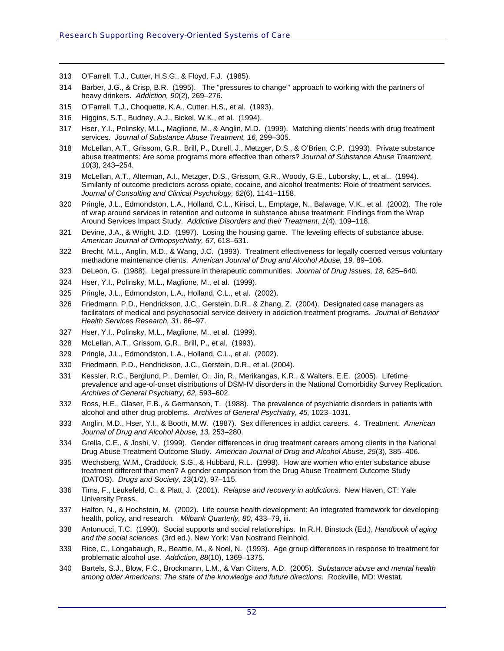313 O'Farrell, T.J., Cutter, H.S.G., & Floyd, F.J. (1985).

- 314 Barber, J.G., & Crisp, B.R. (1995). The "pressures to change"' approach to working with the partners of heavy drinkers. *Addiction, 90*(2), 269–276.
- 315 O'Farrell, T.J., Choquette, K.A., Cutter, H.S., et al. (1993).
- 316 Higgins, S.T., Budney, A.J., Bickel, W.K., et al. (1994).
- <span id="page-57-0"></span>317 Hser, Y.I., Polinsky, M.L., Maglione, M., & Anglin, M.D. (1999). Matching clients' needs with drug treatment services. *Journal of Substance Abuse Treatment, 16,* 299–305.
- 318 McLellan, A.T., Grissom, G.R., Brill, P., Durell, J., Metzger, D.S., & O'Brien, C.P. (1993). Private substance abuse treatments: Are some programs more effective than others? *Journal of Substance Abuse Treatment, 10*(3), 243–254.
- 319 McLellan, A.T., Alterman, A.I., Metzger, D.S., Grissom, G.R., Woody, G.E., Luborsky, L., et al.. (1994). Similarity of outcome predictors across opiate, cocaine, and alcohol treatments: Role of treatment services. *Journal of Consulting and Clinical Psychology, 62*(6), 1141–1158.
- 320 Pringle, J.L., Edmondston, L.A., Holland, C.L., Kirisci, L., Emptage, N., Balavage, V.K., et al. (2002). The role of wrap around services in retention and outcome in substance abuse treatment: Findings from the Wrap Around Services Impact Study. *Addictive Disorders and their Treatment, 1*(4), 109–118.
- 321 Devine, J.A., & Wright, J.D. (1997). Losing the housing game. The leveling effects of substance abuse. *American Journal of Orthopsychiatry, 67,* 618–631.
- 322 Brecht, M.L., Anglin, M.D., & Wang, J.C. (1993). Treatment effectiveness for legally coerced versus voluntary methadone maintenance clients. *American Journal of Drug and Alcohol Abuse, 19,* 89–106.
- 323 DeLeon, G. (1988). Legal pressure in therapeutic communities. *Journal of Drug Issues, 18,* 625–640.
- 324 Hser, Y.I., Polinsky, M.L., Maglione, M., et al. (1999).
- 325 Pringle, J.L., Edmondston, L.A., Holland, C.L., et al. (2002).
- 326 Friedmann, P.D., Hendrickson, J.C., Gerstein, D.R., & Zhang, Z. (2004). Designated case managers as facilitators of medical and psychosocial service delivery in addiction treatment programs. *Journal of Behavior Health Services Research, 31,* 86–97.
- 327 Hser, Y.I., Polinsky, M.L., Maglione, M., et al. (1999).
- 328 McLellan, A.T., Grissom, G.R., Brill, P., et al. (1993).
- 329 Pringle, J.L., Edmondston, L.A., Holland, C.L., et al. (2002).
- 330 Friedmann, P.D., Hendrickson, J.C., Gerstein, D.R., et al. (2004).
- 331 Kessler, R.C., Berglund, P., Demler, O., Jin, R., Merikangas, K.R., & Walters, E.E. (2005). Lifetime prevalence and age-of-onset distributions of DSM-IV disorders in the National Comorbidity Survey Replication. *Archives of General Psychiatry, 62,* 593–602.
- 332 Ross, H.E., Glaser, F.B., & Germanson, T. (1988). The prevalence of psychiatric disorders in patients with alcohol and other drug problems. *Archives of General Psychiatry, 45,* 1023–1031.
- 333 Anglin, M.D., Hser, Y.I., & Booth, M.W. (1987). Sex differences in addict careers. 4. Treatment. *American Journal of Drug and Alcohol Abuse, 13,* 253–280.
- 334 Grella, C.E., & Joshi, V. (1999). Gender differences in drug treatment careers among clients in the National Drug Abuse Treatment Outcome Study. *American Journal of Drug and Alcohol Abuse, 25*(3), 385–406.
- 335 Wechsberg, W.M., Craddock, S.G., & Hubbard, R.L. (1998). How are women who enter substance abuse treatment different than men? A gender comparison from the Drug Abuse Treatment Outcome Study (DATOS). *Drugs and Society, 1*3(1/2), 97–115.
- 336 Tims, F., Leukefeld, C., & Platt, J. (2001). *Relapse and recovery in addictions*. New Haven, CT: Yale University Press.
- 337 Halfon, N., & Hochstein, M. (2002). Life course health development: An integrated framework for developing health, policy, and research. *Milbank Quarterly, 80,* 433–79, iii.
- 338 Antonucci, T.C. (1990). Social supports and social relationships. In R.H. Binstock (Ed.), *Handbook of aging and the social sciences* (3rd ed.). New York: Van Nostrand Reinhold.
- 339 Rice, C., Longabaugh, R., Beattie, M., & Noel, N. (1993). Age group differences in response to treatment for problematic alcohol use. *Addiction, 88*(10), 1369–1375.
- 340 Bartels, S.J., Blow, F.C., Brockmann, L.M., & Van Citters, A.D. (2005). *Substance abuse and mental health among older Americans: The state of the knowledge and future directions.* Rockville, MD: Westat.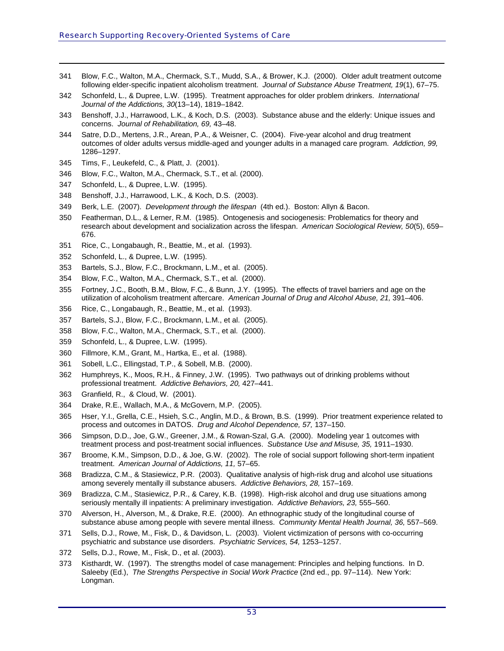- 341 Blow, F.C., Walton, M.A., Chermack, S.T., Mudd, S.A., & Brower, K.J. (2000). Older adult treatment outcome following elder-specific inpatient alcoholism treatment. *Journal of Substance Abuse Treatment, 19*(1), 67–75.
- 342 Schonfeld, L., & Dupree, L.W. (1995). Treatment approaches for older problem drinkers. *International Journal of the Addictions, 30*(13–14), 1819–1842.
- <span id="page-58-0"></span>343 Benshoff, J.J., Harrawood, L.K., & Koch, D.S. (2003). Substance abuse and the elderly: Unique issues and concerns. *Journal of Rehabilitation, 69,* 43–48.
- 344 Satre, D.D., Mertens, J.R., Arean, P.A., & Weisner, C. (2004). Five-year alcohol and drug treatment outcomes of older adults versus middle-aged and younger adults in a managed care program. *Addiction, 99,* 1286–1297.
- 345 Tims, F., Leukefeld, C., & Platt, J. (2001).
- 346 Blow, F.C., Walton, M.A., Chermack, S.T., et al. (2000).
- 347 Schonfeld, L., & Dupree, L.W. (1995).

- 348 Benshoff, J.J., Harrawood, L.K., & Koch, D.S. (2003).
- 349 Berk, L.E. (2007). *Development through the lifespan* (4th ed.). Boston: Allyn & Bacon.
- 350 Featherman, D.L., & Lerner, R.M. (1985). Ontogenesis and sociogenesis: Problematics for theory and research about development and socialization across the lifespan. *American Sociological Review, 50*(5), 659– 676.
- 351 Rice, C., Longabaugh, R., Beattie, M., et al. (1993).
- 352 Schonfeld, L., & Dupree, L.W. (1995).
- 353 Bartels, S.J., Blow, F.C., Brockmann, L.M., et al. (2005).
- 354 Blow, F.C., Walton, M.A., Chermack, S.T., et al. (2000).
- 355 Fortney, J.C., Booth, B.M., Blow, F.C., & Bunn, J.Y. (1995). The effects of travel barriers and age on the utilization of alcoholism treatment aftercare. *American Journal of Drug and Alcohol Abuse, 21,* 391–406.
- 356 Rice, C., Longabaugh, R., Beattie, M., et al. (1993).
- 357 Bartels, S.J., Blow, F.C., Brockmann, L.M., et al. (2005).
- 358 Blow, F.C., Walton, M.A., Chermack, S.T., et al. (2000).
- 359 Schonfeld, L., & Dupree, L.W. (1995).
- 360 Fillmore, K.M., Grant, M., Hartka, E., et al. (1988).
- 361 Sobell, L.C., Ellingstad, T.P., & Sobell, M.B. (2000).
- 362 Humphreys, K., Moos, R.H., & Finney, J.W. (1995). Two pathways out of drinking problems without professional treatment. *Addictive Behaviors, 20,* 427–441.
- 363 Granfield, R., & Cloud, W. (2001).
- 364 Drake, R.E., Wallach, M.A., & McGovern, M.P. (2005).
- 365 Hser, Y.I., Grella, C.E., Hsieh, S.C., Anglin, M.D., & Brown, B.S. (1999). Prior treatment experience related to process and outcomes in DATOS. *Drug and Alcohol Dependence, 57,* 137–150.
- 366 Simpson, D.D., Joe, G.W., Greener, J.M., & Rowan-Szal, G.A. (2000). Modeling year 1 outcomes with treatment process and post-treatment social influences. *Substance Use and Misuse, 35,* 1911–1930.
- 367 Broome, K.M., Simpson, D.D., & Joe, G.W. (2002). The role of social support following short-term inpatient treatment. *American Journal of Addictions, 11,* 57–65.
- 368 Bradizza, C.M., & Stasiewicz, P.R. (2003). Qualitative analysis of high-risk drug and alcohol use situations among severely mentally ill substance abusers. *Addictive Behaviors, 28,* 157–169.
- 369 Bradizza, C.M., Stasiewicz, P.R., & Carey, K.B. (1998). High-risk alcohol and drug use situations among seriously mentally ill inpatients: A preliminary investigation. *Addictive Behaviors, 23,* 555–560.
- 370 Alverson, H., Alverson, M., & Drake, R.E. (2000). An ethnographic study of the longitudinal course of substance abuse among people with severe mental illness. *Community Mental Health Journal, 36,* 557–569.
- 371 Sells, D.J., Rowe, M., Fisk, D., & Davidson, L. (2003). Violent victimization of persons with co-occurring psychiatric and substance use disorders. *Psychiatric Services, 54,* 1253–1257.
- 372 Sells, D.J., Rowe, M., Fisk, D., et al. (2003).
- 373 Kisthardt, W. (1997). The strengths model of case management: Principles and helping functions. In D. Saleeby (Ed.), *The Strengths Perspective in Social Work Practice* (2nd ed., pp. 97–114). New York: Longman.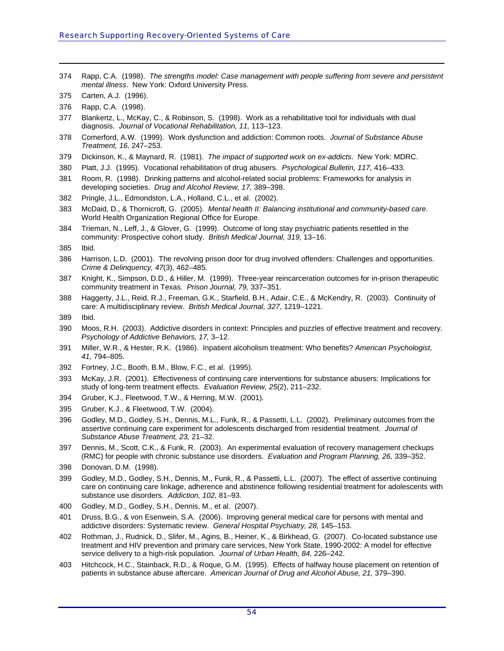- 374 Rapp, C.A. (1998). *The strengths model: Case management with people suffering from severe and persistent mental illness*. New York: Oxford University Press.
- 375 Carten, A.J. (1996).

- 376 Rapp, C.A. (1998).
- <span id="page-59-0"></span>377 Blankertz, L., McKay, C., & Robinson, S. (1998). Work as a rehabilitative tool for individuals with dual diagnosis. *Journal of Vocational Rehabilitation, 11,* 113–123.
- 378 Comerford, A.W. (1999). Work dysfunction and addiction: Common roots. *Journal of Substance Abuse Treatment, 16,* 247–253.
- 379 Dickinson, K., & Maynard, R. (1981). *The impact of supported work on ex-addicts*. New York: MDRC.
- 380 Platt, J.J. (1995). Vocational rehabilitation of drug abusers. *Psychological Bulletin, 117,* 416–433.
- 381 Room, R. (1998). Drinking patterns and alcohol-related social problems: Frameworks for analysis in developing societies. *Drug and Alcohol Review, 17,* 389–398.
- 382 Pringle, J.L., Edmondston, L.A., Holland, C.L., et al. (2002).
- 383 McDaid, D., & Thornicroft, G. (2005). *Mental health II: Balancing institutional and community-based care*. World Health Organization Regional Office for Europe.
- 384 Trieman, N., Leff, J., & Glover, G. (1999). Outcome of long stay psychiatric patients resettled in the community: Prospective cohort study. *British Medical Journal, 319,* 13–16.
- 385 Ibid.
- 386 Harrison, L.D. (2001). The revolving prison door for drug involved offenders: Challenges and opportunities. *Crime & Delinquency, 47*(3), 462–485.
- 387 Knight, K., Simpson, D.D., & Hiller, M. (1999). Three-year reincarceration outcomes for in-prison therapeutic community treatment in Texas. *Prison Journal, 79,* 337–351.
- 388 Haggerty, J.L., Reid, R.J., Freeman, G.K., Starfield, B.H., Adair, C.E., & McKendry, R. (2003). Continuity of care: A multidisciplinary review. *British Medical Journal, 327*, 1219–1221.
- 389 Ibid.
- 390 Moos, R.H. (2003). Addictive disorders in context: Principles and puzzles of effective treatment and recovery. *Psychology of Addictive Behaviors, 17,* 3–12.
- 391 Miller, W.R., & Hester, R.K. (1986). Inpatient alcoholism treatment: Who benefits? *American Psychologist, 41,* 794–805.
- 392 Fortney, J.C., Booth, B.M., Blow, F.C., et al. (1995).
- 393 McKay, J.R. (2001). Effectiveness of continuing care interventions for substance abusers: Implications for study of long-term treatment effects. *Evaluation Review, 25*(2), 211–232.
- 394 Gruber, K.J., Fleetwood, T.W., & Herring, M.W. (2001).
- 395 Gruber, K.J., & Fleetwood, T.W. (2004).
- 396 Godley, M.D., Godley, S.H., Dennis, M.L., Funk, R., & Passetti, L.L. (2002). Preliminary outcomes from the assertive continuing care experiment for adolescents discharged from residential treatment. *Journal of Substance Abuse Treatment, 23,* 21–32.
- 397 Dennis, M., Scott, C.K., & Funk, R. (2003). An experimental evaluation of recovery management checkups (RMC) for people with chronic substance use disorders. *Evaluation and Program Planning, 26,* 339–352.
- 398 Donovan, D.M. (1998).
- 399 Godley, M.D., Godley, S.H., Dennis, M., Funk, R., & Passetti, L.L. (2007). The effect of assertive continuing care on continuing care linkage, adherence and abstinence following residential treatment for adolescents with substance use disorders. *Addiction, 102,* 81–93.
- 400 Godley, M.D., Godley, S.H., Dennis, M., et al. (2007).
- 401 Druss, B.G., & von Esenwein, S.A. (2006). Improving general medical care for persons with mental and addictive disorders: Systematic review. *General Hospital Psychiatry, 28,* 145–153.
- 402 Rothman, J., Rudnick, D., Slifer, M., Agins, B., Heiner, K., & Birkhead, G. (2007). Co-located substance use treatment and HIV prevention and primary care services, New York State, 1990-2002: A model for effective service delivery to a high-risk population. *Journal of Urban Health, 84,* 226–242.
- 403 Hitchcock, H.C., Stainback, R.D., & Roque, G.M. (1995). Effects of halfway house placement on retention of patients in substance abuse aftercare. *American Journal of Drug and Alcohol Abuse, 21,* 379–390.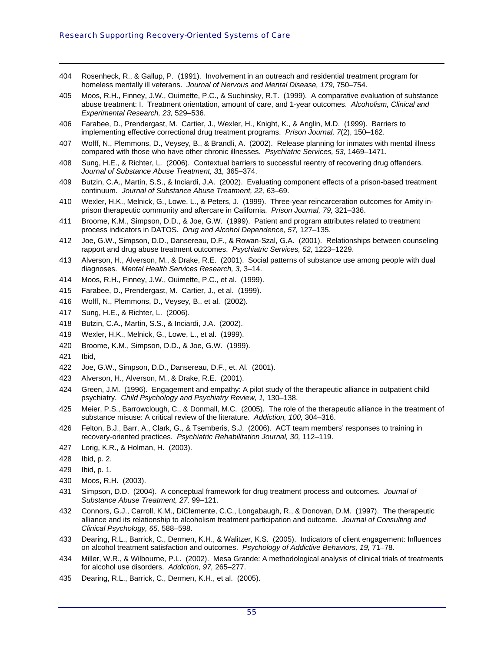- 404 Rosenheck, R., & Gallup, P. (1991). Involvement in an outreach and residential treatment program for homeless mentally ill veterans. *Journal of Nervous and Mental Disease, 179,* 750–754.
- 405 Moos, R.H., Finney, J.W., Ouimette, P.C., & Suchinsky, R.T. (1999). A comparative evaluation of substance abuse treatment: I. Treatment orientation, amount of care, and 1-year outcomes. *Alcoholism, Clinical and Experimental Research, 23,* 529–536.
- <span id="page-60-0"></span>406 Farabee, D., Prendergast, M. Cartier, J., Wexler, H., Knight, K., & Anglin, M.D. (1999). Barriers to implementing effective correctional drug treatment programs. *Prison Journal, 7*(2), 150–162.
- 407 Wolff, N., Plemmons, D., Veysey, B., & Brandli, A. (2002). Release planning for inmates with mental illness compared with those who have other chronic illnesses. *Psychiatric Services, 53,* 1469–1471.
- 408 Sung, H.E., & Richter, L. (2006). Contextual barriers to successful reentry of recovering drug offenders. *Journal of Substance Abuse Treatment, 31,* 365–374.
- 409 Butzin, C.A., Martin, S.S., & Inciardi, J.A. (2002). Evaluating component effects of a prison-based treatment continuum. *Journal of Substance Abuse Treatment, 22,* 63–69.
- 410 Wexler, H.K., Melnick, G., Lowe, L., & Peters, J. (1999). Three-year reincarceration outcomes for Amity inprison therapeutic community and aftercare in California. *Prison Journal, 79,* 321–336.
- 411 Broome, K.M., Simpson, D.D., & Joe, G.W. (1999). Patient and program attributes related to treatment process indicators in DATOS. *Drug and Alcohol Dependence, 57,* 127–135.
- 412 Joe, G.W., Simpson, D.D., Dansereau, D.F., & Rowan-Szal, G.A. (2001). Relationships between counseling rapport and drug abuse treatment outcomes. *Psychiatric Services, 52,* 1223–1229.
- 413 Alverson, H., Alverson, M., & Drake, R.E. (2001). Social patterns of substance use among people with dual diagnoses. *Mental Health Services Research, 3,* 3–14.
- 414 Moos, R.H., Finney, J.W., Ouimette, P.C., et al. (1999).
- 415 Farabee, D., Prendergast, M. Cartier, J., et al. (1999).
- 416 Wolff, N., Plemmons, D., Veysey, B., et al. (2002).
- 417 Sung, H.E., & Richter, L. (2006).
- 418 Butzin, C.A., Martin, S.S., & Inciardi, J.A. (2002).
- 419 Wexler, H.K., Melnick, G., Lowe, L., et al. (1999).
- 420 Broome, K.M., Simpson, D.D., & Joe, G.W. (1999).
- 421 Ibid,

- 422 Joe, G.W., Simpson, D.D., Dansereau, D.F., et. Al. (2001).
- 423 Alverson, H., Alverson, M., & Drake, R.E. (2001).
- 424 Green, J.M. (1996). Engagement and empathy: A pilot study of the therapeutic alliance in outpatient child psychiatry. *Child Psychology and Psychiatry Review, 1,* 130–138.
- 425 Meier, P.S., Barrowclough, C., & Donmall, M.C. (2005). The role of the therapeutic alliance in the treatment of substance misuse: A critical review of the literature. *Addiction, 100,* 304–316.
- 426 Felton, B.J., Barr, A., Clark, G., & Tsemberis, S.J. (2006). ACT team members' responses to training in recovery-oriented practices. *Psychiatric Rehabilitation Journal, 30,* 112–119.
- 427 Lorig, K.R., & Holman, H. (2003).
- 428 Ibid, p. 2.
- 429 Ibid, p. 1.
- 430 Moos, R.H. (2003).
- 431 Simpson, D.D. (2004). A conceptual framework for drug treatment process and outcomes. *Journal of Substance Abuse Treatment, 27,* 99–121.
- 432 Connors, G.J., Carroll, K.M., DiClemente, C.C., Longabaugh, R., & Donovan, D.M. (1997). The therapeutic alliance and its relationship to alcoholism treatment participation and outcome. *Journal of Consulting and Clinical Psychology, 65,* 588–598.
- 433 Dearing, R.L., Barrick, C., Dermen, K.H., & Walitzer, K.S. (2005). Indicators of client engagement: Influences on alcohol treatment satisfaction and outcomes. *Psychology of Addictive Behaviors, 19,* 71–78.
- 434 Miller, W.R., & Wilbourne, P.L. (2002). Mesa Grande: A methodological analysis of clinical trials of treatments for alcohol use disorders. *Addiction, 97,* 265–277.
- 435 Dearing, R.L., Barrick, C., Dermen, K.H., et al. (2005).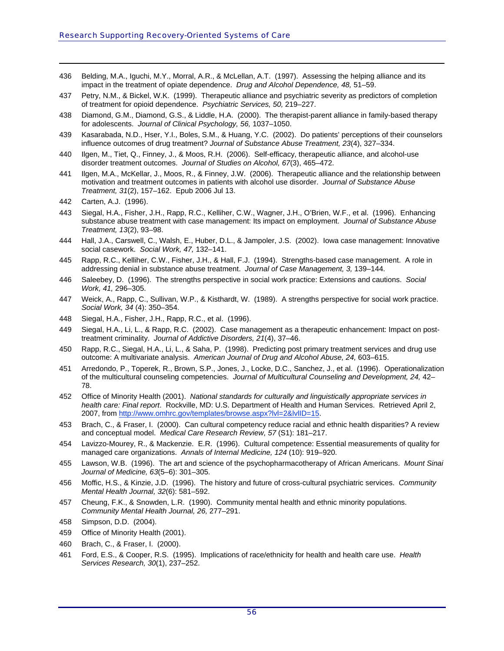- 436 Belding, M.A., Iguchi, M.Y., Morral, A.R., & McLellan, A.T. (1997). Assessing the helping alliance and its impact in the treatment of opiate dependence. *Drug and Alcohol Dependence, 48,* 51–59.
- 437 Petry, N.M., & Bickel, W.K. (1999). Therapeutic alliance and psychiatric severity as predictors of completion of treatment for opioid dependence. *Psychiatric Services, 50,* 219–227.
- <span id="page-61-0"></span>438 Diamond, G.M., Diamond, G.S., & Liddle, H.A. (2000). The therapist-parent alliance in family-based therapy for adolescents. *Journal of Clinical Psychology, 56,* 1037–1050.
- 439 Kasarabada, N.D., Hser, Y.I., Boles, S.M., & Huang, Y.C. (2002). Do patients' perceptions of their counselors influence outcomes of drug treatment? *Journal of Substance Abuse Treatment, 23*(4), 327–334.
- 440 Ilgen, M., Tiet, Q., Finney, J., & Moos, R.H. (2006). Self-efficacy, therapeutic alliance, and alcohol-use disorder treatment outcomes. *Journal of Studies on Alcohol, 67*(3), 465–472.
- 441 Ilgen, M.A., McKellar, J., Moos, R., & Finney, J.W. (2006). Therapeutic alliance and the relationship between motivation and treatment outcomes in patients with alcohol use disorder. *Journal of Substance Abuse Treatment, 31*(2), 157–162. Epub 2006 Jul 13.

- 443 Siegal, H.A., Fisher, J.H., Rapp, R.C., Kelliher, C.W., Wagner, J.H., O'Brien, W.F., et al. (1996). Enhancing substance abuse treatment with case management: Its impact on employment. *Journal of Substance Abuse Treatment, 13*(2), 93–98.
- 444 Hall, J.A., Carswell, C., Walsh, E., Huber, D.L., & Jampoler, J.S. (2002). Iowa case management: Innovative social casework. *Social Work, 47,* 132–141.
- 445 Rapp, R.C., Kelliher, C.W., Fisher, J.H., & Hall, F.J. (1994). Strengths-based case management. A role in addressing denial in substance abuse treatment. *Journal of Case Management, 3,* 139–144.
- 446 Saleebey, D. (1996). The strengths perspective in social work practice: Extensions and cautions. *Social Work, 41,* 296–305.
- 447 Weick, A., Rapp, C., Sullivan, W.P., & Kisthardt, W. (1989). A strengths perspective for social work practice. *Social Work, 34* (4): 350–354.
- 448 Siegal, H.A., Fisher, J.H., Rapp, R.C., et al. (1996).
- 449 Siegal, H.A., Li, L., & Rapp, R.C. (2002). Case management as a therapeutic enhancement: Impact on posttreatment criminality. *Journal of Addictive Disorders, 21*(4), 37–46.
- 450 Rapp, R.C., Siegal, H.A., Li, L., & Saha, P. (1998). Predicting post primary treatment services and drug use outcome: A multivariate analysis. *American Journal of Drug and Alcohol Abuse, 24,* 603–615.
- 451 Arredondo, P., Toperek, R., Brown, S.P., Jones, J., Locke, D.C., Sanchez, J., et al. (1996). Operationalization of the multicultural counseling competencies. *Journal of Multicultural Counseling and Development, 24,* 42– 78.
- 452 Office of Minority Health (2001). *National standards for culturally and linguistically appropriate services in health care: Final report*. Rockville, MD: U.S. Department of Health and Human Services. Retrieved April 2, 2007, from <http://www.omhrc.gov/templates/browse.aspx?lvl=2&lvlID=15>.
- 453 Brach, C., & Fraser, I. (2000). Can cultural competency reduce racial and ethnic health disparities? A review and conceptual model. *Medical Care Research Review, 57* (S1): 181–217.
- 454 Lavizzo-Mourey, R., & Mackenzie. E.R. (1996). Cultural competence: Essential measurements of quality for managed care organizations. *Annals of Internal Medicine, 124* (10): 919–920.
- 455 Lawson, W.B. (1996). The art and science of the psychopharmacotherapy of African Americans. *Mount Sinai Journal of Medicine, 63*(5–6): 301–305.
- 456 Moffic, H.S., & Kinzie, J.D. (1996). The history and future of cross-cultural psychiatric services. *Community Mental Health Journal, 32*(6): 581–592.
- 457 Cheung, F.K., & Snowden, L.R. (1990). Community mental health and ethnic minority populations. *Community Mental Health Journal, 26,* 277–291.
- 458 Simpson, D.D. (2004).
- 459 Office of Minority Health (2001).
- 460 Brach, C., & Fraser, I. (2000).
- 461 Ford, E.S., & Cooper, R.S. (1995). Implications of race/ethnicity for health and health care use. *Health Services Research, 30*(1), 237–252.

<sup>442</sup> Carten, A.J. (1996).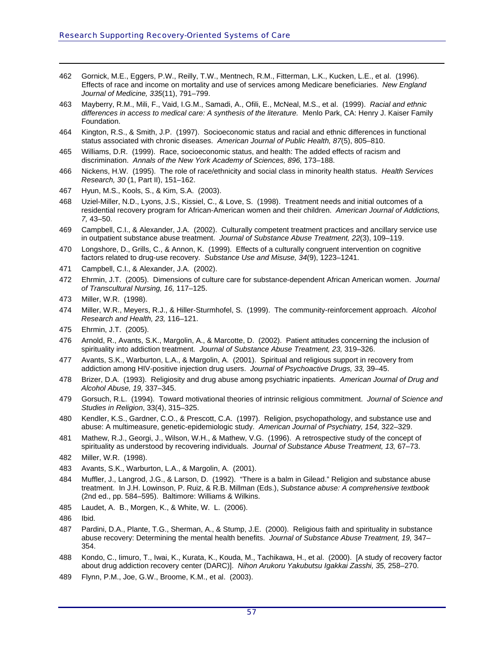- 462 Gornick, M.E., Eggers, P.W., Reilly, T.W., Mentnech, R.M., Fitterman, L.K., Kucken, L.E., et al. (1996). Effects of race and income on mortality and use of services among Medicare beneficiaries. *New England Journal of Medicine, 335*(11), 791–799.
- 463 Mayberry, R.M., Mili, F., Vaid, I.G.M., Samadi, A., Ofili, E., McNeal, M.S., et al. (1999). *Racial and ethnic differences in access to medical care: A synthesis of the literature.* Menlo Park, CA: Henry J. Kaiser Family Foundation.
- <span id="page-62-0"></span>464 Kington, R.S., & Smith, J.P. (1997). Socioeconomic status and racial and ethnic differences in functional status associated with chronic diseases. *American Journal of Public Health, 87*(5), 805–810.
- 465 Williams, D.R. (1999). Race, socioeconomic status, and health: The added effects of racism and discrimination. *Annals of the New York Academy of Sciences, 896,* 173–188.
- 466 Nickens, H.W. (1995). The role of race/ethnicity and social class in minority health status. *Health Services Research, 30* (1, Part II), 151–162.
- 467 Hyun, M.S., Kools, S., & Kim, S.A. (2003).
- 468 Uziel-Miller, N.D., Lyons, J.S., Kissiel, C., & Love, S. (1998). Treatment needs and initial outcomes of a residential recovery program for African-American women and their children. *American Journal of Addictions, 7,* 43–50.
- 469 Campbell, C.I., & Alexander, J.A. (2002). Culturally competent treatment practices and ancillary service use in outpatient substance abuse treatment. *Journal of Substance Abuse Treatment, 22*(3), 109–119.
- 470 Longshore, D., Grills, C., & Annon, K. (1999). Effects of a culturally congruent intervention on cognitive factors related to drug-use recovery. *Substance Use and Misuse, 34*(9), 1223–1241.
- 471 Campbell, C.I., & Alexander, J.A. (2002).
- 472 Ehrmin, J.T. (2005). Dimensions of culture care for substance-dependent African American women. *Journal of Transcultural Nursing, 16,* 117–125.
- 473 Miller, W.R. (1998).

- 474 Miller, W.R., Meyers, R.J., & Hiller-Sturmhofel, S. (1999). The community-reinforcement approach. *Alcohol Research and Health, 23,* 116–121.
- 475 Ehrmin, J.T. (2005).
- 476 Arnold, R., Avants, S.K., Margolin, A., & Marcotte, D. (2002). Patient attitudes concerning the inclusion of spirituality into addiction treatment. *Journal of Substance Abuse Treatment, 23,* 319–326.
- 477 Avants, S.K., Warburton, L.A., & Margolin, A. (2001). Spiritual and religious support in recovery from addiction among HIV-positive injection drug users. *Journal of Psychoactive Drugs, 33,* 39–45.
- 478 Brizer, D.A. (1993). Religiosity and drug abuse among psychiatric inpatients. *American Journal of Drug and Alcohol Abuse, 19,* 337–345.
- 479 Gorsuch, R.L. (1994). Toward motivational theories of intrinsic religious commitment. *Journal of Science and Studies in Religion*, 33(4), 315–325.
- 480 Kendler, K.S., Gardner, C.O., & Prescott, C.A. (1997). Religion, psychopathology, and substance use and abuse: A multimeasure, genetic-epidemiologic study. *American Journal of Psychiatry, 154,* 322–329.
- 481 Mathew, R.J., Georgi, J., Wilson, W.H., & Mathew, V.G. (1996). A retrospective study of the concept of spirituality as understood by recovering individuals. *Journal of Substance Abuse Treatment, 13,* 67–73.
- 482 Miller, W.R. (1998).
- 483 Avants, S.K., Warburton, L.A., & Margolin, A. (2001).
- 484 Muffler, J., Langrod, J.G., & Larson, D. (1992). "There is a balm in Gilead." Religion and substance abuse treatment. In J.H. Lowinson, P. Ruiz, & R.B. Millman (Eds.), *Substance abuse: A comprehensive textbook* (2nd ed., pp. 584–595). Baltimore: Williams & Wilkins.
- 485 Laudet, A. B., Morgen, K., & White, W. L. (2006).
- 486 Ibid.
- 487 Pardini, D.A., Plante, T.G., Sherman, A., & Stump, J.E. (2000). Religious faith and spirituality in substance abuse recovery: Determining the mental health benefits. *Journal of Substance Abuse Treatment, 19,* 347– 354.
- 488 Kondo, C., Iimuro, T., Iwai, K., Kurata, K., Kouda, M., Tachikawa, H., et al. (2000). [A study of recovery factor about drug addiction recovery center (DARC)]. *Nihon Arukoru Yakubutsu Igakkai Zasshi, 35,* 258–270.
- 489 Flynn, P.M., Joe, G.W., Broome, K.M., et al. (2003).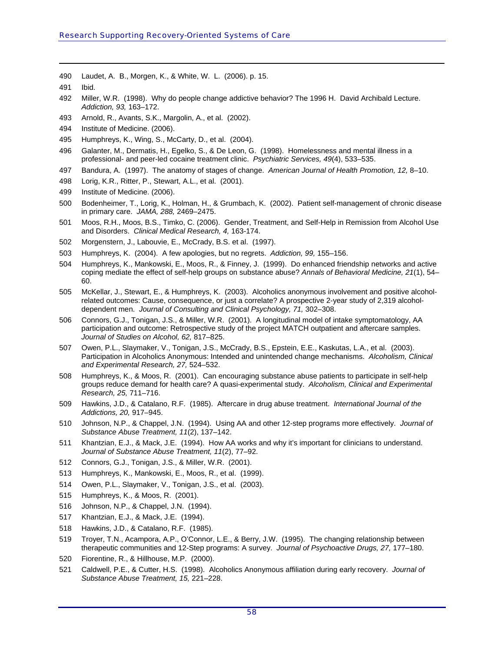490 Laudet, A. B., Morgen, K., & White, W. L. (2006). p. 15.

- 492 Miller, W.R. (1998). Why do people change addictive behavior? The 1996 H. David Archibald Lecture. *Addiction, 93,* 163–172.
- 493 Arnold, R., Avants, S.K., Margolin, A., et al. (2002).
- <span id="page-63-0"></span>494 Institute of Medicine. (2006).
- 495 Humphreys, K., Wing, S., McCarty, D., et al. (2004).
- 496 Galanter, M., Dermatis, H., Egelko, S., & De Leon, G. (1998). Homelessness and mental illness in a professional- and peer-led cocaine treatment clinic. *Psychiatric Services, 49*(4), 533–535.
- 497 Bandura, A. (1997). The anatomy of stages of change. *American Journal of Health Promotion, 12,* 8–10.
- 498 Lorig, K.R., Ritter, P., Stewart, A.L., et al. (2001).
- 499 Institute of Medicine. (2006).
- 500 Bodenheimer, T., Lorig, K., Holman, H., & Grumbach, K. (2002). Patient self-management of chronic disease in primary care. *JAMA, 288,* 2469–2475.
- 501 Moos, R.H., Moos, B.S., Timko, C. (2006). Gender, Treatment, and Self-Help in Remission from Alcohol Use and Disorders. *Clinical Medical Research, 4,* 163-174.
- 502 Morgenstern, J., Labouvie, E., McCrady, B.S. et al. (1997).
- 503 Humphreys, K. (2004). A few apologies, but no regrets. *Addiction, 99,* 155–156.
- 504 Humphreys, K., Mankowski, E., Moos, R., & Finney, J. (1999). Do enhanced friendship networks and active coping mediate the effect of self-help groups on substance abuse? *Annals of Behavioral Medicine, 21*(1), 54– 60.
- 505 McKellar, J., Stewart, E., & Humphreys, K. (2003). Alcoholics anonymous involvement and positive alcoholrelated outcomes: Cause, consequence, or just a correlate? A prospective 2-year study of 2,319 alcoholdependent men. *Journal of Consulting and Clinical Psychology, 71,* 302–308.
- 506 Connors, G.J., Tonigan, J.S., & Miller, W.R. (2001). A longitudinal model of intake symptomatology, AA participation and outcome: Retrospective study of the project MATCH outpatient and aftercare samples. *Journal of Studies on Alcohol, 62,* 817–825.
- 507 Owen, P.L., Slaymaker, V., Tonigan, J.S., McCrady, B.S., Epstein, E.E., Kaskutas, L.A., et al. (2003). Participation in Alcoholics Anonymous: Intended and unintended change mechanisms. *Alcoholism, Clinical and Experimental Research, 27,* 524–532.
- 508 Humphreys, K., & Moos, R. (2001). Can encouraging substance abuse patients to participate in self-help groups reduce demand for health care? A quasi-experimental study. *Alcoholism, Clinical and Experimental Research, 25,* 711–716.
- 509 Hawkins, J.D., & Catalano, R.F. (1985). Aftercare in drug abuse treatment. *International Journal of the Addictions, 20,* 917–945.
- 510 Johnson, N.P., & Chappel, J.N. (1994). Using AA and other 12-step programs more effectively. *Journal of Substance Abuse Treatment, 11*(2), 137–142.
- 511 Khantzian, E.J., & Mack, J.E. (1994). How AA works and why it's important for clinicians to understand. *Journal of Substance Abuse Treatment, 11*(2), 77–92.
- 512 Connors, G.J., Tonigan, J.S., & Miller, W.R. (2001).
- 513 Humphreys, K., Mankowski, E., Moos, R., et al. (1999).
- 514 Owen, P.L., Slaymaker, V., Tonigan, J.S., et al. (2003).
- 515 Humphreys, K., & Moos, R. (2001).
- 516 Johnson, N.P., & Chappel, J.N. (1994).
- 517 Khantzian, E.J., & Mack, J.E. (1994).
- 518 Hawkins, J.D., & Catalano, R.F. (1985).
- 519 Troyer, T.N., Acampora, A.P., O'Connor, L.E., & Berry, J.W. (1995). The changing relationship between therapeutic communities and 12-Step programs: A survey. *Journal of Psychoactive Drugs, 27,* 177–180.
- 520 Fiorentine, R., & Hillhouse, M.P. (2000).
- 521 Caldwell, P.E., & Cutter, H.S. (1998). Alcoholics Anonymous affiliation during early recovery. *Journal of Substance Abuse Treatment, 15,* 221–228.

<sup>491</sup> Ibid.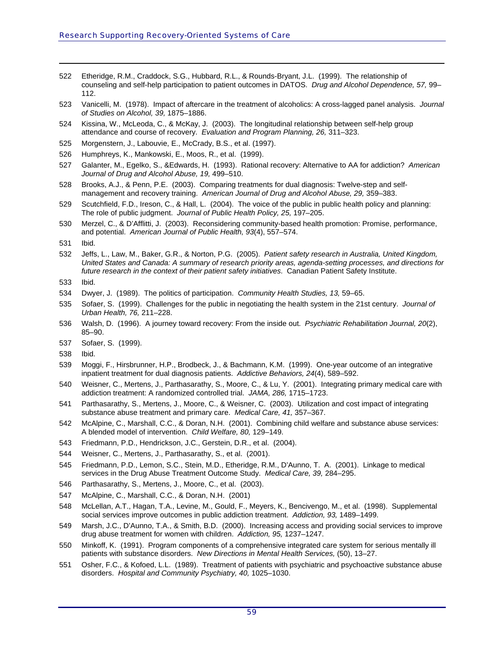- 522 Etheridge, R.M., Craddock, S.G., Hubbard, R.L., & Rounds-Bryant, J.L. (1999). The relationship of counseling and self-help participation to patient outcomes in DATOS. *Drug and Alcohol Dependence, 57,* 99– 112.
- 523 Vanicelli, M. (1978). Impact of aftercare in the treatment of alcoholics: A cross-lagged panel analysis. *Journal of Studies on Alcohol, 39,* 1875–1886.
- <span id="page-64-0"></span>524 Kissina, W., McLeoda, C., & McKay, J. (2003). The longitudinal relationship between self-help group attendance and course of recovery. *Evaluation and Program Planning, 26,* 311–323.
- 525 Morgenstern, J., Labouvie, E., McCrady, B.S., et al. (1997).
- 526 Humphreys, K., Mankowski, E., Moos, R., et al. (1999).
- 527 Galanter, M., Egelko, S., &Edwards, H. (1993). Rational recovery: Alternative to AA for addiction? *American Journal of Drug and Alcohol Abuse, 19,* 499–510.
- 528 Brooks, A.J., & Penn, P.E. (2003). Comparing treatments for dual diagnosis: Twelve-step and selfmanagement and recovery training. *American Journal of Drug and Alcohol Abuse, 29,* 359–383.
- 529 Scutchfield, F.D., Ireson, C., & Hall, L. (2004). The voice of the public in public health policy and planning: The role of public judgment. *Journal of Public Health Policy, 25,* 197–205.
- 530 Merzel, C., & D'Afflitti, J. (2003). Reconsidering community-based health promotion: Promise, performance, and potential. *American Journal of Public Health, 93*(4), 557–574.
- 531 Ibid.

- 532 Jeffs, L., Law, M., Baker, G.R., & Norton, P.G. (2005). *Patient safety research in Australia, United Kingdom, United States and Canada: A summary of research priority areas, agenda-setting processes, and directions for future research in the context of their patient safety initiatives*. Canadian Patient Safety Institute.
- 533 Ibid.
- 534 Dwyer, J. (1989). The politics of participation. *Community Health Studies, 13,* 59–65.
- 535 Sofaer, S. (1999). Challenges for the public in negotiating the health system in the 21st century. *Journal of Urban Health, 76,* 211–228.
- 536 Walsh, D. (1996). A journey toward recovery: From the inside out. *Psychiatric Rehabilitation Journal, 20*(2), 85–90.
- 537 Sofaer, S. (1999).
- 538 Ibid.
- 539 Moggi, F., Hirsbrunner, H.P., Brodbeck, J., & Bachmann, K.M. (1999). One-year outcome of an integrative inpatient treatment for dual diagnosis patients. *Addictive Behaviors, 24*(4), 589–592.
- 540 Weisner, C., Mertens, J., Parthasarathy, S., Moore, C., & Lu, Y. (2001). Integrating primary medical care with addiction treatment: A randomized controlled trial. *JAMA, 286,* 1715–1723.
- 541 Parthasarathy, S., Mertens, J., Moore, C., & Weisner, C. (2003). Utilization and cost impact of integrating substance abuse treatment and primary care. *Medical Care, 41,* 357–367.
- 542 McAlpine, C., Marshall, C.C., & Doran, N.H. (2001). Combining child welfare and substance abuse services: A blended model of intervention. *Child Welfare, 80,* 129–149.
- 543 Friedmann, P.D., Hendrickson, J.C., Gerstein, D.R., et al. (2004).
- 544 Weisner, C., Mertens, J., Parthasarathy, S., et al. (2001).
- 545 Friedmann, P.D., Lemon, S.C., Stein, M.D., Etheridge, R.M., D'Aunno, T. A. (2001). Linkage to medical services in the Drug Abuse Treatment Outcome Study. *Medical Care, 39,* 284–295.
- 546 Parthasarathy, S., Mertens, J., Moore, C., et al. (2003).
- 547 McAlpine, C., Marshall, C.C., & Doran, N.H. (2001)
- 548 McLellan, A.T., Hagan, T.A., Levine, M., Gould, F., Meyers, K., Bencivengo, M., et al. (1998). Supplemental social services improve outcomes in public addiction treatment. *Addiction, 93,* 1489–1499.
- 549 Marsh, J.C., D'Aunno, T.A., & Smith, B.D. (2000). Increasing access and providing social services to improve drug abuse treatment for women with children. *Addiction, 95,* 1237–1247.
- 550 Minkoff, K. (1991). Program components of a comprehensive integrated care system for serious mentally ill patients with substance disorders. *New Directions in Mental Health Services,* (50), 13–27.
- 551 Osher, F.C., & Kofoed, L.L. (1989). Treatment of patients with psychiatric and psychoactive substance abuse disorders. *Hospital and Community Psychiatry, 40,* 1025–1030.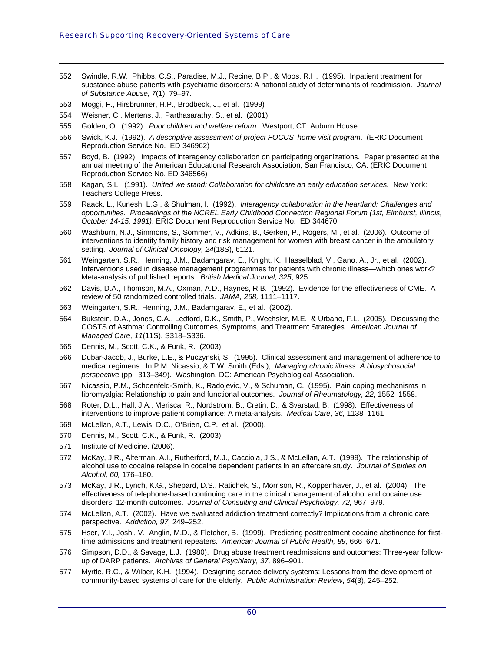- 552 Swindle, R.W., Phibbs, C.S., Paradise, M.J., Recine, B.P., & Moos, R.H. (1995). Inpatient treatment for substance abuse patients with psychiatric disorders: A national study of determinants of readmission. *Journal of Substance Abuse, 7*(1), 79–97.
- 553 Moggi, F., Hirsbrunner, H.P., Brodbeck, J., et al. (1999)

- 554 Weisner, C., Mertens, J., Parthasarathy, S., et al. (2001).
- <span id="page-65-0"></span>555 Golden, O. (1992). *Poor children and welfare reform*. Westport, CT: Auburn House.
- 556 Swick, K.J. (1992). *A descriptive assessment of project FOCUS' home visit program*. (ERIC Document Reproduction Service No. ED 346962)
- 557 Boyd, B. (1992). Impacts of interagency collaboration on participating organizations. Paper presented at the annual meeting of the American Educational Research Association, San Francisco, CA: (ERIC Document Reproduction Service No. ED 346566)
- 558 Kagan, S.L. (1991). *United we stand: Collaboration for childcare an early education services.* New York: Teachers College Press.
- 559 Raack, L., Kunesh, L.G., & Shulman, I. (1992). *Interagency collaboration in the heartland: Challenges and opportunities. Proceedings of the NCREL Early Childhood Connection Regional Forum (1st, Elmhurst, Illinois, October 14-15, 1991)*. ERIC Document Reproduction Service No. ED 344670.
- 560 Washburn, N.J., Simmons, S., Sommer, V., Adkins, B., Gerken, P., Rogers, M., et al. (2006). Outcome of interventions to identify family history and risk management for women with breast cancer in the ambulatory setting. *Journal of Clinical Oncology, 24*(18S), 6121.
- 561 Weingarten, S.R., Henning, J.M., Badamgarav, E., Knight, K., Hasselblad, V., Gano, A., Jr., et al. (2002). Interventions used in disease management programmes for patients with chronic illness—which ones work? Meta-analysis of published reports. *British Medical Journal, 325*, 925.
- 562 Davis, D.A., Thomson, M.A., Oxman, A.D., Haynes, R.B. (1992). Evidence for the effectiveness of CME. A review of 50 randomized controlled trials. *JAMA, 268,* 1111–1117.
- 563 Weingarten, S.R., Henning, J.M., Badamgarav, E., et al. (2002).
- 564 Bukstein, D.A., Jones, C.A., Ledford, D.K., Smith, P., Wechsler, M.E., & Urbano, F.L. (2005). Discussing the COSTS of Asthma: Controlling Outcomes, Symptoms, and Treatment Strategies. *American Journal of Managed Care, 11*(11S), S318–S336.
- 565 Dennis, M., Scott, C.K., & Funk, R. (2003).
- 566 Dubar-Jacob, J., Burke, L.E., & Puczynski, S. (1995). Clinical assessment and management of adherence to medical regimens. In P.M. Nicassio, & T.W. Smith (Eds.), *Managing chronic illness: A biosychosocial perspective* (pp. 313–349). Washington, DC: American Psychological Association.
- 567 Nicassio, P.M., Schoenfeld-Smith, K., Radojevic, V., & Schuman, C. (1995). Pain coping mechanisms in fibromyalgia: Relationship to pain and functional outcomes. *Journal of Rheumatology, 22,* 1552–1558.
- 568 Roter, D.L., Hall, J.A., Merisca, R., Nordstrom, B., Cretin, D., & Svarstad, B. (1998). Effectiveness of interventions to improve patient compliance: A meta-analysis. *Medical Care, 36,* 1138–1161.
- 569 McLellan, A.T., Lewis, D.C., O'Brien, C.P., et al. (2000).
- 570 Dennis, M., Scott, C.K., & Funk, R. (2003).
- 571 Institute of Medicine. (2006).
- 572 McKay, J.R., Alterman, A.I., Rutherford, M.J., Cacciola, J.S., & McLellan, A.T. (1999). The relationship of alcohol use to cocaine relapse in cocaine dependent patients in an aftercare study. *Journal of Studies on Alcohol, 60,* 176–180.
- 573 McKay, J.R., Lynch, K.G., Shepard, D.S., Ratichek, S., Morrison, R., Koppenhaver, J., et al. (2004). The effectiveness of telephone-based continuing care in the clinical management of alcohol and cocaine use disorders: 12-month outcomes. *Journal of Consulting and Clinical Psychology, 72,* 967–979.
- 574 McLellan, A.T. (2002). Have we evaluated addiction treatment correctly? Implications from a chronic care perspective. *Addiction, 97,* 249–252.
- 575 Hser, Y.I., Joshi, V., Anglin, M.D., & Fletcher, B. (1999). Predicting posttreatment cocaine abstinence for firsttime admissions and treatment repeaters. *American Journal of Public Health, 89,* 666–671.
- 576 Simpson, D.D., & Savage, L.J. (1980). Drug abuse treatment readmissions and outcomes: Three-year followup of DARP patients. *Archives of General Psychiatry, 37,* 896–901.
- 577 Myrtle, R.C., & Wilber, K.H. (1994). Designing service delivery systems: Lessons from the development of community-based systems of care for the elderly. *Public Administration Review*, *54*(3), 245–252.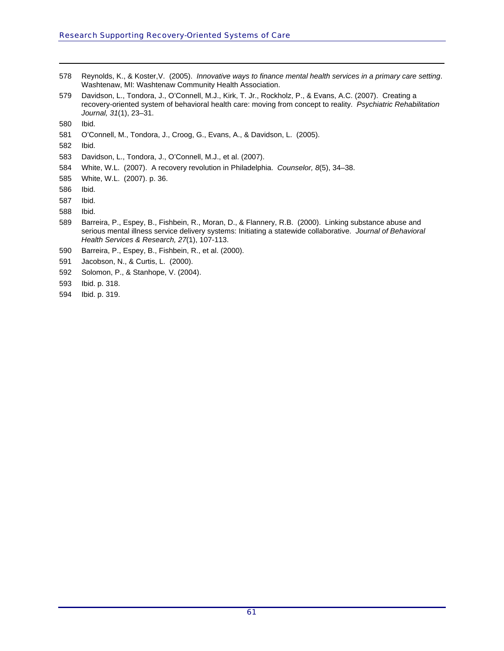- 578 Reynolds, K., & Koster,V. (2005). *Innovative ways to finance mental health services in a primary care setting*. Washtenaw, MI: Washtenaw Community Health Association.
- 579 Davidson, L., Tondora, J., O'Connell, M.J., Kirk, T. Jr., Rockholz, P., & Evans, A.C. (2007). Creating a recovery-oriented system of behavioral health care: moving from concept to reality. *Psychiatric Rehabilitation Journal, 31*(1), 23–31.

581 O'Connell, M., Tondora, J., Croog, G., Evans, A., & Davidson, L. (2005).

- 583 Davidson, L., Tondora, J., O'Connell, M.J., et al. (2007).
- 584 White, W.L. (2007). A recovery revolution in Philadelphia. *Counselor, 8*(5), 34–38.
- 585 White, W.L. (2007). p. 36.
- 586 Ibid.
- 587 Ibid.
- 588 Ibid.
- 589 Barreira, P., Espey, B., Fishbein, R., Moran, D., & Flannery, R.B. (2000). Linking substance abuse and serious mental illness service delivery systems: Initiating a statewide collaborative. *Journal of Behavioral Health Services & Research, 27*(1), 107-113.
- 590 Barreira, P., Espey, B., Fishbein, R., et al. (2000).
- 591 Jacobson, N., & Curtis, L. (2000).
- 592 Solomon, P., & Stanhope, V. (2004).
- 593 Ibid. p. 318.
- <span id="page-66-2"></span>594 Ibid. p. 319.

<span id="page-66-0"></span><sup>580</sup> Ibid.

<span id="page-66-1"></span><sup>582</sup> Ibid.